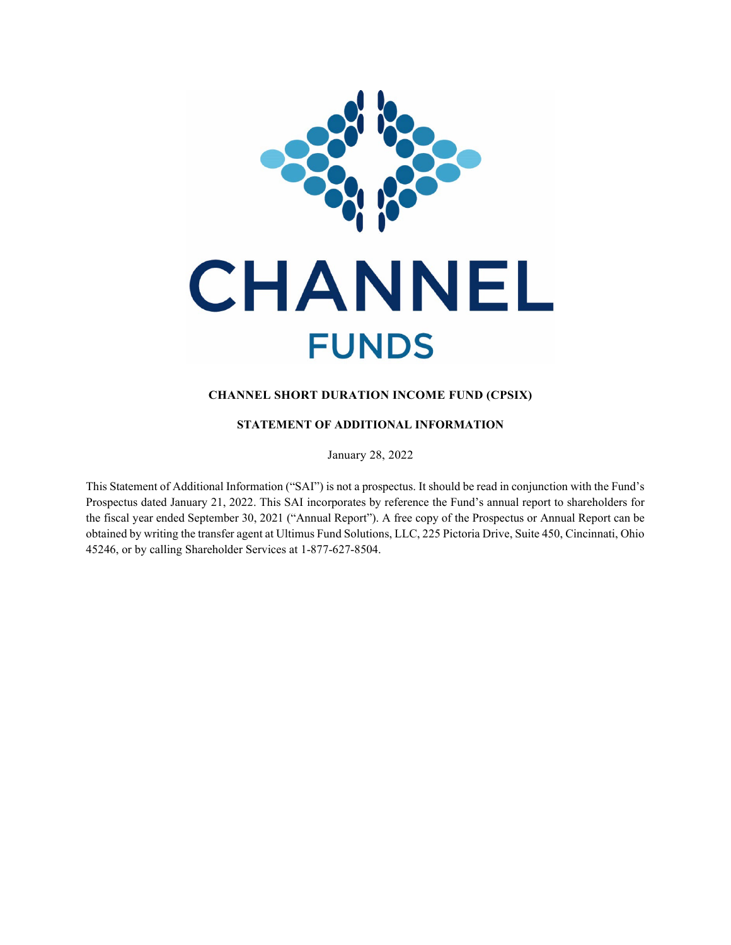

# **CHANNEL SHORT DURATION INCOME FUND (CPSIX)**

### **STATEMENT OF ADDITIONAL INFORMATION**

January 28, 2022

This Statement of Additional Information ("SAI") is not a prospectus. It should be read in conjunction with the Fund's Prospectus dated January 21, 2022. This SAI incorporates by reference the Fund's annual report to shareholders for the fiscal year ended September 30, 2021 ("Annual Report"). A free copy of the Prospectus or Annual Report can be obtained by writing the transfer agent at Ultimus Fund Solutions, LLC, 225 Pictoria Drive, Suite 450, Cincinnati, Ohio 45246, or by calling Shareholder Services at 1-877-627-8504.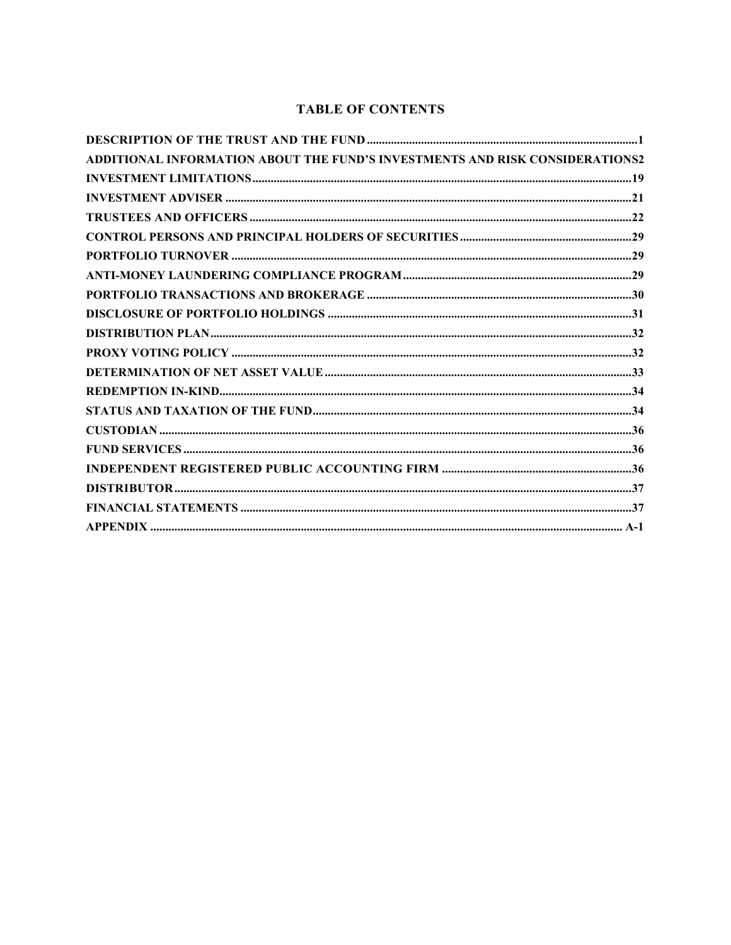# **TABLE OF CONTENTS**

| ADDITIONAL INFORMATION ABOUT THE FUND'S INVESTMENTS AND RISK CONSIDERATIONS2 |  |
|------------------------------------------------------------------------------|--|
|                                                                              |  |
|                                                                              |  |
|                                                                              |  |
|                                                                              |  |
|                                                                              |  |
|                                                                              |  |
|                                                                              |  |
|                                                                              |  |
|                                                                              |  |
|                                                                              |  |
|                                                                              |  |
|                                                                              |  |
|                                                                              |  |
|                                                                              |  |
|                                                                              |  |
|                                                                              |  |
|                                                                              |  |
|                                                                              |  |
|                                                                              |  |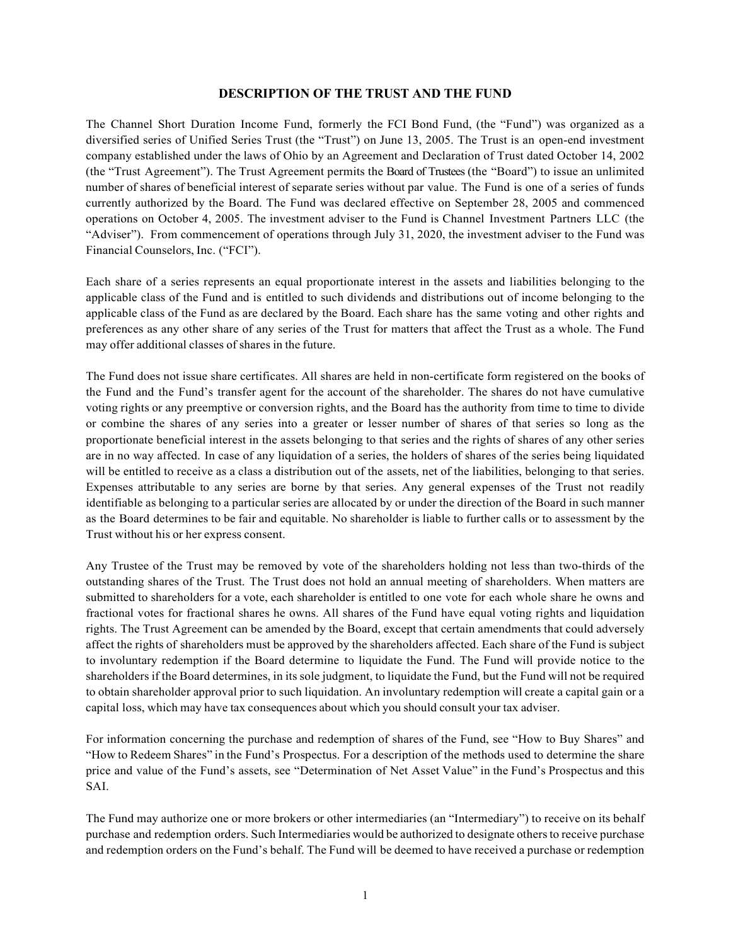#### **DESCRIPTION OF THE TRUST AND THE FUND**

<span id="page-2-0"></span>The Channel Short Duration Income Fund, formerly the FCI Bond Fund, (the "Fund") was organized as a diversified series of Unified Series Trust (the "Trust") on June 13, 2005. The Trust is an open-end investment company established under the laws of Ohio by an Agreement and Declaration of Trust dated October 14, 2002 (the "Trust Agreement"). The Trust Agreement permits the Board of Trustees (the "Board") to issue an unlimited number of shares of beneficial interest of separate series without par value. The Fund is one of a series of funds currently authorized by the Board. The Fund was declared effective on September 28, 2005 and commenced operations on October 4, 2005. The investment adviser to the Fund is Channel Investment Partners LLC (the "Adviser"). From commencement of operations through July 31, 2020, the investment adviser to the Fund was Financial Counselors, Inc. ("FCI").

Each share of a series represents an equal proportionate interest in the assets and liabilities belonging to the applicable class of the Fund and is entitled to such dividends and distributions out of income belonging to the applicable class of the Fund as are declared by the Board. Each share has the same voting and other rights and preferences as any other share of any series of the Trust for matters that affect the Trust as a whole. The Fund may offer additional classes of shares in the future.

The Fund does not issue share certificates. All shares are held in non-certificate form registered on the books of the Fund and the Fund's transfer agent for the account of the shareholder. The shares do not have cumulative voting rights or any preemptive or conversion rights, and the Board has the authority from time to time to divide or combine the shares of any series into a greater or lesser number of shares of that series so long as the proportionate beneficial interest in the assets belonging to that series and the rights of shares of any other series are in no way affected. In case of any liquidation of a series, the holders of shares of the series being liquidated will be entitled to receive as a class a distribution out of the assets, net of the liabilities, belonging to that series. Expenses attributable to any series are borne by that series. Any general expenses of the Trust not readily identifiable as belonging to a particular series are allocated by or under the direction of the Board in such manner as the Board determines to be fair and equitable. No shareholder is liable to further calls or to assessment by the Trust without his or her express consent.

Any Trustee of the Trust may be removed by vote of the shareholders holding not less than two-thirds of the outstanding shares of the Trust. The Trust does not hold an annual meeting of shareholders. When matters are submitted to shareholders for a vote, each shareholder is entitled to one vote for each whole share he owns and fractional votes for fractional shares he owns. All shares of the Fund have equal voting rights and liquidation rights. The Trust Agreement can be amended by the Board, except that certain amendments that could adversely affect the rights of shareholders must be approved by the shareholders affected. Each share of the Fund is subject to involuntary redemption if the Board determine to liquidate the Fund. The Fund will provide notice to the shareholders if the Board determines, in its sole judgment, to liquidate the Fund, but the Fund will not be required to obtain shareholder approval prior to such liquidation. An involuntary redemption will create a capital gain or a capital loss, which may have tax consequences about which you should consult your tax adviser.

For information concerning the purchase and redemption of shares of the Fund, see "How to Buy Shares" and "How to Redeem Shares" in the Fund's Prospectus. For a description of the methods used to determine the share price and value of the Fund's assets, see "Determination of Net Asset Value" in the Fund's Prospectus and this SAI.

The Fund may authorize one or more brokers or other intermediaries (an "Intermediary") to receive on its behalf purchase and redemption orders. Such Intermediaries would be authorized to designate others to receive purchase and redemption orders on the Fund's behalf. The Fund will be deemed to have received a purchase or redemption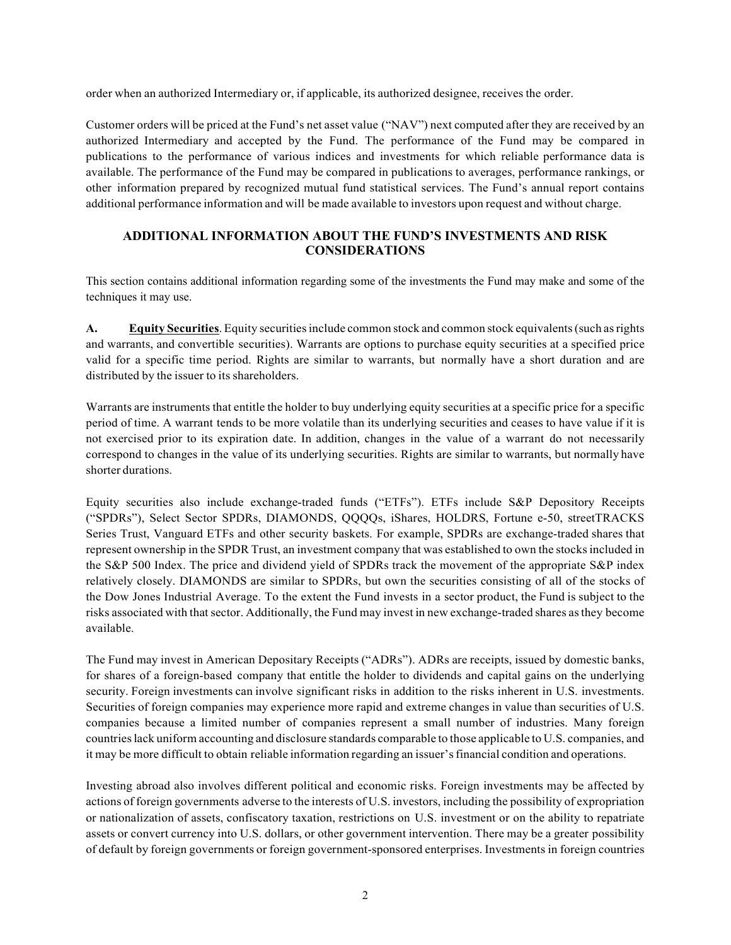order when an authorized Intermediary or, if applicable, its authorized designee, receives the order.

Customer orders will be priced at the Fund's net asset value ("NAV") next computed after they are received by an authorized Intermediary and accepted by the Fund. The performance of the Fund may be compared in publications to the performance of various indices and investments for which reliable performance data is available. The performance of the Fund may be compared in publications to averages, performance rankings, or other information prepared by recognized mutual fund statistical services. The Fund's annual report contains additional performance information and will be made available to investors upon request and without charge.

# <span id="page-3-0"></span>**ADDITIONAL INFORMATION ABOUT THE FUND'S INVESTMENTS AND RISK CONSIDERATIONS**

This section contains additional information regarding some of the investments the Fund may make and some of the techniques it may use.

**A. Equity Securities**. Equity securitiesinclude common stock and common stock equivalents(such asrights and warrants, and convertible securities). Warrants are options to purchase equity securities at a specified price valid for a specific time period. Rights are similar to warrants, but normally have a short duration and are distributed by the issuer to its shareholders.

Warrants are instruments that entitle the holder to buy underlying equity securities at a specific price for a specific period of time. A warrant tends to be more volatile than its underlying securities and ceases to have value if it is not exercised prior to its expiration date. In addition, changes in the value of a warrant do not necessarily correspond to changes in the value of its underlying securities. Rights are similar to warrants, but normally have shorter durations.

Equity securities also include exchange-traded funds ("ETFs"). ETFs include S&P Depository Receipts ("SPDRs"), Select Sector SPDRs, DIAMONDS, QQQQs, iShares, HOLDRS, Fortune e-50, streetTRACKS Series Trust, Vanguard ETFs and other security baskets. For example, SPDRs are exchange-traded shares that represent ownership in the SPDR Trust, an investment company that was established to own the stocks included in the S&P 500 Index. The price and dividend yield of SPDRs track the movement of the appropriate S&P index relatively closely. DIAMONDS are similar to SPDRs, but own the securities consisting of all of the stocks of the Dow Jones Industrial Average. To the extent the Fund invests in a sector product, the Fund is subject to the risks associated with thatsector. Additionally, the Fund may invest in new exchange-traded shares asthey become available.

The Fund may invest in American Depositary Receipts ("ADRs"). ADRs are receipts, issued by domestic banks, for shares of a foreign-based company that entitle the holder to dividends and capital gains on the underlying security. Foreign investments can involve significant risks in addition to the risks inherent in U.S. investments. Securities of foreign companies may experience more rapid and extreme changes in value than securities of U.S. companies because a limited number of companies represent a small number of industries. Many foreign countrieslack uniform accounting and disclosure standards comparable to those applicable to U.S. companies, and it may be more difficult to obtain reliable information regarding an issuer'sfinancial condition and operations.

Investing abroad also involves different political and economic risks. Foreign investments may be affected by actions of foreign governments adverse to the interests of U.S. investors, including the possibility of expropriation or nationalization of assets, confiscatory taxation, restrictions on U.S. investment or on the ability to repatriate assets or convert currency into U.S. dollars, or other government intervention. There may be a greater possibility of default by foreign governments or foreign government-sponsored enterprises. Investments in foreign countries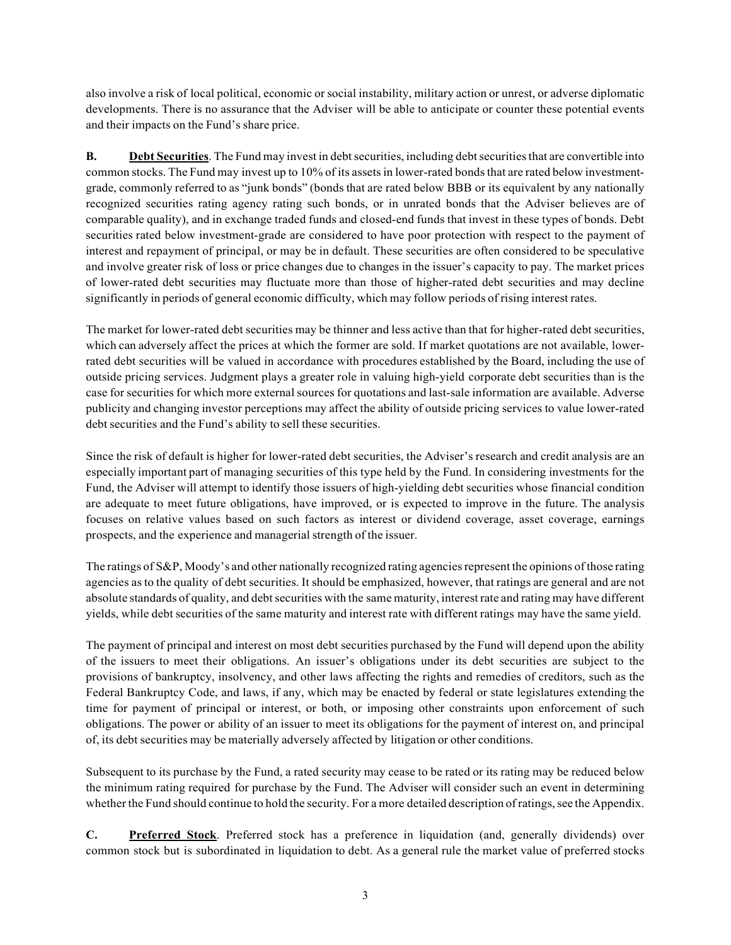also involve a risk of local political, economic or social instability, military action or unrest, or adverse diplomatic developments. There is no assurance that the Adviser will be able to anticipate or counter these potential events and their impacts on the Fund's share price.

**B. Debt Securities**. The Fund may invest in debt securities, including debt securities that are convertible into common stocks. The Fund may invest up to 10% of its assets in lower-rated bonds that are rated below investmentgrade, commonly referred to as "junk bonds" (bonds that are rated below BBB or its equivalent by any nationally recognized securities rating agency rating such bonds, or in unrated bonds that the Adviser believes are of comparable quality), and in exchange traded funds and closed-end funds that invest in these types of bonds. Debt securities rated below investment-grade are considered to have poor protection with respect to the payment of interest and repayment of principal, or may be in default. These securities are often considered to be speculative and involve greater risk of loss or price changes due to changes in the issuer's capacity to pay. The market prices of lower-rated debt securities may fluctuate more than those of higher-rated debt securities and may decline significantly in periods of general economic difficulty, which may follow periods of rising interest rates.

The market for lower-rated debt securities may be thinner and less active than that for higher-rated debt securities, which can adversely affect the prices at which the former are sold. If market quotations are not available, lowerrated debt securities will be valued in accordance with procedures established by the Board, including the use of outside pricing services. Judgment plays a greater role in valuing high-yield corporate debt securities than is the case for securities for which more external sources for quotations and last-sale information are available. Adverse publicity and changing investor perceptions may affect the ability of outside pricing services to value lower-rated debt securities and the Fund's ability to sell these securities.

Since the risk of default is higher for lower-rated debt securities, the Adviser's research and credit analysis are an especially important part of managing securities of this type held by the Fund. In considering investments for the Fund, the Adviser will attempt to identify those issuers of high-yielding debt securities whose financial condition are adequate to meet future obligations, have improved, or is expected to improve in the future. The analysis focuses on relative values based on such factors as interest or dividend coverage, asset coverage, earnings prospects, and the experience and managerial strength of the issuer.

The ratings of S&P, Moody's and other nationally recognized rating agenciesrepresent the opinions of those rating agencies as to the quality of debt securities. It should be emphasized, however, that ratings are general and are not absolute standards of quality, and debt securities with the same maturity, interest rate and rating may have different yields, while debt securities of the same maturity and interest rate with different ratings may have the same yield.

The payment of principal and interest on most debt securities purchased by the Fund will depend upon the ability of the issuers to meet their obligations. An issuer's obligations under its debt securities are subject to the provisions of bankruptcy, insolvency, and other laws affecting the rights and remedies of creditors, such as the Federal Bankruptcy Code, and laws, if any, which may be enacted by federal or state legislatures extending the time for payment of principal or interest, or both, or imposing other constraints upon enforcement of such obligations. The power or ability of an issuer to meet its obligations for the payment of interest on, and principal of, its debt securities may be materially adversely affected by litigation or other conditions.

Subsequent to its purchase by the Fund, a rated security may cease to be rated or its rating may be reduced below the minimum rating required for purchase by the Fund. The Adviser will consider such an event in determining whether the Fund should continue to hold the security. For a more detailed description of ratings, see the Appendix.

**C. Preferred Stock**. Preferred stock has a preference in liquidation (and, generally dividends) over common stock but is subordinated in liquidation to debt. As a general rule the market value of preferred stocks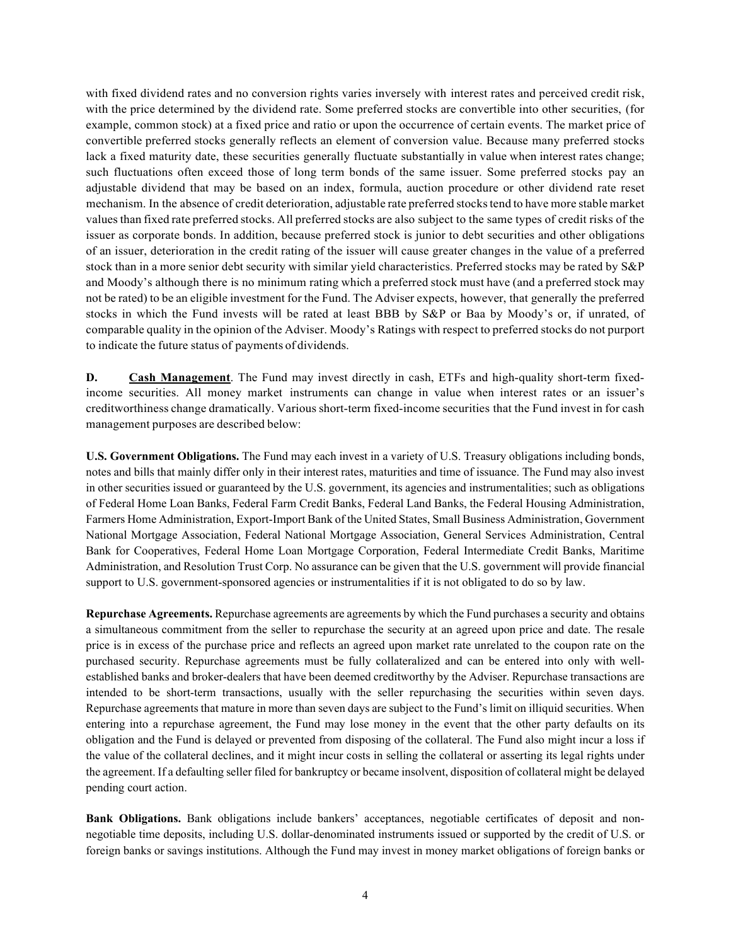with fixed dividend rates and no conversion rights varies inversely with interest rates and perceived credit risk, with the price determined by the dividend rate. Some preferred stocks are convertible into other securities, (for example, common stock) at a fixed price and ratio or upon the occurrence of certain events. The market price of convertible preferred stocks generally reflects an element of conversion value. Because many preferred stocks lack a fixed maturity date, these securities generally fluctuate substantially in value when interest rates change; such fluctuations often exceed those of long term bonds of the same issuer. Some preferred stocks pay an adjustable dividend that may be based on an index, formula, auction procedure or other dividend rate reset mechanism. In the absence of credit deterioration, adjustable rate preferred stocks tend to have more stable market valuesthan fixed rate preferred stocks. All preferred stocks are also subject to the same types of credit risks of the issuer as corporate bonds. In addition, because preferred stock is junior to debt securities and other obligations of an issuer, deterioration in the credit rating of the issuer will cause greater changes in the value of a preferred stock than in a more senior debt security with similar yield characteristics. Preferred stocks may be rated by S&P and Moody's although there is no minimum rating which a preferred stock must have (and a preferred stock may not be rated) to be an eligible investment for the Fund. The Adviser expects, however, that generally the preferred stocks in which the Fund invests will be rated at least BBB by S&P or Baa by Moody's or, if unrated, of comparable quality in the opinion of the Adviser. Moody's Ratings with respect to preferred stocks do not purport to indicate the future status of payments of dividends.

**D. Cash Management**. The Fund may invest directly in cash, ETFs and high-quality short-term fixedincome securities. All money market instruments can change in value when interest rates or an issuer's creditworthiness change dramatically. Various short-term fixed-income securities that the Fund invest in for cash management purposes are described below:

**U.S. Government Obligations.** The Fund may each invest in a variety of U.S. Treasury obligations including bonds, notes and bills that mainly differ only in their interest rates, maturities and time of issuance. The Fund may also invest in other securities issued or guaranteed by the U.S. government, its agencies and instrumentalities; such as obligations of Federal Home Loan Banks, Federal Farm Credit Banks, Federal Land Banks, the Federal Housing Administration, Farmers Home Administration, Export-Import Bank of the United States, Small Business Administration, Government National Mortgage Association, Federal National Mortgage Association, General Services Administration, Central Bank for Cooperatives, Federal Home Loan Mortgage Corporation, Federal Intermediate Credit Banks, Maritime Administration, and Resolution Trust Corp. No assurance can be given that the U.S. government will provide financial support to U.S. government-sponsored agencies or instrumentalities if it is not obligated to do so by law.

**Repurchase Agreements.** Repurchase agreements are agreements by which the Fund purchases a security and obtains a simultaneous commitment from the seller to repurchase the security at an agreed upon price and date. The resale price is in excess of the purchase price and reflects an agreed upon market rate unrelated to the coupon rate on the purchased security. Repurchase agreements must be fully collateralized and can be entered into only with wellestablished banks and broker-dealers that have been deemed creditworthy by the Adviser. Repurchase transactions are intended to be short-term transactions, usually with the seller repurchasing the securities within seven days. Repurchase agreements that mature in more than seven days are subject to the Fund's limit on illiquid securities. When entering into a repurchase agreement, the Fund may lose money in the event that the other party defaults on its obligation and the Fund is delayed or prevented from disposing of the collateral. The Fund also might incur a loss if the value of the collateral declines, and it might incur costs in selling the collateral or asserting its legal rights under the agreement. If a defaulting seller filed for bankruptcy or became insolvent, disposition of collateral might be delayed pending court action.

**Bank Obligations.** Bank obligations include bankers' acceptances, negotiable certificates of deposit and nonnegotiable time deposits, including U.S. dollar-denominated instruments issued or supported by the credit of U.S. or foreign banks or savings institutions. Although the Fund may invest in money market obligations of foreign banks or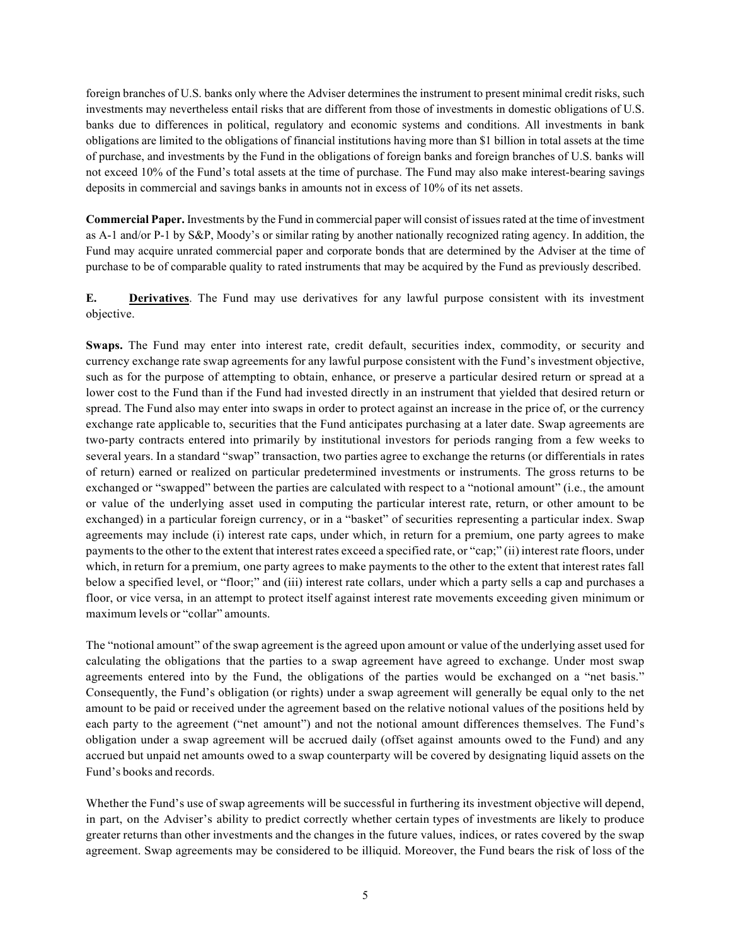foreign branches of U.S. banks only where the Adviser determines the instrument to present minimal credit risks, such investments may nevertheless entail risks that are different from those of investments in domestic obligations of U.S. banks due to differences in political, regulatory and economic systems and conditions. All investments in bank obligations are limited to the obligations of financial institutions having more than \$1 billion in total assets at the time of purchase, and investments by the Fund in the obligations of foreign banks and foreign branches of U.S. banks will not exceed 10% of the Fund's total assets at the time of purchase. The Fund may also make interest-bearing savings deposits in commercial and savings banks in amounts not in excess of 10% of its net assets.

**Commercial Paper.** Investments by the Fund in commercial paper will consist of issues rated at the time of investment as A-1 and/or P-1 by S&P, Moody's or similar rating by another nationally recognized rating agency. In addition, the Fund may acquire unrated commercial paper and corporate bonds that are determined by the Adviser at the time of purchase to be of comparable quality to rated instruments that may be acquired by the Fund as previously described.

**E. Derivatives**. The Fund may use derivatives for any lawful purpose consistent with its investment objective.

**Swaps.** The Fund may enter into interest rate, credit default, securities index, commodity, or security and currency exchange rate swap agreements for any lawful purpose consistent with the Fund's investment objective, such as for the purpose of attempting to obtain, enhance, or preserve a particular desired return or spread at a lower cost to the Fund than if the Fund had invested directly in an instrument that yielded that desired return or spread. The Fund also may enter into swaps in order to protect against an increase in the price of, or the currency exchange rate applicable to, securities that the Fund anticipates purchasing at a later date. Swap agreements are two-party contracts entered into primarily by institutional investors for periods ranging from a few weeks to several years. In a standard "swap" transaction, two parties agree to exchange the returns (or differentials in rates of return) earned or realized on particular predetermined investments or instruments. The gross returns to be exchanged or "swapped" between the parties are calculated with respect to a "notional amount" (i.e., the amount or value of the underlying asset used in computing the particular interest rate, return, or other amount to be exchanged) in a particular foreign currency, or in a "basket" of securities representing a particular index. Swap agreements may include (i) interest rate caps, under which, in return for a premium, one party agrees to make payments to the other to the extent that interest rates exceed a specified rate, or "cap;" (ii) interest rate floors, under which, in return for a premium, one party agrees to make payments to the other to the extent that interest rates fall below a specified level, or "floor;" and (iii) interest rate collars, under which a party sells a cap and purchases a floor, or vice versa, in an attempt to protect itself against interest rate movements exceeding given minimum or maximum levels or "collar" amounts.

The "notional amount" of the swap agreement is the agreed upon amount or value of the underlying asset used for calculating the obligations that the parties to a swap agreement have agreed to exchange. Under most swap agreements entered into by the Fund, the obligations of the parties would be exchanged on a "net basis." Consequently, the Fund's obligation (or rights) under a swap agreement will generally be equal only to the net amount to be paid or received under the agreement based on the relative notional values of the positions held by each party to the agreement ("net amount") and not the notional amount differences themselves. The Fund's obligation under a swap agreement will be accrued daily (offset against amounts owed to the Fund) and any accrued but unpaid net amounts owed to a swap counterparty will be covered by designating liquid assets on the Fund's books and records.

Whether the Fund's use of swap agreements will be successful in furthering its investment objective will depend, in part, on the Adviser's ability to predict correctly whether certain types of investments are likely to produce greater returns than other investments and the changes in the future values, indices, or rates covered by the swap agreement. Swap agreements may be considered to be illiquid. Moreover, the Fund bears the risk of loss of the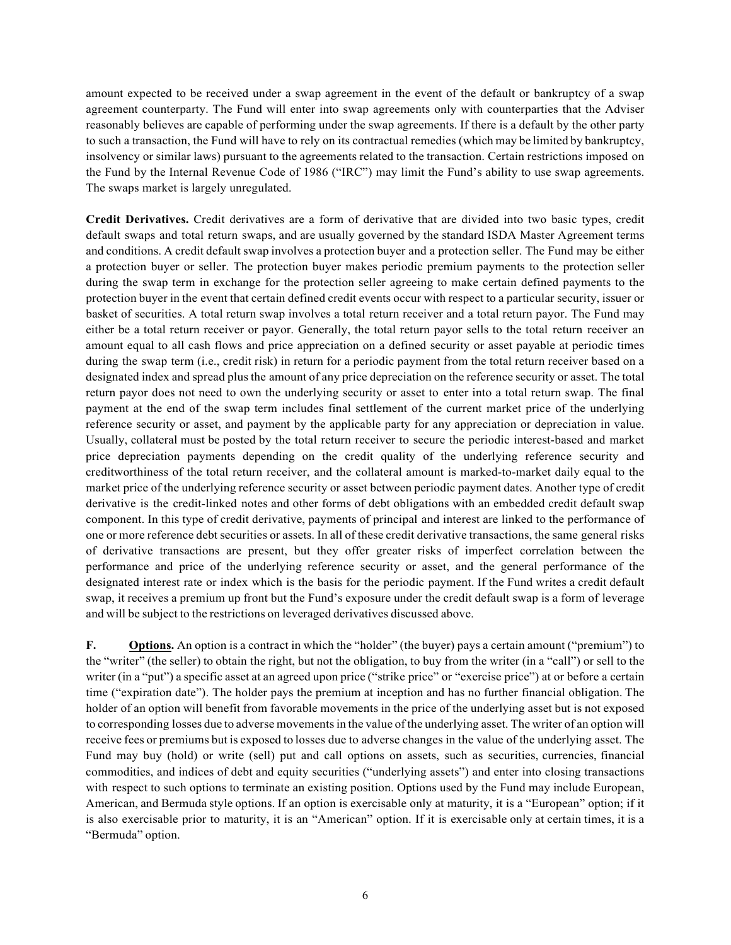amount expected to be received under a swap agreement in the event of the default or bankruptcy of a swap agreement counterparty. The Fund will enter into swap agreements only with counterparties that the Adviser reasonably believes are capable of performing under the swap agreements. If there is a default by the other party to such a transaction, the Fund will have to rely on its contractual remedies (which may be limited by bankruptcy, insolvency or similar laws) pursuant to the agreements related to the transaction. Certain restrictions imposed on the Fund by the Internal Revenue Code of 1986 ("IRC") may limit the Fund's ability to use swap agreements. The swaps market is largely unregulated.

**Credit Derivatives.** Credit derivatives are a form of derivative that are divided into two basic types, credit default swaps and total return swaps, and are usually governed by the standard ISDA Master Agreement terms and conditions. A credit default swap involves a protection buyer and a protection seller. The Fund may be either a protection buyer or seller. The protection buyer makes periodic premium payments to the protection seller during the swap term in exchange for the protection seller agreeing to make certain defined payments to the protection buyer in the event that certain defined credit events occur with respect to a particular security, issuer or basket of securities. A total return swap involves a total return receiver and a total return payor. The Fund may either be a total return receiver or payor. Generally, the total return payor sells to the total return receiver an amount equal to all cash flows and price appreciation on a defined security or asset payable at periodic times during the swap term (i.e., credit risk) in return for a periodic payment from the total return receiver based on a designated index and spread plus the amount of any price depreciation on the reference security or asset. The total return payor does not need to own the underlying security or asset to enter into a total return swap. The final payment at the end of the swap term includes final settlement of the current market price of the underlying reference security or asset, and payment by the applicable party for any appreciation or depreciation in value. Usually, collateral must be posted by the total return receiver to secure the periodic interest-based and market price depreciation payments depending on the credit quality of the underlying reference security and creditworthiness of the total return receiver, and the collateral amount is marked-to-market daily equal to the market price of the underlying reference security or asset between periodic payment dates. Another type of credit derivative is the credit-linked notes and other forms of debt obligations with an embedded credit default swap component. In this type of credit derivative, payments of principal and interest are linked to the performance of one or more reference debt securities or assets. In all of these credit derivative transactions, the same general risks of derivative transactions are present, but they offer greater risks of imperfect correlation between the performance and price of the underlying reference security or asset, and the general performance of the designated interest rate or index which is the basis for the periodic payment. If the Fund writes a credit default swap, it receives a premium up front but the Fund's exposure under the credit default swap is a form of leverage and will be subject to the restrictions on leveraged derivatives discussed above.

**F. Options.** An option is a contract in which the "holder" (the buyer) pays a certain amount ("premium") to the "writer" (the seller) to obtain the right, but not the obligation, to buy from the writer (in a "call") or sell to the writer (in a "put") a specific asset at an agreed upon price ("strike price" or "exercise price") at or before a certain time ("expiration date"). The holder pays the premium at inception and has no further financial obligation. The holder of an option will benefit from favorable movements in the price of the underlying asset but is not exposed to corresponding losses due to adverse movementsin the value of the underlying asset. The writer of an option will receive fees or premiums but is exposed to losses due to adverse changes in the value of the underlying asset. The Fund may buy (hold) or write (sell) put and call options on assets, such as securities, currencies, financial commodities, and indices of debt and equity securities ("underlying assets") and enter into closing transactions with respect to such options to terminate an existing position. Options used by the Fund may include European, American, and Bermuda style options. If an option is exercisable only at maturity, it is a "European" option; if it is also exercisable prior to maturity, it is an "American" option. If it is exercisable only at certain times, it is a "Bermuda" option.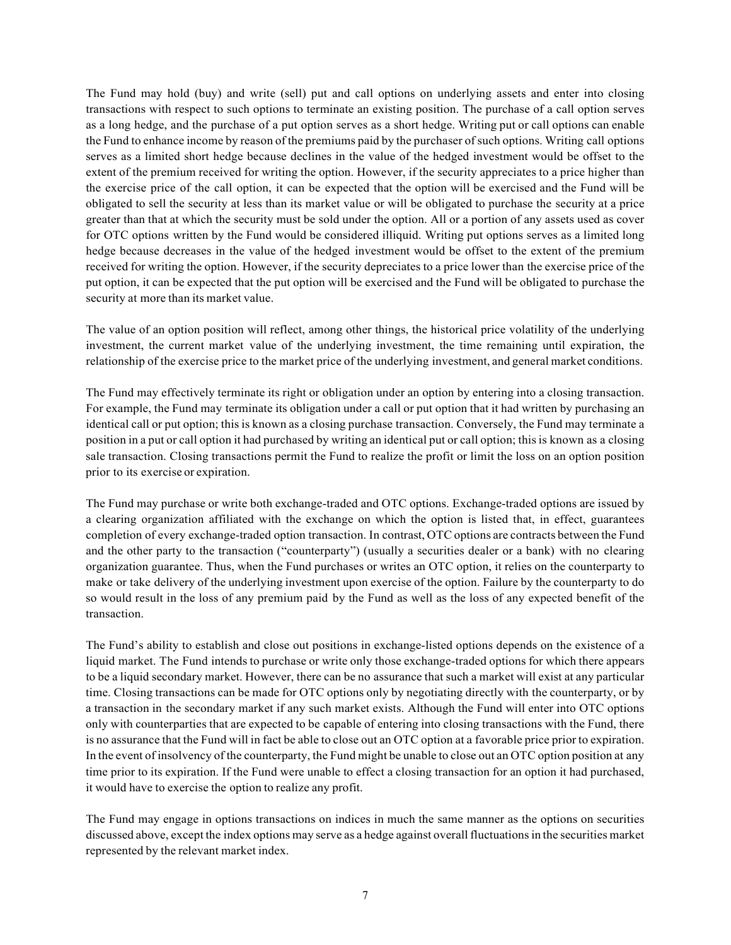The Fund may hold (buy) and write (sell) put and call options on underlying assets and enter into closing transactions with respect to such options to terminate an existing position. The purchase of a call option serves as a long hedge, and the purchase of a put option serves as a short hedge. Writing put or call options can enable the Fund to enhance income by reason of the premiums paid by the purchaser of such options. Writing call options serves as a limited short hedge because declines in the value of the hedged investment would be offset to the extent of the premium received for writing the option. However, if the security appreciates to a price higher than the exercise price of the call option, it can be expected that the option will be exercised and the Fund will be obligated to sell the security at less than its market value or will be obligated to purchase the security at a price greater than that at which the security must be sold under the option. All or a portion of any assets used as cover for OTC options written by the Fund would be considered illiquid. Writing put options serves as a limited long hedge because decreases in the value of the hedged investment would be offset to the extent of the premium received for writing the option. However, if the security depreciates to a price lower than the exercise price of the put option, it can be expected that the put option will be exercised and the Fund will be obligated to purchase the security at more than its market value.

The value of an option position will reflect, among other things, the historical price volatility of the underlying investment, the current market value of the underlying investment, the time remaining until expiration, the relationship of the exercise price to the market price of the underlying investment, and general market conditions.

The Fund may effectively terminate its right or obligation under an option by entering into a closing transaction. For example, the Fund may terminate its obligation under a call or put option that it had written by purchasing an identical call or put option; this is known as a closing purchase transaction. Conversely, the Fund may terminate a position in a put or call option it had purchased by writing an identical put or call option; thisis known as a closing sale transaction. Closing transactions permit the Fund to realize the profit or limit the loss on an option position prior to its exercise or expiration.

The Fund may purchase or write both exchange-traded and OTC options. Exchange-traded options are issued by a clearing organization affiliated with the exchange on which the option is listed that, in effect, guarantees completion of every exchange-traded option transaction. In contrast, OTC options are contracts between the Fund and the other party to the transaction ("counterparty") (usually a securities dealer or a bank) with no clearing organization guarantee. Thus, when the Fund purchases or writes an OTC option, it relies on the counterparty to make or take delivery of the underlying investment upon exercise of the option. Failure by the counterparty to do so would result in the loss of any premium paid by the Fund as well as the loss of any expected benefit of the transaction.

The Fund's ability to establish and close out positions in exchange-listed options depends on the existence of a liquid market. The Fund intends to purchase or write only those exchange-traded options for which there appears to be a liquid secondary market. However, there can be no assurance that such a market will exist at any particular time. Closing transactions can be made for OTC options only by negotiating directly with the counterparty, or by a transaction in the secondary market if any such market exists. Although the Fund will enter into OTC options only with counterparties that are expected to be capable of entering into closing transactions with the Fund, there is no assurance that the Fund will in fact be able to close out an OTC option at a favorable price prior to expiration. In the event of insolvency of the counterparty, the Fund might be unable to close out an OTC option position at any time prior to its expiration. If the Fund were unable to effect a closing transaction for an option it had purchased, it would have to exercise the option to realize any profit.

The Fund may engage in options transactions on indices in much the same manner as the options on securities discussed above, except the index options may serve as a hedge against overall fluctuationsin the securities market represented by the relevant market index.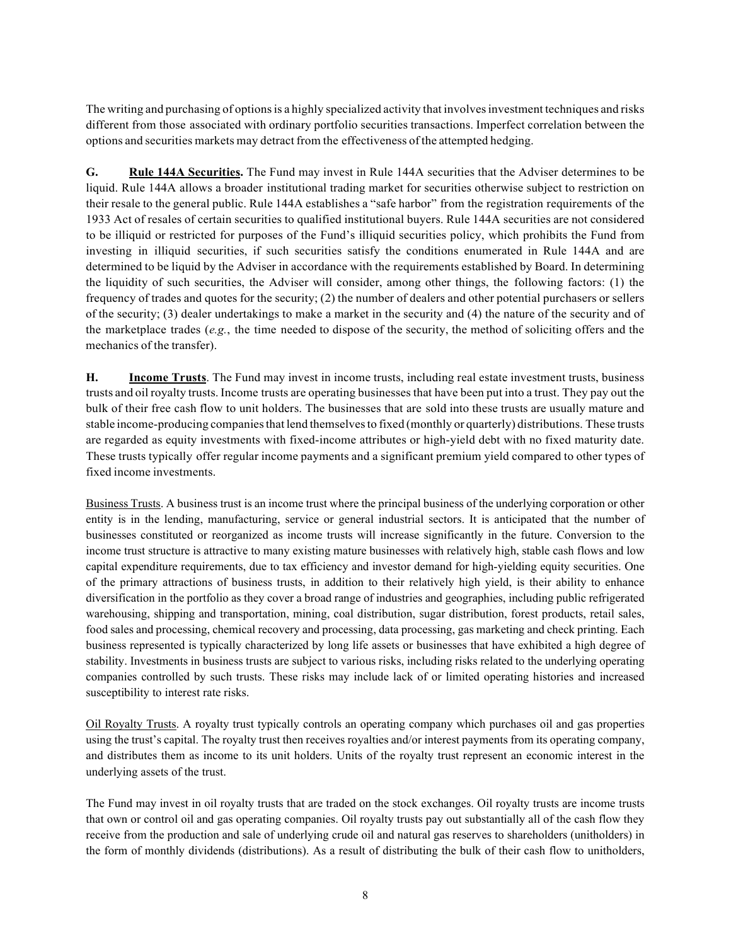The writing and purchasing of options is a highly specialized activity that involves investment techniques and risks different from those associated with ordinary portfolio securities transactions. Imperfect correlation between the options and securities markets may detract from the effectiveness of the attempted hedging.

**G. Rule 144A Securities.** The Fund may invest in Rule 144A securities that the Adviser determines to be liquid. Rule 144A allows a broader institutional trading market for securities otherwise subject to restriction on their resale to the general public. Rule 144A establishes a "safe harbor" from the registration requirements of the 1933 Act of resales of certain securities to qualified institutional buyers. Rule 144A securities are not considered to be illiquid or restricted for purposes of the Fund's illiquid securities policy, which prohibits the Fund from investing in illiquid securities, if such securities satisfy the conditions enumerated in Rule 144A and are determined to be liquid by the Adviser in accordance with the requirements established by Board. In determining the liquidity of such securities, the Adviser will consider, among other things, the following factors: (1) the frequency of trades and quotes for the security; (2) the number of dealers and other potential purchasers or sellers of the security; (3) dealer undertakings to make a market in the security and (4) the nature of the security and of the marketplace trades (*e.g.*, the time needed to dispose of the security, the method of soliciting offers and the mechanics of the transfer).

**H. Income Trusts**. The Fund may invest in income trusts, including real estate investment trusts, business trusts and oil royalty trusts. Income trusts are operating businesses that have been put into a trust. They pay out the bulk of their free cash flow to unit holders. The businesses that are sold into these trusts are usually mature and stable income-producing companiesthat lend themselvesto fixed (monthly or quarterly) distributions. These trusts are regarded as equity investments with fixed-income attributes or high-yield debt with no fixed maturity date. These trusts typically offer regular income payments and a significant premium yield compared to other types of fixed income investments.

Business Trusts. A business trust is an income trust where the principal business of the underlying corporation or other entity is in the lending, manufacturing, service or general industrial sectors. It is anticipated that the number of businesses constituted or reorganized as income trusts will increase significantly in the future. Conversion to the income trust structure is attractive to many existing mature businesses with relatively high, stable cash flows and low capital expenditure requirements, due to tax efficiency and investor demand for high-yielding equity securities. One of the primary attractions of business trusts, in addition to their relatively high yield, is their ability to enhance diversification in the portfolio as they cover a broad range of industries and geographies, including public refrigerated warehousing, shipping and transportation, mining, coal distribution, sugar distribution, forest products, retail sales, food sales and processing, chemical recovery and processing, data processing, gas marketing and check printing. Each business represented is typically characterized by long life assets or businesses that have exhibited a high degree of stability. Investments in business trusts are subject to various risks, including risks related to the underlying operating companies controlled by such trusts. These risks may include lack of or limited operating histories and increased susceptibility to interest rate risks.

Oil Royalty Trusts. A royalty trust typically controls an operating company which purchases oil and gas properties using the trust's capital. The royalty trust then receives royalties and/or interest payments from its operating company, and distributes them as income to its unit holders. Units of the royalty trust represent an economic interest in the underlying assets of the trust.

The Fund may invest in oil royalty trusts that are traded on the stock exchanges. Oil royalty trusts are income trusts that own or control oil and gas operating companies. Oil royalty trusts pay out substantially all of the cash flow they receive from the production and sale of underlying crude oil and natural gas reserves to shareholders (unitholders) in the form of monthly dividends (distributions). As a result of distributing the bulk of their cash flow to unitholders,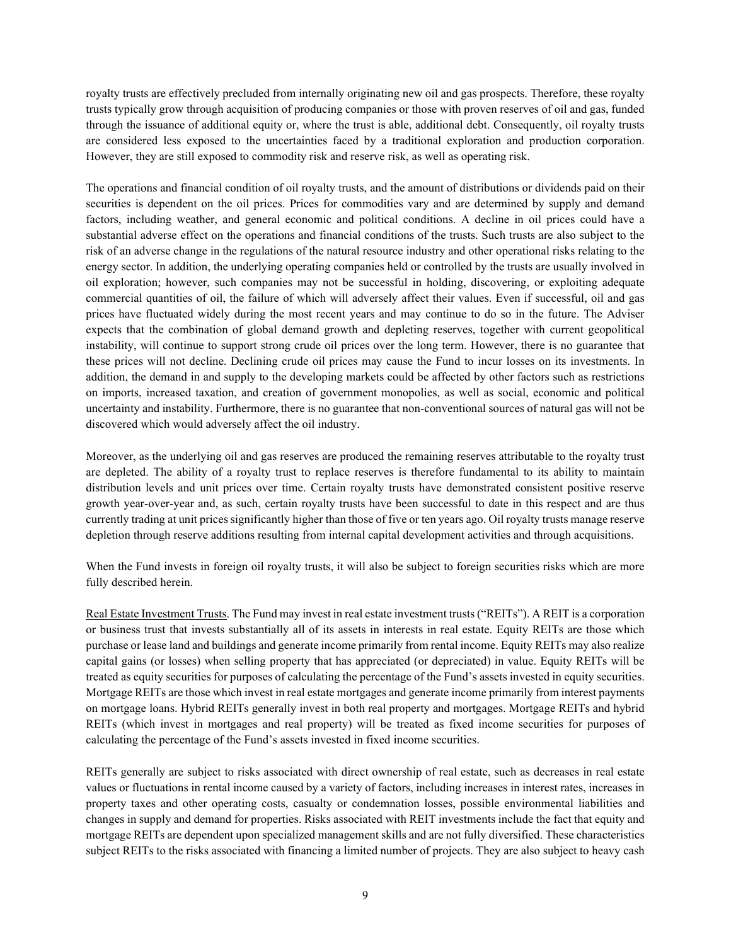royalty trusts are effectively precluded from internally originating new oil and gas prospects. Therefore, these royalty trusts typically grow through acquisition of producing companies or those with proven reserves of oil and gas, funded through the issuance of additional equity or, where the trust is able, additional debt. Consequently, oil royalty trusts are considered less exposed to the uncertainties faced by a traditional exploration and production corporation. However, they are still exposed to commodity risk and reserve risk, as well as operating risk.

The operations and financial condition of oil royalty trusts, and the amount of distributions or dividends paid on their securities is dependent on the oil prices. Prices for commodities vary and are determined by supply and demand factors, including weather, and general economic and political conditions. A decline in oil prices could have a substantial adverse effect on the operations and financial conditions of the trusts. Such trusts are also subject to the risk of an adverse change in the regulations of the natural resource industry and other operational risks relating to the energy sector. In addition, the underlying operating companies held or controlled by the trusts are usually involved in oil exploration; however, such companies may not be successful in holding, discovering, or exploiting adequate commercial quantities of oil, the failure of which will adversely affect their values. Even if successful, oil and gas prices have fluctuated widely during the most recent years and may continue to do so in the future. The Adviser expects that the combination of global demand growth and depleting reserves, together with current geopolitical instability, will continue to support strong crude oil prices over the long term. However, there is no guarantee that these prices will not decline. Declining crude oil prices may cause the Fund to incur losses on its investments. In addition, the demand in and supply to the developing markets could be affected by other factors such as restrictions on imports, increased taxation, and creation of government monopolies, as well as social, economic and political uncertainty and instability. Furthermore, there is no guarantee that non-conventional sources of natural gas will not be discovered which would adversely affect the oil industry.

Moreover, as the underlying oil and gas reserves are produced the remaining reserves attributable to the royalty trust are depleted. The ability of a royalty trust to replace reserves is therefore fundamental to its ability to maintain distribution levels and unit prices over time. Certain royalty trusts have demonstrated consistent positive reserve growth year-over-year and, as such, certain royalty trusts have been successful to date in this respect and are thus currently trading at unit prices significantly higher than those of five or ten years ago. Oil royalty trusts manage reserve depletion through reserve additions resulting from internal capital development activities and through acquisitions.

When the Fund invests in foreign oil royalty trusts, it will also be subject to foreign securities risks which are more fully described herein.

Real Estate Investment Trusts. The Fund may invest in real estate investment trusts ("REITs"). A REIT is a corporation or business trust that invests substantially all of its assets in interests in real estate. Equity REITs are those which purchase or lease land and buildings and generate income primarily from rental income. Equity REITs may also realize capital gains (or losses) when selling property that has appreciated (or depreciated) in value. Equity REITs will be treated as equity securities for purposes of calculating the percentage of the Fund's assets invested in equity securities. Mortgage REITs are those which invest in real estate mortgages and generate income primarily from interest payments on mortgage loans. Hybrid REITs generally invest in both real property and mortgages. Mortgage REITs and hybrid REITs (which invest in mortgages and real property) will be treated as fixed income securities for purposes of calculating the percentage of the Fund's assets invested in fixed income securities.

REITs generally are subject to risks associated with direct ownership of real estate, such as decreases in real estate values or fluctuations in rental income caused by a variety of factors, including increases in interest rates, increases in property taxes and other operating costs, casualty or condemnation losses, possible environmental liabilities and changes in supply and demand for properties. Risks associated with REIT investments include the fact that equity and mortgage REITs are dependent upon specialized management skills and are not fully diversified. These characteristics subject REITs to the risks associated with financing a limited number of projects. They are also subject to heavy cash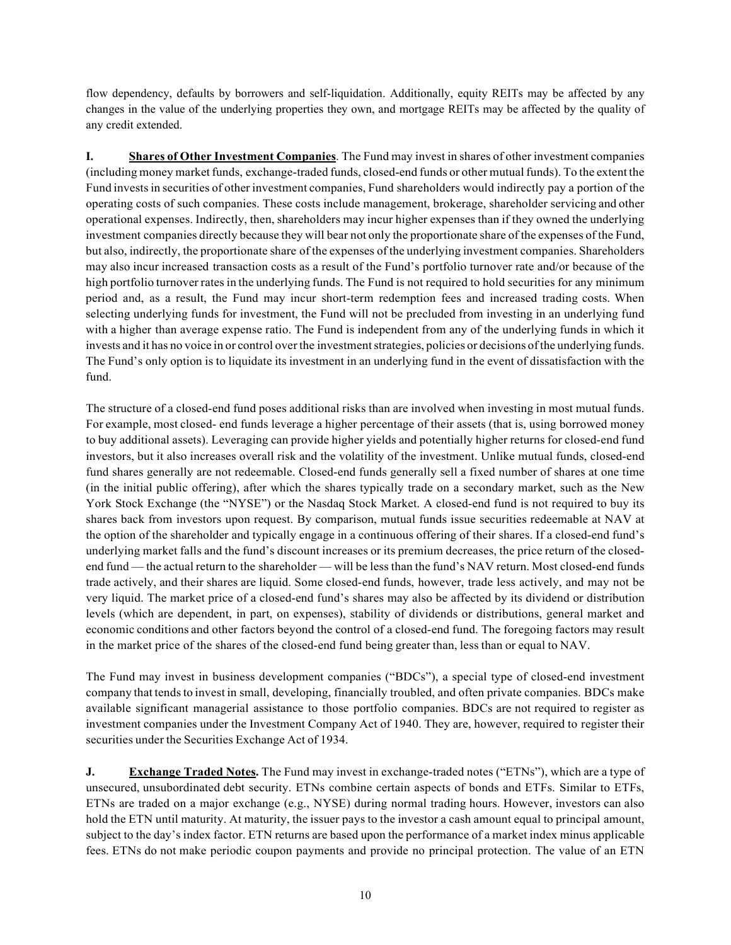flow dependency, defaults by borrowers and self-liquidation. Additionally, equity REITs may be affected by any changes in the value of the underlying properties they own, and mortgage REITs may be affected by the quality of any credit extended.

**I. Shares of Other Investment Companies**. The Fund may invest in shares of other investment companies (including money market funds, exchange-traded funds, closed-end funds or other mutual funds). To the extent the Fund investsin securities of other investment companies, Fund shareholders would indirectly pay a portion of the operating costs of such companies. These costs include management, brokerage, shareholder servicing and other operational expenses. Indirectly, then, shareholders may incur higher expenses than if they owned the underlying investment companies directly because they will bear not only the proportionate share of the expenses of the Fund, but also, indirectly, the proportionate share of the expenses of the underlying investment companies. Shareholders may also incur increased transaction costs as a result of the Fund's portfolio turnover rate and/or because of the high portfolio turnover ratesin the underlying funds. The Fund is not required to hold securities for any minimum period and, as a result, the Fund may incur short-term redemption fees and increased trading costs. When selecting underlying funds for investment, the Fund will not be precluded from investing in an underlying fund with a higher than average expense ratio. The Fund is independent from any of the underlying funds in which it invests and it has no voice in or control over the investment strategies, policies or decisions of the underlying funds. The Fund's only option is to liquidate its investment in an underlying fund in the event of dissatisfaction with the fund.

The structure of a closed-end fund poses additional risks than are involved when investing in most mutual funds. For example, most closed- end funds leverage a higher percentage of their assets (that is, using borrowed money to buy additional assets). Leveraging can provide higher yields and potentially higher returns for closed-end fund investors, but it also increases overall risk and the volatility of the investment. Unlike mutual funds, closed-end fund shares generally are not redeemable. Closed-end funds generally sell a fixed number of shares at one time (in the initial public offering), after which the shares typically trade on a secondary market, such as the New York Stock Exchange (the "NYSE") or the Nasdaq Stock Market. A closed-end fund is not required to buy its shares back from investors upon request. By comparison, mutual funds issue securities redeemable at NAV at the option of the shareholder and typically engage in a continuous offering of their shares. If a closed-end fund's underlying market falls and the fund's discount increases or its premium decreases, the price return of the closedend fund — the actual return to the shareholder — will be lessthan the fund's NAV return. Most closed-end funds trade actively, and their shares are liquid. Some closed-end funds, however, trade less actively, and may not be very liquid. The market price of a closed-end fund's shares may also be affected by its dividend or distribution levels (which are dependent, in part, on expenses), stability of dividends or distributions, general market and economic conditions and other factors beyond the control of a closed-end fund. The foregoing factors may result in the market price of the shares of the closed-end fund being greater than, less than or equal to NAV.

The Fund may invest in business development companies ("BDCs"), a special type of closed-end investment company that tendsto invest in small, developing, financially troubled, and often private companies. BDCs make available significant managerial assistance to those portfolio companies. BDCs are not required to register as investment companies under the Investment Company Act of 1940. They are, however, required to register their securities under the Securities Exchange Act of 1934.

**J. Exchange Traded Notes.** The Fund may invest in exchange-traded notes ("ETNs"), which are a type of unsecured, unsubordinated debt security. ETNs combine certain aspects of bonds and ETFs. Similar to ETFs, ETNs are traded on a major exchange (e.g., NYSE) during normal trading hours. However, investors can also hold the ETN until maturity. At maturity, the issuer pays to the investor a cash amount equal to principal amount, subject to the day's index factor. ETN returns are based upon the performance of a market index minus applicable fees. ETNs do not make periodic coupon payments and provide no principal protection. The value of an ETN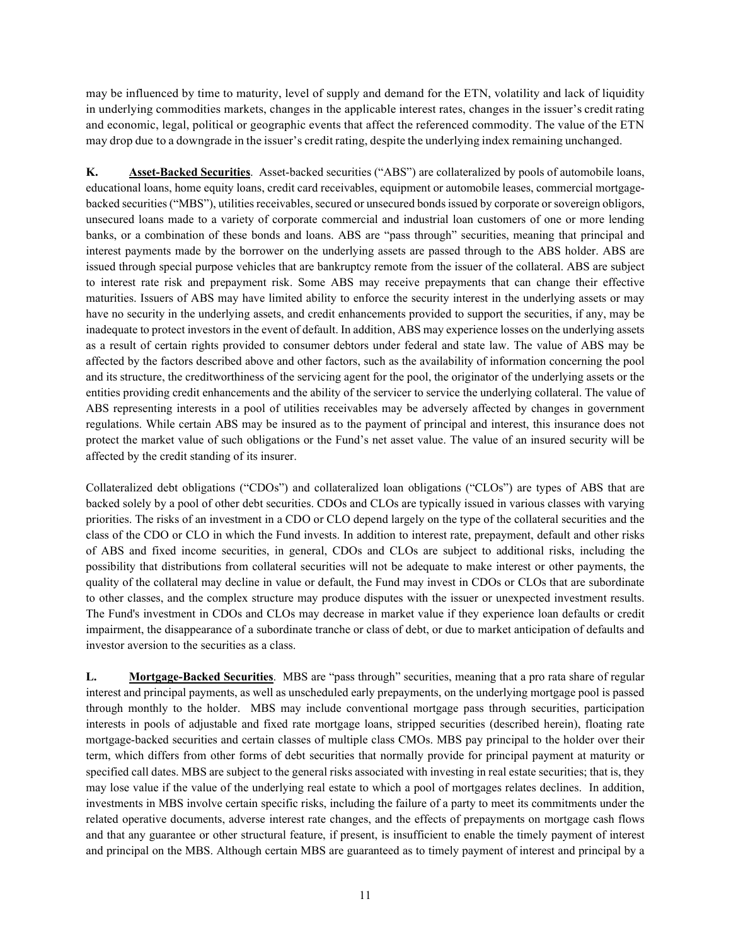may be influenced by time to maturity, level of supply and demand for the ETN, volatility and lack of liquidity in underlying commodities markets, changes in the applicable interest rates, changes in the issuer's credit rating and economic, legal, political or geographic events that affect the referenced commodity. The value of the ETN may drop due to a downgrade in the issuer's credit rating, despite the underlying index remaining unchanged.

**K. Asset-Backed Securities**. Asset-backed securities ("ABS") are collateralized by pools of automobile loans, educational loans, home equity loans, credit card receivables, equipment or automobile leases, commercial mortgagebacked securities ("MBS"), utilities receivables, secured or unsecured bonds issued by corporate or sovereign obligors, unsecured loans made to a variety of corporate commercial and industrial loan customers of one or more lending banks, or a combination of these bonds and loans. ABS are "pass through" securities, meaning that principal and interest payments made by the borrower on the underlying assets are passed through to the ABS holder. ABS are issued through special purpose vehicles that are bankruptcy remote from the issuer of the collateral. ABS are subject to interest rate risk and prepayment risk. Some ABS may receive prepayments that can change their effective maturities. Issuers of ABS may have limited ability to enforce the security interest in the underlying assets or may have no security in the underlying assets, and credit enhancements provided to support the securities, if any, may be inadequate to protect investors in the event of default. In addition, ABS may experience losses on the underlying assets as a result of certain rights provided to consumer debtors under federal and state law. The value of ABS may be affected by the factors described above and other factors, such as the availability of information concerning the pool and its structure, the creditworthiness of the servicing agent for the pool, the originator of the underlying assets or the entities providing credit enhancements and the ability of the servicer to service the underlying collateral. The value of ABS representing interests in a pool of utilities receivables may be adversely affected by changes in government regulations. While certain ABS may be insured as to the payment of principal and interest, this insurance does not protect the market value of such obligations or the Fund's net asset value. The value of an insured security will be affected by the credit standing of its insurer.

Collateralized debt obligations ("CDOs") and collateralized loan obligations ("CLOs") are types of ABS that are backed solely by a pool of other debt securities. CDOs and CLOs are typically issued in various classes with varying priorities. The risks of an investment in a CDO or CLO depend largely on the type of the collateral securities and the class of the CDO or CLO in which the Fund invests. In addition to interest rate, prepayment, default and other risks of ABS and fixed income securities, in general, CDOs and CLOs are subject to additional risks, including the possibility that distributions from collateral securities will not be adequate to make interest or other payments, the quality of the collateral may decline in value or default, the Fund may invest in CDOs or CLOs that are subordinate to other classes, and the complex structure may produce disputes with the issuer or unexpected investment results. The Fund's investment in CDOs and CLOs may decrease in market value if they experience loan defaults or credit impairment, the disappearance of a subordinate tranche or class of debt, or due to market anticipation of defaults and investor aversion to the securities as a class.

**L. Mortgage-Backed Securities**. MBS are "pass through" securities, meaning that a pro rata share of regular interest and principal payments, as well as unscheduled early prepayments, on the underlying mortgage pool is passed through monthly to the holder. MBS may include conventional mortgage pass through securities, participation interests in pools of adjustable and fixed rate mortgage loans, stripped securities (described herein), floating rate mortgage-backed securities and certain classes of multiple class CMOs. MBS pay principal to the holder over their term, which differs from other forms of debt securities that normally provide for principal payment at maturity or specified call dates. MBS are subject to the general risks associated with investing in real estate securities; that is, they may lose value if the value of the underlying real estate to which a pool of mortgages relates declines. In addition, investments in MBS involve certain specific risks, including the failure of a party to meet its commitments under the related operative documents, adverse interest rate changes, and the effects of prepayments on mortgage cash flows and that any guarantee or other structural feature, if present, is insufficient to enable the timely payment of interest and principal on the MBS. Although certain MBS are guaranteed as to timely payment of interest and principal by a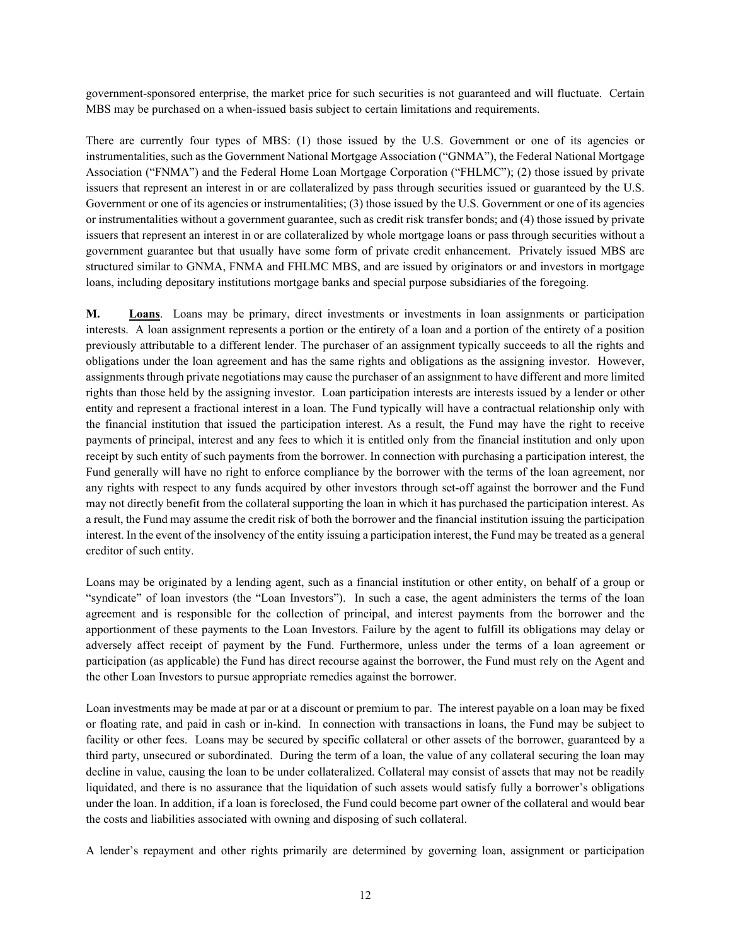government-sponsored enterprise, the market price for such securities is not guaranteed and will fluctuate. Certain MBS may be purchased on a when-issued basis subject to certain limitations and requirements.

There are currently four types of MBS: (1) those issued by the U.S. Government or one of its agencies or instrumentalities, such as the Government National Mortgage Association ("GNMA"), the Federal National Mortgage Association ("FNMA") and the Federal Home Loan Mortgage Corporation ("FHLMC"); (2) those issued by private issuers that represent an interest in or are collateralized by pass through securities issued or guaranteed by the U.S. Government or one of its agencies or instrumentalities; (3) those issued by the U.S. Government or one of its agencies or instrumentalities without a government guarantee, such as credit risk transfer bonds; and (4) those issued by private issuers that represent an interest in or are collateralized by whole mortgage loans or pass through securities without a government guarantee but that usually have some form of private credit enhancement. Privately issued MBS are structured similar to GNMA, FNMA and FHLMC MBS, and are issued by originators or and investors in mortgage loans, including depositary institutions mortgage banks and special purpose subsidiaries of the foregoing.

**M. Loans**. Loans may be primary, direct investments or investments in loan assignments or participation interests. A loan assignment represents a portion or the entirety of a loan and a portion of the entirety of a position previously attributable to a different lender. The purchaser of an assignment typically succeeds to all the rights and obligations under the loan agreement and has the same rights and obligations as the assigning investor. However, assignments through private negotiations may cause the purchaser of an assignment to have different and more limited rights than those held by the assigning investor. Loan participation interests are interests issued by a lender or other entity and represent a fractional interest in a loan. The Fund typically will have a contractual relationship only with the financial institution that issued the participation interest. As a result, the Fund may have the right to receive payments of principal, interest and any fees to which it is entitled only from the financial institution and only upon receipt by such entity of such payments from the borrower. In connection with purchasing a participation interest, the Fund generally will have no right to enforce compliance by the borrower with the terms of the loan agreement, nor any rights with respect to any funds acquired by other investors through set-off against the borrower and the Fund may not directly benefit from the collateral supporting the loan in which it has purchased the participation interest. As a result, the Fund may assume the credit risk of both the borrower and the financial institution issuing the participation interest. In the event of the insolvency of the entity issuing a participation interest, the Fund may be treated as a general creditor of such entity.

Loans may be originated by a lending agent, such as a financial institution or other entity, on behalf of a group or "syndicate" of loan investors (the "Loan Investors"). In such a case, the agent administers the terms of the loan agreement and is responsible for the collection of principal, and interest payments from the borrower and the apportionment of these payments to the Loan Investors. Failure by the agent to fulfill its obligations may delay or adversely affect receipt of payment by the Fund. Furthermore, unless under the terms of a loan agreement or participation (as applicable) the Fund has direct recourse against the borrower, the Fund must rely on the Agent and the other Loan Investors to pursue appropriate remedies against the borrower.

Loan investments may be made at par or at a discount or premium to par. The interest payable on a loan may be fixed or floating rate, and paid in cash or in-kind. In connection with transactions in loans, the Fund may be subject to facility or other fees. Loans may be secured by specific collateral or other assets of the borrower, guaranteed by a third party, unsecured or subordinated. During the term of a loan, the value of any collateral securing the loan may decline in value, causing the loan to be under collateralized. Collateral may consist of assets that may not be readily liquidated, and there is no assurance that the liquidation of such assets would satisfy fully a borrower's obligations under the loan. In addition, if a loan is foreclosed, the Fund could become part owner of the collateral and would bear the costs and liabilities associated with owning and disposing of such collateral.

A lender's repayment and other rights primarily are determined by governing loan, assignment or participation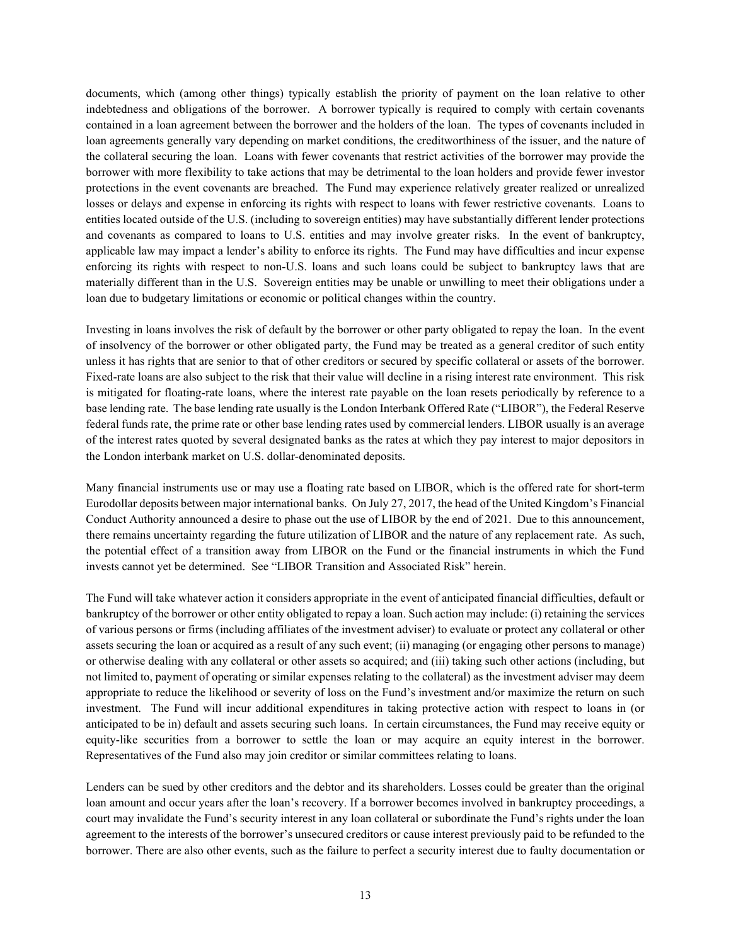documents, which (among other things) typically establish the priority of payment on the loan relative to other indebtedness and obligations of the borrower. A borrower typically is required to comply with certain covenants contained in a loan agreement between the borrower and the holders of the loan. The types of covenants included in loan agreements generally vary depending on market conditions, the creditworthiness of the issuer, and the nature of the collateral securing the loan. Loans with fewer covenants that restrict activities of the borrower may provide the borrower with more flexibility to take actions that may be detrimental to the loan holders and provide fewer investor protections in the event covenants are breached. The Fund may experience relatively greater realized or unrealized losses or delays and expense in enforcing its rights with respect to loans with fewer restrictive covenants. Loans to entities located outside of the U.S. (including to sovereign entities) may have substantially different lender protections and covenants as compared to loans to U.S. entities and may involve greater risks. In the event of bankruptcy, applicable law may impact a lender's ability to enforce its rights. The Fund may have difficulties and incur expense enforcing its rights with respect to non-U.S. loans and such loans could be subject to bankruptcy laws that are materially different than in the U.S. Sovereign entities may be unable or unwilling to meet their obligations under a loan due to budgetary limitations or economic or political changes within the country.

Investing in loans involves the risk of default by the borrower or other party obligated to repay the loan. In the event of insolvency of the borrower or other obligated party, the Fund may be treated as a general creditor of such entity unless it has rights that are senior to that of other creditors or secured by specific collateral or assets of the borrower. Fixed-rate loans are also subject to the risk that their value will decline in a rising interest rate environment. This risk is mitigated for floating-rate loans, where the interest rate payable on the loan resets periodically by reference to a base lending rate. The base lending rate usually is the London Interbank Offered Rate ("LIBOR"), the Federal Reserve federal funds rate, the prime rate or other base lending rates used by commercial lenders. LIBOR usually is an average of the interest rates quoted by several designated banks as the rates at which they pay interest to major depositors in the London interbank market on U.S. dollar-denominated deposits.

Many financial instruments use or may use a floating rate based on LIBOR, which is the offered rate for short-term Eurodollar deposits between major international banks. On July 27, 2017, the head of the United Kingdom's Financial Conduct Authority announced a desire to phase out the use of LIBOR by the end of 2021. Due to this announcement, there remains uncertainty regarding the future utilization of LIBOR and the nature of any replacement rate. As such, the potential effect of a transition away from LIBOR on the Fund or the financial instruments in which the Fund invests cannot yet be determined. See "LIBOR Transition and Associated Risk" herein.

The Fund will take whatever action it considers appropriate in the event of anticipated financial difficulties, default or bankruptcy of the borrower or other entity obligated to repay a loan. Such action may include: (i) retaining the services of various persons or firms (including affiliates of the investment adviser) to evaluate or protect any collateral or other assets securing the loan or acquired as a result of any such event; (ii) managing (or engaging other persons to manage) or otherwise dealing with any collateral or other assets so acquired; and (iii) taking such other actions (including, but not limited to, payment of operating or similar expenses relating to the collateral) as the investment adviser may deem appropriate to reduce the likelihood or severity of loss on the Fund's investment and/or maximize the return on such investment. The Fund will incur additional expenditures in taking protective action with respect to loans in (or anticipated to be in) default and assets securing such loans. In certain circumstances, the Fund may receive equity or equity-like securities from a borrower to settle the loan or may acquire an equity interest in the borrower. Representatives of the Fund also may join creditor or similar committees relating to loans.

Lenders can be sued by other creditors and the debtor and its shareholders. Losses could be greater than the original loan amount and occur years after the loan's recovery. If a borrower becomes involved in bankruptcy proceedings, a court may invalidate the Fund's security interest in any loan collateral or subordinate the Fund's rights under the loan agreement to the interests of the borrower's unsecured creditors or cause interest previously paid to be refunded to the borrower. There are also other events, such as the failure to perfect a security interest due to faulty documentation or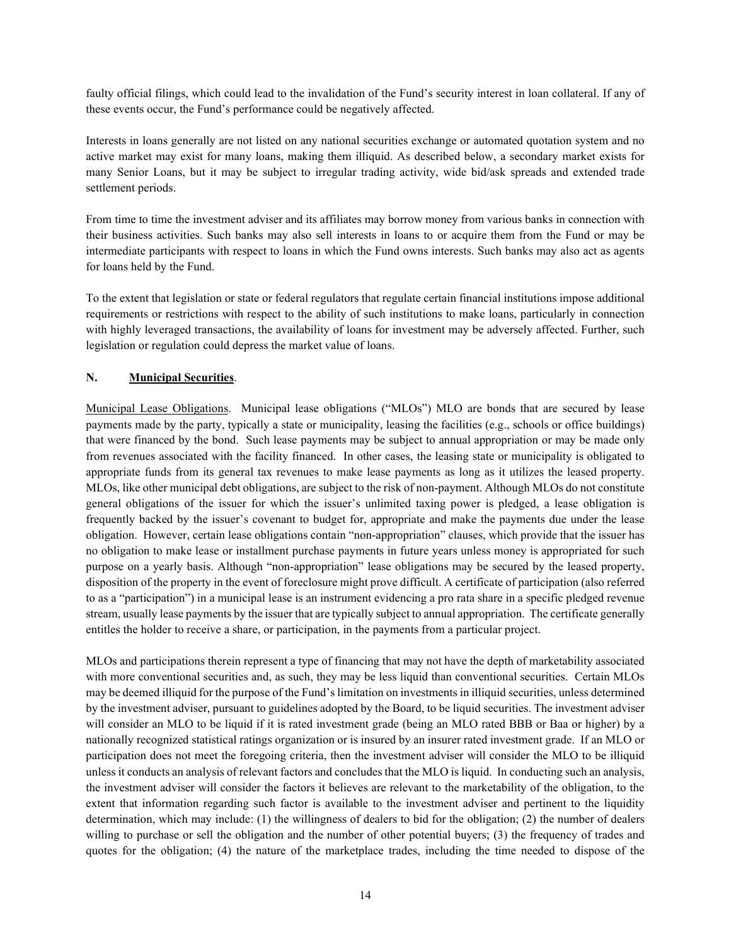faulty official filings, which could lead to the invalidation of the Fund's security interest in loan collateral. If any of these events occur, the Fund's performance could be negatively affected.

Interests in loans generally are not listed on any national securities exchange or automated quotation system and no active market may exist for many loans, making them illiquid. As described below, a secondary market exists for many Senior Loans, but it may be subject to irregular trading activity, wide bid/ask spreads and extended trade settlement periods.

From time to time the investment adviser and its affiliates may borrow money from various banks in connection with their business activities. Such banks may also sell interests in loans to or acquire them from the Fund or may be intermediate participants with respect to loans in which the Fund owns interests. Such banks may also act as agents for loans held by the Fund.

To the extent that legislation or state or federal regulators that regulate certain financial institutions impose additional requirements or restrictions with respect to the ability of such institutions to make loans, particularly in connection with highly leveraged transactions, the availability of loans for investment may be adversely affected. Further, such legislation or regulation could depress the market value of loans.

# **N. Municipal Securities**.

Municipal Lease Obligations. Municipal lease obligations ("MLOs") MLO are bonds that are secured by lease payments made by the party, typically a state or municipality, leasing the facilities (e.g., schools or office buildings) that were financed by the bond. Such lease payments may be subject to annual appropriation or may be made only from revenues associated with the facility financed. In other cases, the leasing state or municipality is obligated to appropriate funds from its general tax revenues to make lease payments as long as it utilizes the leased property. MLOs, like other municipal debt obligations, are subject to the risk of non-payment. Although MLOs do not constitute general obligations of the issuer for which the issuer's unlimited taxing power is pledged, a lease obligation is frequently backed by the issuer's covenant to budget for, appropriate and make the payments due under the lease obligation. However, certain lease obligations contain "non-appropriation" clauses, which provide that the issuer has no obligation to make lease or installment purchase payments in future years unless money is appropriated for such purpose on a yearly basis. Although "non-appropriation" lease obligations may be secured by the leased property, disposition of the property in the event of foreclosure might prove difficult. A certificate of participation (also referred to as a "participation") in a municipal lease is an instrument evidencing a pro rata share in a specific pledged revenue stream, usually lease payments by the issuer that are typically subject to annual appropriation. The certificate generally entitles the holder to receive a share, or participation, in the payments from a particular project.

MLOs and participations therein represent a type of financing that may not have the depth of marketability associated with more conventional securities and, as such, they may be less liquid than conventional securities. Certain MLOs may be deemed illiquid for the purpose of the Fund's limitation on investments in illiquid securities, unless determined by the investment adviser, pursuant to guidelines adopted by the Board, to be liquid securities. The investment adviser will consider an MLO to be liquid if it is rated investment grade (being an MLO rated BBB or Baa or higher) by a nationally recognized statistical ratings organization or is insured by an insurer rated investment grade. If an MLO or participation does not meet the foregoing criteria, then the investment adviser will consider the MLO to be illiquid unless it conducts an analysis of relevant factors and concludes that the MLO is liquid. In conducting such an analysis, the investment adviser will consider the factors it believes are relevant to the marketability of the obligation, to the extent that information regarding such factor is available to the investment adviser and pertinent to the liquidity determination, which may include: (1) the willingness of dealers to bid for the obligation; (2) the number of dealers willing to purchase or sell the obligation and the number of other potential buyers; (3) the frequency of trades and quotes for the obligation; (4) the nature of the marketplace trades, including the time needed to dispose of the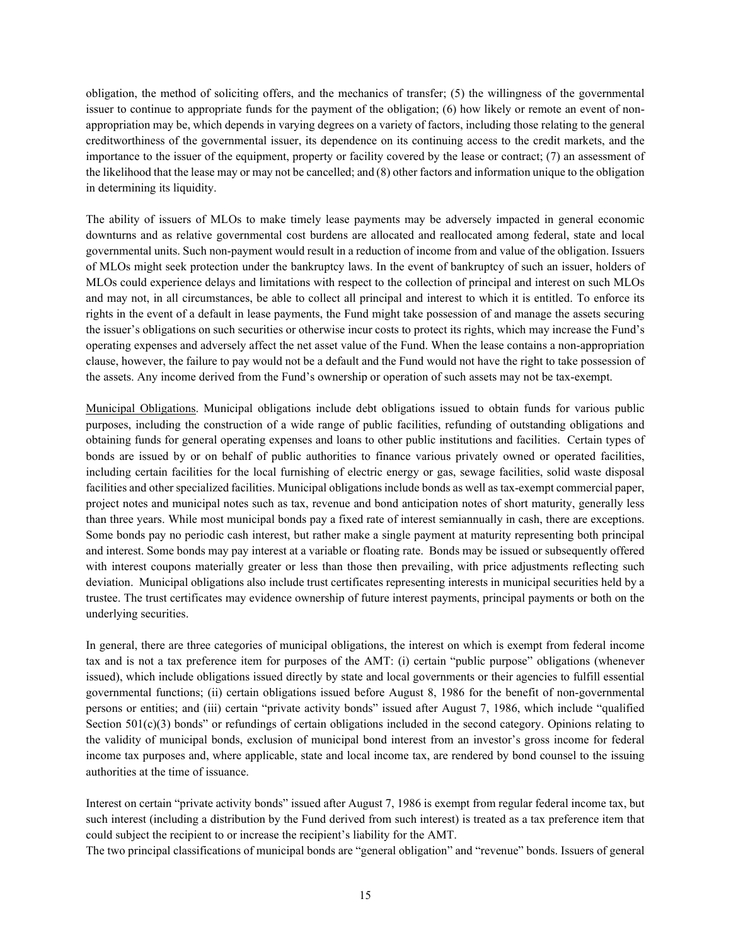obligation, the method of soliciting offers, and the mechanics of transfer; (5) the willingness of the governmental issuer to continue to appropriate funds for the payment of the obligation; (6) how likely or remote an event of nonappropriation may be, which depends in varying degrees on a variety of factors, including those relating to the general creditworthiness of the governmental issuer, its dependence on its continuing access to the credit markets, and the importance to the issuer of the equipment, property or facility covered by the lease or contract; (7) an assessment of the likelihood that the lease may or may not be cancelled; and (8) other factors and information unique to the obligation in determining its liquidity.

The ability of issuers of MLOs to make timely lease payments may be adversely impacted in general economic downturns and as relative governmental cost burdens are allocated and reallocated among federal, state and local governmental units. Such non-payment would result in a reduction of income from and value of the obligation. Issuers of MLOs might seek protection under the bankruptcy laws. In the event of bankruptcy of such an issuer, holders of MLOs could experience delays and limitations with respect to the collection of principal and interest on such MLOs and may not, in all circumstances, be able to collect all principal and interest to which it is entitled. To enforce its rights in the event of a default in lease payments, the Fund might take possession of and manage the assets securing the issuer's obligations on such securities or otherwise incur costs to protect its rights, which may increase the Fund's operating expenses and adversely affect the net asset value of the Fund. When the lease contains a non-appropriation clause, however, the failure to pay would not be a default and the Fund would not have the right to take possession of the assets. Any income derived from the Fund's ownership or operation of such assets may not be tax-exempt.

Municipal Obligations. Municipal obligations include debt obligations issued to obtain funds for various public purposes, including the construction of a wide range of public facilities, refunding of outstanding obligations and obtaining funds for general operating expenses and loans to other public institutions and facilities. Certain types of bonds are issued by or on behalf of public authorities to finance various privately owned or operated facilities, including certain facilities for the local furnishing of electric energy or gas, sewage facilities, solid waste disposal facilities and other specialized facilities. Municipal obligations include bonds as well as tax-exempt commercial paper, project notes and municipal notes such as tax, revenue and bond anticipation notes of short maturity, generally less than three years. While most municipal bonds pay a fixed rate of interest semiannually in cash, there are exceptions. Some bonds pay no periodic cash interest, but rather make a single payment at maturity representing both principal and interest. Some bonds may pay interest at a variable or floating rate. Bonds may be issued or subsequently offered with interest coupons materially greater or less than those then prevailing, with price adjustments reflecting such deviation. Municipal obligations also include trust certificates representing interests in municipal securities held by a trustee. The trust certificates may evidence ownership of future interest payments, principal payments or both on the underlying securities.

In general, there are three categories of municipal obligations, the interest on which is exempt from federal income tax and is not a tax preference item for purposes of the AMT: (i) certain "public purpose" obligations (whenever issued), which include obligations issued directly by state and local governments or their agencies to fulfill essential governmental functions; (ii) certain obligations issued before August 8, 1986 for the benefit of non-governmental persons or entities; and (iii) certain "private activity bonds" issued after August 7, 1986, which include "qualified Section 501(c)(3) bonds" or refundings of certain obligations included in the second category. Opinions relating to the validity of municipal bonds, exclusion of municipal bond interest from an investor's gross income for federal income tax purposes and, where applicable, state and local income tax, are rendered by bond counsel to the issuing authorities at the time of issuance.

Interest on certain "private activity bonds" issued after August 7, 1986 is exempt from regular federal income tax, but such interest (including a distribution by the Fund derived from such interest) is treated as a tax preference item that could subject the recipient to or increase the recipient's liability for the AMT.

The two principal classifications of municipal bonds are "general obligation" and "revenue" bonds. Issuers of general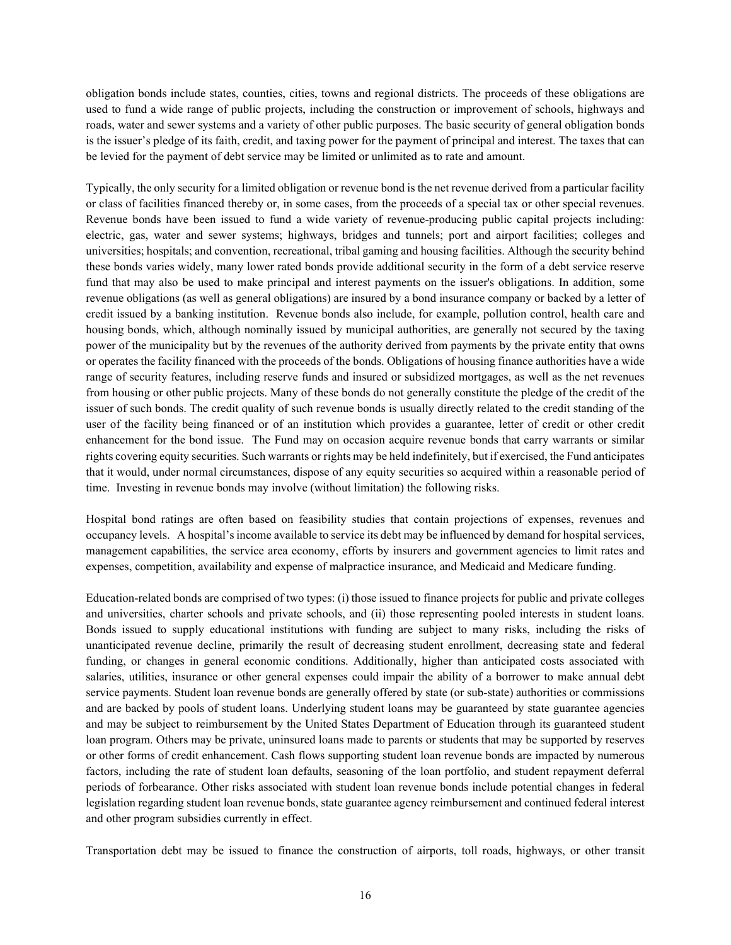obligation bonds include states, counties, cities, towns and regional districts. The proceeds of these obligations are used to fund a wide range of public projects, including the construction or improvement of schools, highways and roads, water and sewer systems and a variety of other public purposes. The basic security of general obligation bonds is the issuer's pledge of its faith, credit, and taxing power for the payment of principal and interest. The taxes that can be levied for the payment of debt service may be limited or unlimited as to rate and amount.

Typically, the only security for a limited obligation or revenue bond is the net revenue derived from a particular facility or class of facilities financed thereby or, in some cases, from the proceeds of a special tax or other special revenues. Revenue bonds have been issued to fund a wide variety of revenue-producing public capital projects including: electric, gas, water and sewer systems; highways, bridges and tunnels; port and airport facilities; colleges and universities; hospitals; and convention, recreational, tribal gaming and housing facilities. Although the security behind these bonds varies widely, many lower rated bonds provide additional security in the form of a debt service reserve fund that may also be used to make principal and interest payments on the issuer's obligations. In addition, some revenue obligations (as well as general obligations) are insured by a bond insurance company or backed by a letter of credit issued by a banking institution. Revenue bonds also include, for example, pollution control, health care and housing bonds, which, although nominally issued by municipal authorities, are generally not secured by the taxing power of the municipality but by the revenues of the authority derived from payments by the private entity that owns or operates the facility financed with the proceeds of the bonds. Obligations of housing finance authorities have a wide range of security features, including reserve funds and insured or subsidized mortgages, as well as the net revenues from housing or other public projects. Many of these bonds do not generally constitute the pledge of the credit of the issuer of such bonds. The credit quality of such revenue bonds is usually directly related to the credit standing of the user of the facility being financed or of an institution which provides a guarantee, letter of credit or other credit enhancement for the bond issue. The Fund may on occasion acquire revenue bonds that carry warrants or similar rights covering equity securities. Such warrants or rights may be held indefinitely, but if exercised, the Fund anticipates that it would, under normal circumstances, dispose of any equity securities so acquired within a reasonable period of time. Investing in revenue bonds may involve (without limitation) the following risks.

Hospital bond ratings are often based on feasibility studies that contain projections of expenses, revenues and occupancy levels. A hospital's income available to service its debt may be influenced by demand for hospital services, management capabilities, the service area economy, efforts by insurers and government agencies to limit rates and expenses, competition, availability and expense of malpractice insurance, and Medicaid and Medicare funding.

Education-related bonds are comprised of two types: (i) those issued to finance projects for public and private colleges and universities, charter schools and private schools, and (ii) those representing pooled interests in student loans. Bonds issued to supply educational institutions with funding are subject to many risks, including the risks of unanticipated revenue decline, primarily the result of decreasing student enrollment, decreasing state and federal funding, or changes in general economic conditions. Additionally, higher than anticipated costs associated with salaries, utilities, insurance or other general expenses could impair the ability of a borrower to make annual debt service payments. Student loan revenue bonds are generally offered by state (or sub-state) authorities or commissions and are backed by pools of student loans. Underlying student loans may be guaranteed by state guarantee agencies and may be subject to reimbursement by the United States Department of Education through its guaranteed student loan program. Others may be private, uninsured loans made to parents or students that may be supported by reserves or other forms of credit enhancement. Cash flows supporting student loan revenue bonds are impacted by numerous factors, including the rate of student loan defaults, seasoning of the loan portfolio, and student repayment deferral periods of forbearance. Other risks associated with student loan revenue bonds include potential changes in federal legislation regarding student loan revenue bonds, state guarantee agency reimbursement and continued federal interest and other program subsidies currently in effect.

Transportation debt may be issued to finance the construction of airports, toll roads, highways, or other transit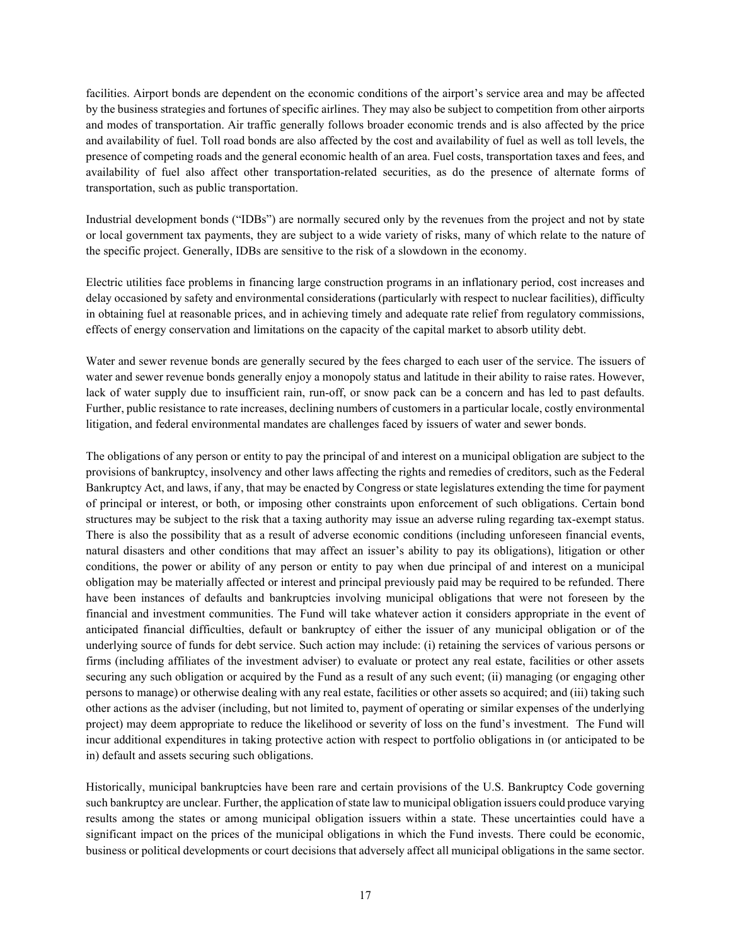facilities. Airport bonds are dependent on the economic conditions of the airport's service area and may be affected by the business strategies and fortunes of specific airlines. They may also be subject to competition from other airports and modes of transportation. Air traffic generally follows broader economic trends and is also affected by the price and availability of fuel. Toll road bonds are also affected by the cost and availability of fuel as well as toll levels, the presence of competing roads and the general economic health of an area. Fuel costs, transportation taxes and fees, and availability of fuel also affect other transportation-related securities, as do the presence of alternate forms of transportation, such as public transportation.

Industrial development bonds ("IDBs") are normally secured only by the revenues from the project and not by state or local government tax payments, they are subject to a wide variety of risks, many of which relate to the nature of the specific project. Generally, IDBs are sensitive to the risk of a slowdown in the economy.

Electric utilities face problems in financing large construction programs in an inflationary period, cost increases and delay occasioned by safety and environmental considerations (particularly with respect to nuclear facilities), difficulty in obtaining fuel at reasonable prices, and in achieving timely and adequate rate relief from regulatory commissions, effects of energy conservation and limitations on the capacity of the capital market to absorb utility debt.

Water and sewer revenue bonds are generally secured by the fees charged to each user of the service. The issuers of water and sewer revenue bonds generally enjoy a monopoly status and latitude in their ability to raise rates. However, lack of water supply due to insufficient rain, run-off, or snow pack can be a concern and has led to past defaults. Further, public resistance to rate increases, declining numbers of customers in a particular locale, costly environmental litigation, and federal environmental mandates are challenges faced by issuers of water and sewer bonds.

The obligations of any person or entity to pay the principal of and interest on a municipal obligation are subject to the provisions of bankruptcy, insolvency and other laws affecting the rights and remedies of creditors, such as the Federal Bankruptcy Act, and laws, if any, that may be enacted by Congress or state legislatures extending the time for payment of principal or interest, or both, or imposing other constraints upon enforcement of such obligations. Certain bond structures may be subject to the risk that a taxing authority may issue an adverse ruling regarding tax-exempt status. There is also the possibility that as a result of adverse economic conditions (including unforeseen financial events, natural disasters and other conditions that may affect an issuer's ability to pay its obligations), litigation or other conditions, the power or ability of any person or entity to pay when due principal of and interest on a municipal obligation may be materially affected or interest and principal previously paid may be required to be refunded. There have been instances of defaults and bankruptcies involving municipal obligations that were not foreseen by the financial and investment communities. The Fund will take whatever action it considers appropriate in the event of anticipated financial difficulties, default or bankruptcy of either the issuer of any municipal obligation or of the underlying source of funds for debt service. Such action may include: (i) retaining the services of various persons or firms (including affiliates of the investment adviser) to evaluate or protect any real estate, facilities or other assets securing any such obligation or acquired by the Fund as a result of any such event; (ii) managing (or engaging other persons to manage) or otherwise dealing with any real estate, facilities or other assets so acquired; and (iii) taking such other actions as the adviser (including, but not limited to, payment of operating or similar expenses of the underlying project) may deem appropriate to reduce the likelihood or severity of loss on the fund's investment. The Fund will incur additional expenditures in taking protective action with respect to portfolio obligations in (or anticipated to be in) default and assets securing such obligations.

Historically, municipal bankruptcies have been rare and certain provisions of the U.S. Bankruptcy Code governing such bankruptcy are unclear. Further, the application of state law to municipal obligation issuers could produce varying results among the states or among municipal obligation issuers within a state. These uncertainties could have a significant impact on the prices of the municipal obligations in which the Fund invests. There could be economic, business or political developments or court decisions that adversely affect all municipal obligations in the same sector.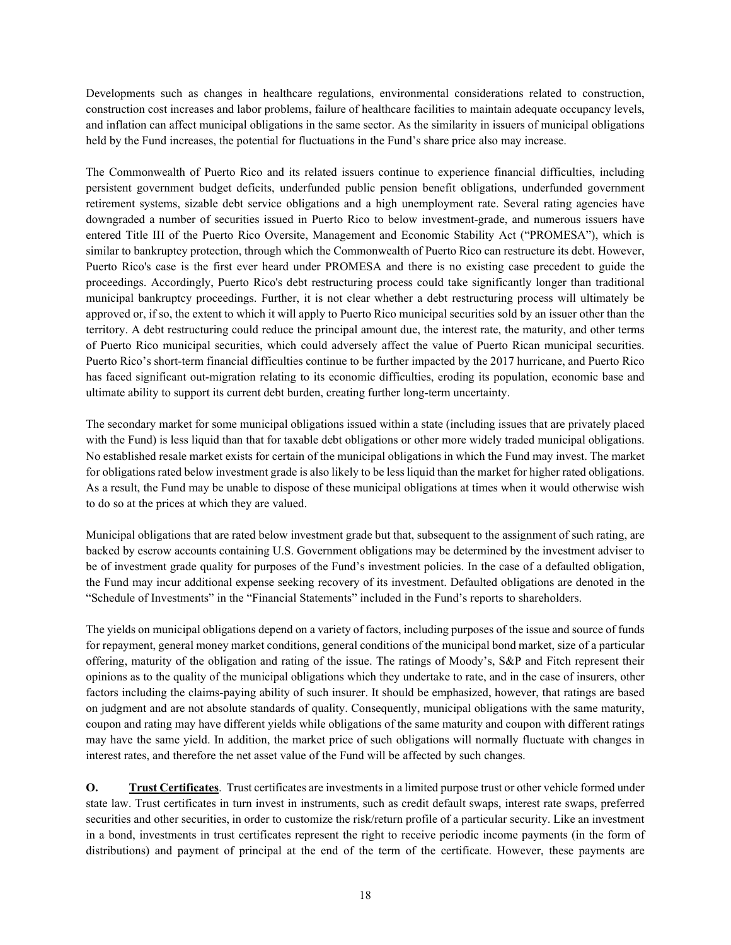Developments such as changes in healthcare regulations, environmental considerations related to construction, construction cost increases and labor problems, failure of healthcare facilities to maintain adequate occupancy levels, and inflation can affect municipal obligations in the same sector. As the similarity in issuers of municipal obligations held by the Fund increases, the potential for fluctuations in the Fund's share price also may increase.

The Commonwealth of Puerto Rico and its related issuers continue to experience financial difficulties, including persistent government budget deficits, underfunded public pension benefit obligations, underfunded government retirement systems, sizable debt service obligations and a high unemployment rate. Several rating agencies have downgraded a number of securities issued in Puerto Rico to below investment-grade, and numerous issuers have entered Title III of the Puerto Rico Oversite, Management and Economic Stability Act ("PROMESA"), which is similar to bankruptcy protection, through which the Commonwealth of Puerto Rico can restructure its debt. However, Puerto Rico's case is the first ever heard under PROMESA and there is no existing case precedent to guide the proceedings. Accordingly, Puerto Rico's debt restructuring process could take significantly longer than traditional municipal bankruptcy proceedings. Further, it is not clear whether a debt restructuring process will ultimately be approved or, if so, the extent to which it will apply to Puerto Rico municipal securities sold by an issuer other than the territory. A debt restructuring could reduce the principal amount due, the interest rate, the maturity, and other terms of Puerto Rico municipal securities, which could adversely affect the value of Puerto Rican municipal securities. Puerto Rico's short-term financial difficulties continue to be further impacted by the 2017 hurricane, and Puerto Rico has faced significant out-migration relating to its economic difficulties, eroding its population, economic base and ultimate ability to support its current debt burden, creating further long-term uncertainty.

The secondary market for some municipal obligations issued within a state (including issues that are privately placed with the Fund) is less liquid than that for taxable debt obligations or other more widely traded municipal obligations. No established resale market exists for certain of the municipal obligations in which the Fund may invest. The market for obligations rated below investment grade is also likely to be less liquid than the market for higher rated obligations. As a result, the Fund may be unable to dispose of these municipal obligations at times when it would otherwise wish to do so at the prices at which they are valued.

Municipal obligations that are rated below investment grade but that, subsequent to the assignment of such rating, are backed by escrow accounts containing U.S. Government obligations may be determined by the investment adviser to be of investment grade quality for purposes of the Fund's investment policies. In the case of a defaulted obligation, the Fund may incur additional expense seeking recovery of its investment. Defaulted obligations are denoted in the "Schedule of Investments" in the "Financial Statements" included in the Fund's reports to shareholders.

The yields on municipal obligations depend on a variety of factors, including purposes of the issue and source of funds for repayment, general money market conditions, general conditions of the municipal bond market, size of a particular offering, maturity of the obligation and rating of the issue. The ratings of Moody's, S&P and Fitch represent their opinions as to the quality of the municipal obligations which they undertake to rate, and in the case of insurers, other factors including the claims-paying ability of such insurer. It should be emphasized, however, that ratings are based on judgment and are not absolute standards of quality. Consequently, municipal obligations with the same maturity, coupon and rating may have different yields while obligations of the same maturity and coupon with different ratings may have the same yield. In addition, the market price of such obligations will normally fluctuate with changes in interest rates, and therefore the net asset value of the Fund will be affected by such changes.

**O. Trust Certificates**. Trust certificates are investments in a limited purpose trust or other vehicle formed under state law. Trust certificates in turn invest in instruments, such as credit default swaps, interest rate swaps, preferred securities and other securities, in order to customize the risk/return profile of a particular security. Like an investment in a bond, investments in trust certificates represent the right to receive periodic income payments (in the form of distributions) and payment of principal at the end of the term of the certificate. However, these payments are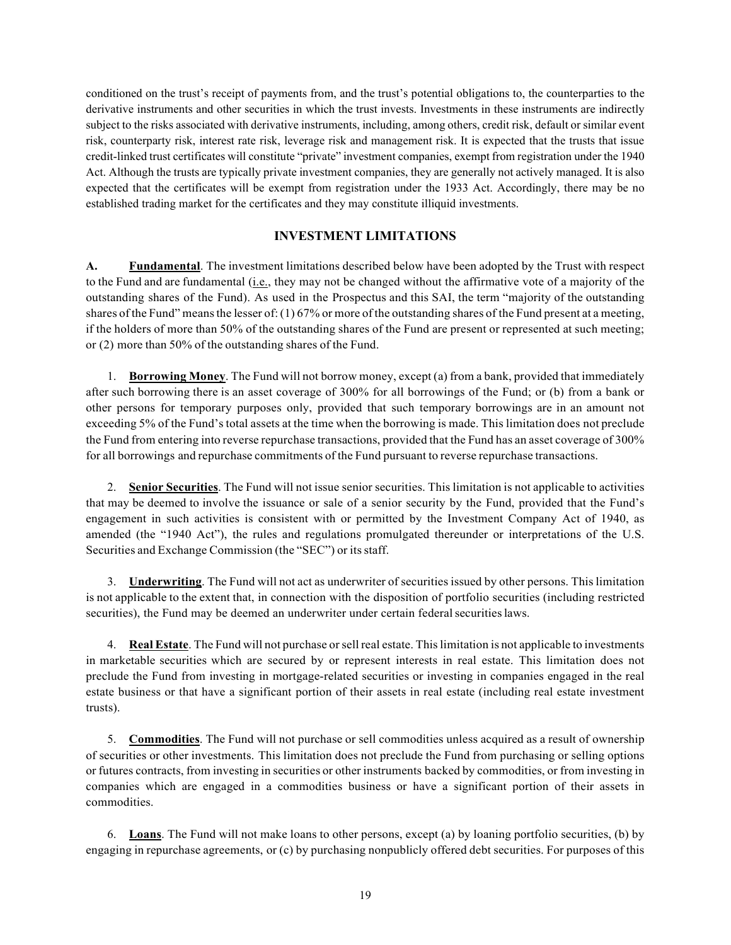conditioned on the trust's receipt of payments from, and the trust's potential obligations to, the counterparties to the derivative instruments and other securities in which the trust invests. Investments in these instruments are indirectly subject to the risks associated with derivative instruments, including, among others, credit risk, default or similar event risk, counterparty risk, interest rate risk, leverage risk and management risk. It is expected that the trusts that issue credit-linked trust certificates will constitute "private" investment companies, exempt from registration under the 1940 Act. Although the trusts are typically private investment companies, they are generally not actively managed. It is also expected that the certificates will be exempt from registration under the 1933 Act. Accordingly, there may be no established trading market for the certificates and they may constitute illiquid investments.

# **INVESTMENT LIMITATIONS**

<span id="page-20-0"></span>**A. Fundamental**. The investment limitations described below have been adopted by the Trust with respect to the Fund and are fundamental  $(i.e.,$  they may not be changed without the affirmative vote of a majority of the outstanding shares of the Fund). As used in the Prospectus and this SAI, the term "majority of the outstanding shares of the Fund" meansthe lesser of:(1) 67% or more of the outstanding shares of the Fund present at a meeting, if the holders of more than 50% of the outstanding shares of the Fund are present or represented at such meeting; or (2) more than 50% of the outstanding shares of the Fund.

1. **Borrowing Money**. The Fund will not borrow money, except (a) from a bank, provided that immediately after such borrowing there is an asset coverage of 300% for all borrowings of the Fund; or (b) from a bank or other persons for temporary purposes only, provided that such temporary borrowings are in an amount not exceeding 5% of the Fund's total assets at the time when the borrowing is made. This limitation does not preclude the Fund from entering into reverse repurchase transactions, provided that the Fund has an asset coverage of 300% for all borrowings and repurchase commitments of the Fund pursuant to reverse repurchase transactions.

2. **Senior Securities**. The Fund will not issue senior securities. This limitation is not applicable to activities that may be deemed to involve the issuance or sale of a senior security by the Fund, provided that the Fund's engagement in such activities is consistent with or permitted by the Investment Company Act of 1940, as amended (the "1940 Act"), the rules and regulations promulgated thereunder or interpretations of the U.S. Securities and Exchange Commission (the "SEC") or its staff.

3. **Underwriting**. The Fund will not act as underwriter of securities issued by other persons. This limitation is not applicable to the extent that, in connection with the disposition of portfolio securities (including restricted securities), the Fund may be deemed an underwriter under certain federal securities laws.

4. **Real Estate**. The Fund will not purchase orsell real estate. Thislimitation is not applicable to investments in marketable securities which are secured by or represent interests in real estate. This limitation does not preclude the Fund from investing in mortgage-related securities or investing in companies engaged in the real estate business or that have a significant portion of their assets in real estate (including real estate investment trusts).

5. **Commodities**. The Fund will not purchase or sell commodities unless acquired as a result of ownership of securities or other investments. This limitation does not preclude the Fund from purchasing or selling options or futures contracts, from investing in securities or other instruments backed by commodities, or from investing in companies which are engaged in a commodities business or have a significant portion of their assets in commodities.

6. **Loans**. The Fund will not make loans to other persons, except (a) by loaning portfolio securities, (b) by engaging in repurchase agreements, or (c) by purchasing nonpublicly offered debt securities. For purposes of this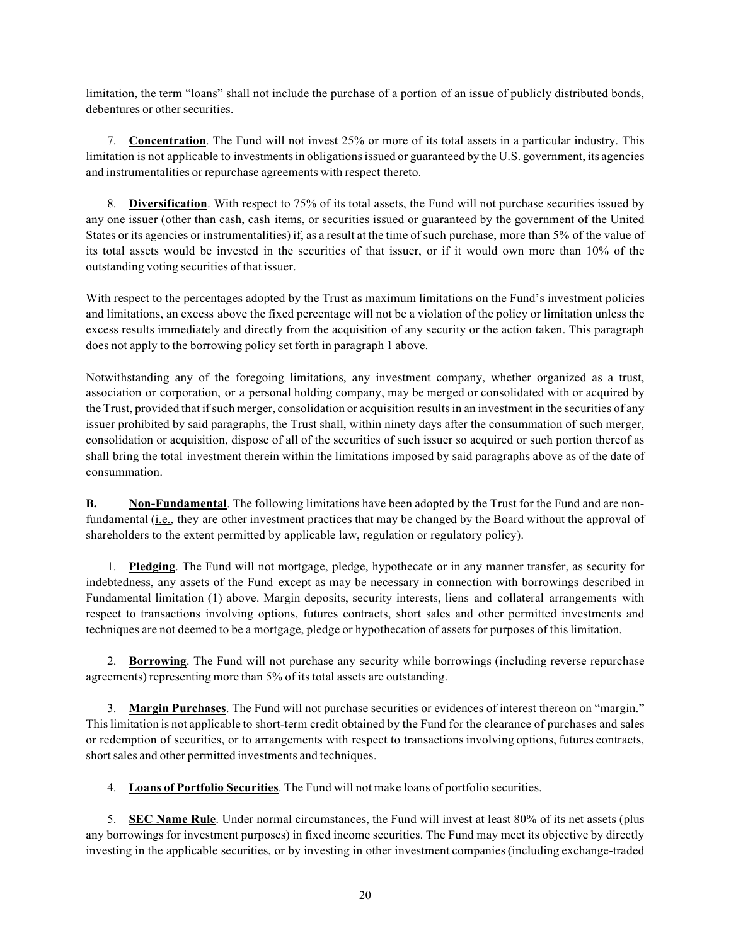limitation, the term "loans" shall not include the purchase of a portion of an issue of publicly distributed bonds, debentures or other securities.

7. **Concentration**. The Fund will not invest 25% or more of its total assets in a particular industry. This limitation is not applicable to investments in obligations issued or guaranteed by the U.S. government, its agencies and instrumentalities or repurchase agreements with respect thereto.

8. **Diversification**. With respect to 75% of its total assets, the Fund will not purchase securities issued by any one issuer (other than cash, cash items, or securities issued or guaranteed by the government of the United States or its agencies or instrumentalities) if, as a result at the time of such purchase, more than 5% of the value of its total assets would be invested in the securities of that issuer, or if it would own more than 10% of the outstanding voting securities of that issuer.

With respect to the percentages adopted by the Trust as maximum limitations on the Fund's investment policies and limitations, an excess above the fixed percentage will not be a violation of the policy or limitation unless the excess results immediately and directly from the acquisition of any security or the action taken. This paragraph does not apply to the borrowing policy set forth in paragraph 1 above.

Notwithstanding any of the foregoing limitations, any investment company, whether organized as a trust, association or corporation, or a personal holding company, may be merged or consolidated with or acquired by the Trust, provided that if such merger, consolidation or acquisition results in an investment in the securities of any issuer prohibited by said paragraphs, the Trust shall, within ninety days after the consummation of such merger, consolidation or acquisition, dispose of all of the securities of such issuer so acquired or such portion thereof as shall bring the total investment therein within the limitations imposed by said paragraphs above as of the date of consummation.

**B. Non-Fundamental**. The following limitations have been adopted by the Trust for the Fund and are nonfundamental (i.e., they are other investment practices that may be changed by the Board without the approval of shareholders to the extent permitted by applicable law, regulation or regulatory policy).

1. **Pledging**. The Fund will not mortgage, pledge, hypothecate or in any manner transfer, as security for indebtedness, any assets of the Fund except as may be necessary in connection with borrowings described in Fundamental limitation (1) above. Margin deposits, security interests, liens and collateral arrangements with respect to transactions involving options, futures contracts, short sales and other permitted investments and techniques are not deemed to be a mortgage, pledge or hypothecation of assets for purposes of this limitation.

2. **Borrowing**. The Fund will not purchase any security while borrowings (including reverse repurchase agreements) representing more than 5% of its total assets are outstanding.

3. **Margin Purchases**. The Fund will not purchase securities or evidences of interest thereon on "margin." Thislimitation is not applicable to short-term credit obtained by the Fund for the clearance of purchases and sales or redemption of securities, or to arrangements with respect to transactions involving options, futures contracts, short sales and other permitted investments and techniques.

4. **Loans of Portfolio Securities**. The Fund will not make loans of portfolio securities.

5. **SEC Name Rule**. Under normal circumstances, the Fund will invest at least 80% of its net assets (plus any borrowings for investment purposes) in fixed income securities. The Fund may meet its objective by directly investing in the applicable securities, or by investing in other investment companies(including exchange-traded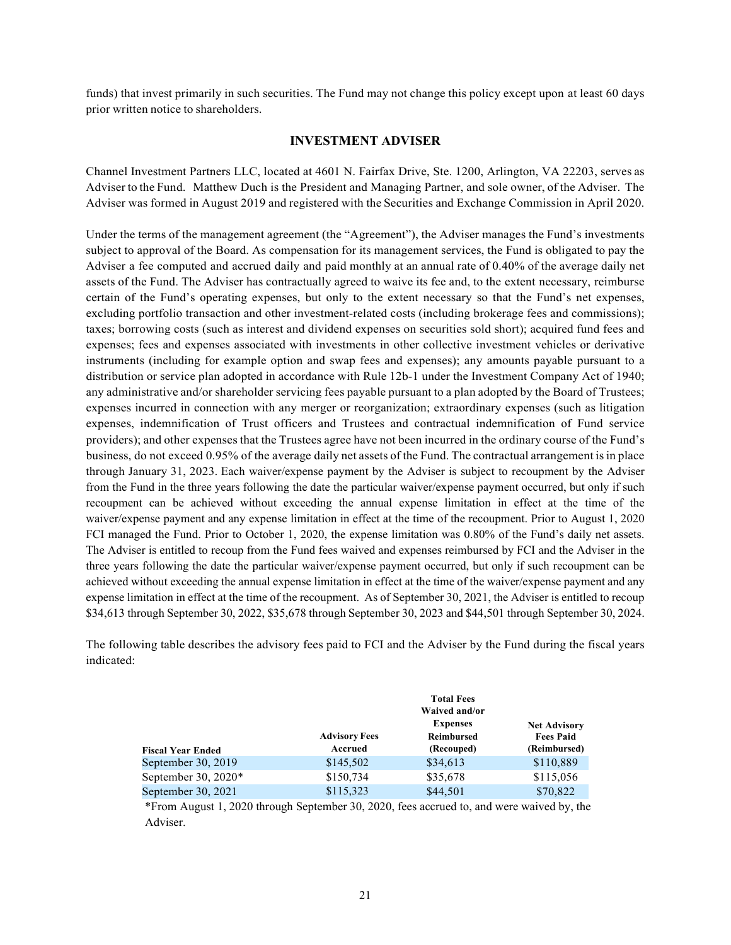funds) that invest primarily in such securities. The Fund may not change this policy except upon at least 60 days prior written notice to shareholders.

### **INVESTMENT ADVISER**

<span id="page-22-0"></span>Channel Investment Partners LLC, located at 4601 N. Fairfax Drive, Ste. 1200, Arlington, VA 22203, serves as Adviser to the Fund. Matthew Duch is the President and Managing Partner, and sole owner, of the Adviser. The Adviser was formed in August 2019 and registered with the Securities and Exchange Commission in April 2020.

Under the terms of the management agreement (the "Agreement"), the Adviser manages the Fund's investments subject to approval of the Board. As compensation for its management services, the Fund is obligated to pay the Adviser a fee computed and accrued daily and paid monthly at an annual rate of 0.40% of the average daily net assets of the Fund. The Adviser has contractually agreed to waive its fee and, to the extent necessary, reimburse certain of the Fund's operating expenses, but only to the extent necessary so that the Fund's net expenses, excluding portfolio transaction and other investment-related costs (including brokerage fees and commissions); taxes; borrowing costs (such as interest and dividend expenses on securities sold short); acquired fund fees and expenses; fees and expenses associated with investments in other collective investment vehicles or derivative instruments (including for example option and swap fees and expenses); any amounts payable pursuant to a distribution or service plan adopted in accordance with Rule 12b-1 under the Investment Company Act of 1940; any administrative and/or shareholder servicing fees payable pursuant to a plan adopted by the Board of Trustees; expenses incurred in connection with any merger or reorganization; extraordinary expenses (such as litigation expenses, indemnification of Trust officers and Trustees and contractual indemnification of Fund service providers); and other expenses that the Trustees agree have not been incurred in the ordinary course of the Fund's business, do not exceed 0.95% of the average daily net assets of the Fund. The contractual arrangement isin place through January 31, 2023. Each waiver/expense payment by the Adviser is subject to recoupment by the Adviser from the Fund in the three years following the date the particular waiver/expense payment occurred, but only if such recoupment can be achieved without exceeding the annual expense limitation in effect at the time of the waiver/expense payment and any expense limitation in effect at the time of the recoupment. Prior to August 1, 2020 FCI managed the Fund. Prior to October 1, 2020, the expense limitation was 0.80% of the Fund's daily net assets. The Adviser is entitled to recoup from the Fund fees waived and expenses reimbursed by FCI and the Adviser in the three years following the date the particular waiver/expense payment occurred, but only if such recoupment can be achieved without exceeding the annual expense limitation in effect at the time of the waiver/expense payment and any expense limitation in effect at the time of the recoupment. As of September 30, 2021, the Adviser is entitled to recoup \$34,613 through September 30, 2022, \$35,678 through September 30, 2023 and \$44,501 through September 30, 2024.

The following table describes the advisory fees paid to FCI and the Adviser by the Fund during the fiscal years indicated:

|                          |                      | <b>Total Fees</b><br>Waived and/or   |                                         |
|--------------------------|----------------------|--------------------------------------|-----------------------------------------|
|                          | <b>Advisory Fees</b> | <b>Expenses</b><br><b>Reimbursed</b> | <b>Net Advisory</b><br><b>Fees Paid</b> |
| <b>Fiscal Year Ended</b> | Accrued              | (Recouped)                           | (Reimbursed)                            |
| September 30, 2019       | \$145,502            | \$34,613                             | \$110,889                               |
| September 30, $2020*$    | \$150,734            | \$35,678                             | \$115,056                               |
| September 30, 2021       | \$115,323            | \$44,501                             | \$70,822                                |

\*From August 1, 2020 through September 30, 2020, fees accrued to, and were waived by, the Adviser.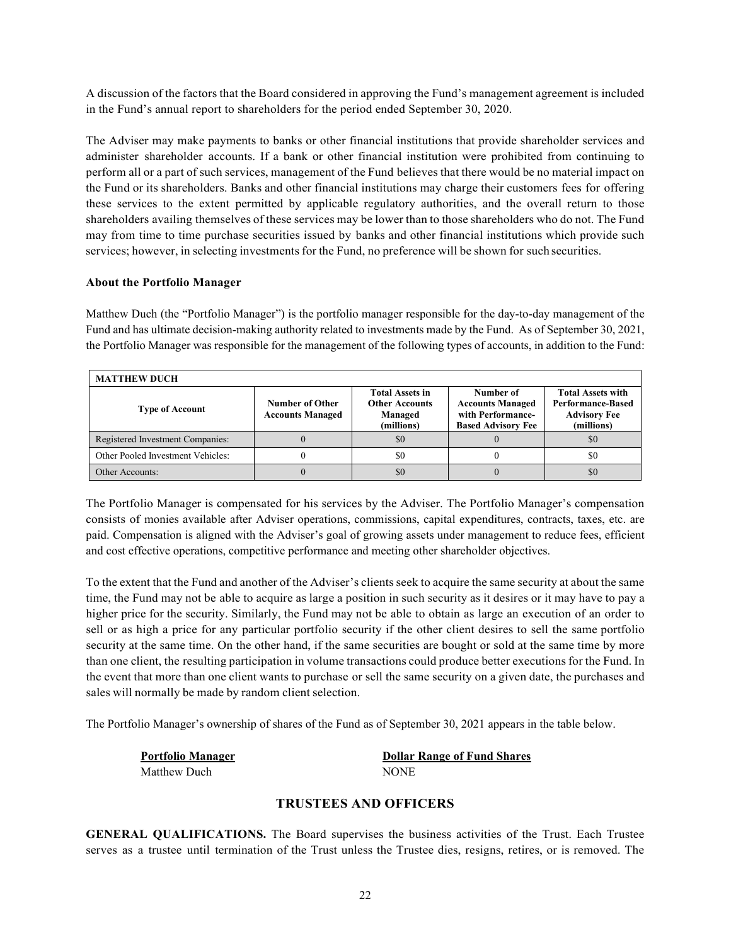A discussion of the factors that the Board considered in approving the Fund's management agreement is included in the Fund's annual report to shareholders for the period ended September 30, 2020.

The Adviser may make payments to banks or other financial institutions that provide shareholder services and administer shareholder accounts. If a bank or other financial institution were prohibited from continuing to perform all or a part of such services, management of the Fund believes that there would be no material impact on the Fund or its shareholders. Banks and other financial institutions may charge their customers fees for offering these services to the extent permitted by applicable regulatory authorities, and the overall return to those shareholders availing themselves of these services may be lower than to those shareholders who do not. The Fund may from time to time purchase securities issued by banks and other financial institutions which provide such services; however, in selecting investments for the Fund, no preference will be shown for such securities.

### **About the Portfolio Manager**

Matthew Duch (the "Portfolio Manager") is the portfolio manager responsible for the day-to-day management of the Fund and has ultimate decision-making authority related to investments made by the Fund. As of September 30, 2021, the Portfolio Manager was responsible for the management of the following types of accounts, in addition to the Fund:

| <b>MATTHEW DUCH</b>               |                                                   |                                                                          |                                                                                        |                                                                                           |
|-----------------------------------|---------------------------------------------------|--------------------------------------------------------------------------|----------------------------------------------------------------------------------------|-------------------------------------------------------------------------------------------|
| <b>Type of Account</b>            | <b>Number of Other</b><br><b>Accounts Managed</b> | <b>Total Assets in</b><br><b>Other Accounts</b><br>Managed<br>(millions) | Number of<br><b>Accounts Managed</b><br>with Performance-<br><b>Based Advisory Fee</b> | <b>Total Assets with</b><br><b>Performance-Based</b><br><b>Advisory Fee</b><br>(millions) |
| Registered Investment Companies:  |                                                   | \$0                                                                      |                                                                                        | \$0                                                                                       |
| Other Pooled Investment Vehicles: |                                                   | \$0                                                                      |                                                                                        | \$0                                                                                       |
| Other Accounts:                   |                                                   | \$0                                                                      |                                                                                        | \$0                                                                                       |

The Portfolio Manager is compensated for his services by the Adviser. The Portfolio Manager's compensation consists of monies available after Adviser operations, commissions, capital expenditures, contracts, taxes, etc. are paid. Compensation is aligned with the Adviser's goal of growing assets under management to reduce fees, efficient and cost effective operations, competitive performance and meeting other shareholder objectives.

To the extent that the Fund and another of the Adviser's clients seek to acquire the same security at about the same time, the Fund may not be able to acquire as large a position in such security as it desires or it may have to pay a higher price for the security. Similarly, the Fund may not be able to obtain as large an execution of an order to sell or as high a price for any particular portfolio security if the other client desires to sell the same portfolio security at the same time. On the other hand, if the same securities are bought or sold at the same time by more than one client, the resulting participation in volume transactions could produce better executions for the Fund. In the event that more than one client wants to purchase or sell the same security on a given date, the purchases and sales will normally be made by random client selection.

The Portfolio Manager's ownership of shares of the Fund as of September 30, 2021 appears in the table below.

| Portfolio Manager | <b>Dollar Range of Fund Shares</b> |
|-------------------|------------------------------------|
| Matthew Duch      | NONE                               |

# **TRUSTEES AND OFFICERS**

<span id="page-23-0"></span>**GENERAL QUALIFICATIONS.** The Board supervises the business activities of the Trust. Each Trustee serves as a trustee until termination of the Trust unless the Trustee dies, resigns, retires, or is removed. The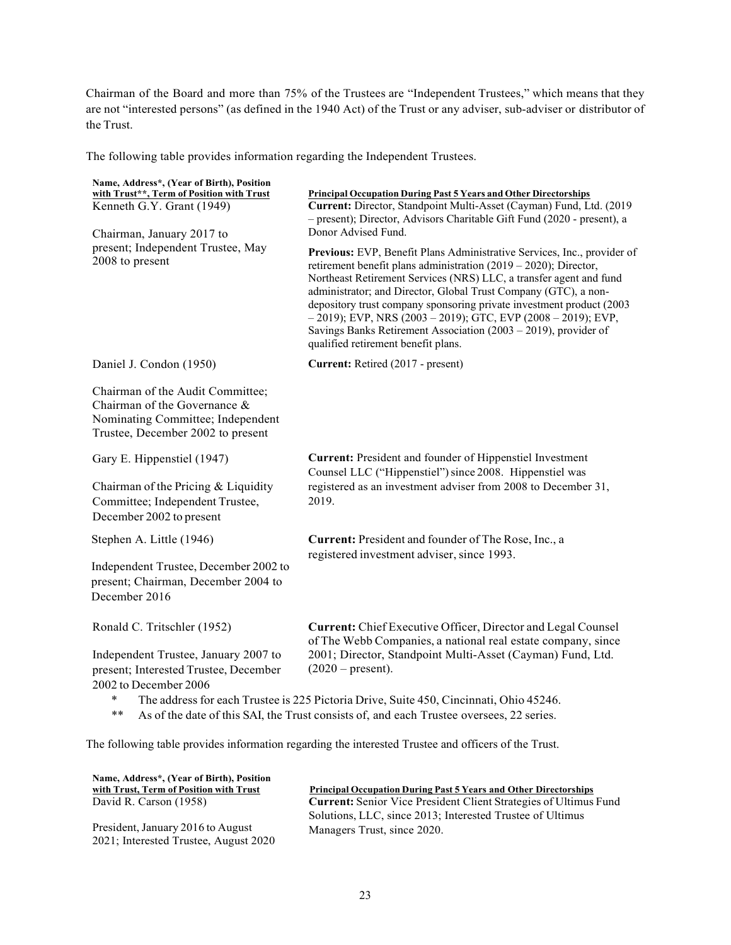Chairman of the Board and more than 75% of the Trustees are "Independent Trustees," which means that they are not "interested persons" (as defined in the 1940 Act) of the Trust or any adviser, sub-adviser or distributor of the Trust.

The following table provides information regarding the Independent Trustees.

| Name, Address*, (Year of Birth), Position<br>with Trust**, Term of Position with Trust<br>Kenneth G.Y. Grant (1949)<br>Chairman, January 2017 to | <b>Principal Occupation During Past 5 Years and Other Directorships</b><br>Current: Director, Standpoint Multi-Asset (Cayman) Fund, Ltd. (2019<br>- present); Director, Advisors Charitable Gift Fund (2020 - present), a<br>Donor Advised Fund.                                                                                                                                                                                                                                                                                                |
|--------------------------------------------------------------------------------------------------------------------------------------------------|-------------------------------------------------------------------------------------------------------------------------------------------------------------------------------------------------------------------------------------------------------------------------------------------------------------------------------------------------------------------------------------------------------------------------------------------------------------------------------------------------------------------------------------------------|
| present; Independent Trustee, May<br>2008 to present                                                                                             | Previous: EVP, Benefit Plans Administrative Services, Inc., provider of<br>retirement benefit plans administration $(2019 - 2020)$ ; Director,<br>Northeast Retirement Services (NRS) LLC, a transfer agent and fund<br>administrator; and Director, Global Trust Company (GTC), a non-<br>depository trust company sponsoring private investment product (2003<br>$-2019$ ); EVP, NRS (2003 - 2019); GTC, EVP (2008 - 2019); EVP,<br>Savings Banks Retirement Association $(2003 – 2019)$ , provider of<br>qualified retirement benefit plans. |
| Daniel J. Condon (1950)                                                                                                                          | <b>Current:</b> Retired (2017 - present)                                                                                                                                                                                                                                                                                                                                                                                                                                                                                                        |
| Chairman of the Audit Committee;<br>Chairman of the Governance &<br>Nominating Committee; Independent<br>Trustee, December 2002 to present       |                                                                                                                                                                                                                                                                                                                                                                                                                                                                                                                                                 |
| Gary E. Hippenstiel (1947)                                                                                                                       | <b>Current:</b> President and founder of Hippenstiel Investment<br>Counsel LLC ("Hippenstiel") since 2008. Hippenstiel was                                                                                                                                                                                                                                                                                                                                                                                                                      |
| Chairman of the Pricing & Liquidity<br>Committee; Independent Trustee,<br>December 2002 to present                                               | registered as an investment adviser from 2008 to December 31,<br>2019.                                                                                                                                                                                                                                                                                                                                                                                                                                                                          |
| Stephen A. Little (1946)                                                                                                                         | Current: President and founder of The Rose, Inc., a                                                                                                                                                                                                                                                                                                                                                                                                                                                                                             |
| Independent Trustee, December 2002 to<br>present; Chairman, December 2004 to<br>December 2016                                                    | registered investment adviser, since 1993.                                                                                                                                                                                                                                                                                                                                                                                                                                                                                                      |
| Ronald C. Tritschler (1952)                                                                                                                      | Current: Chief Executive Officer, Director and Legal Counsel<br>of The Webb Companies, a national real estate company, since                                                                                                                                                                                                                                                                                                                                                                                                                    |
| Independent Trustee, January 2007 to<br>present; Interested Trustee, December<br>2002 to December 2006                                           | 2001; Director, Standpoint Multi-Asset (Cayman) Fund, Ltd.<br>$(2020 - present).$                                                                                                                                                                                                                                                                                                                                                                                                                                                               |
| *                                                                                                                                                | The address for each Trustee is 225 Pictoria Drive, Suite 450, Cincinnati, Ohio 45246.                                                                                                                                                                                                                                                                                                                                                                                                                                                          |
| **                                                                                                                                               | As of the date of this SAI, the Trust consists of, and each Trustee oversees, 22 series.                                                                                                                                                                                                                                                                                                                                                                                                                                                        |

The following table provides information regarding the interested Trustee and officers of the Trust.

| Name, Address*, (Year of Birth), Position |                                                                         |
|-------------------------------------------|-------------------------------------------------------------------------|
| with Trust, Term of Position with Trust   | <b>Principal Occupation During Past 5 Years and Other Directorships</b> |
| David R. Carson (1958)                    | <b>Current:</b> Senior Vice President Client Strategies of Ultimus Fund |
|                                           | Solutions, LLC, since 2013; Interested Trustee of Ultimus               |
| President, January 2016 to August         | Managers Trust, since 2020.                                             |
| 2021; Interested Trustee, August 2020     |                                                                         |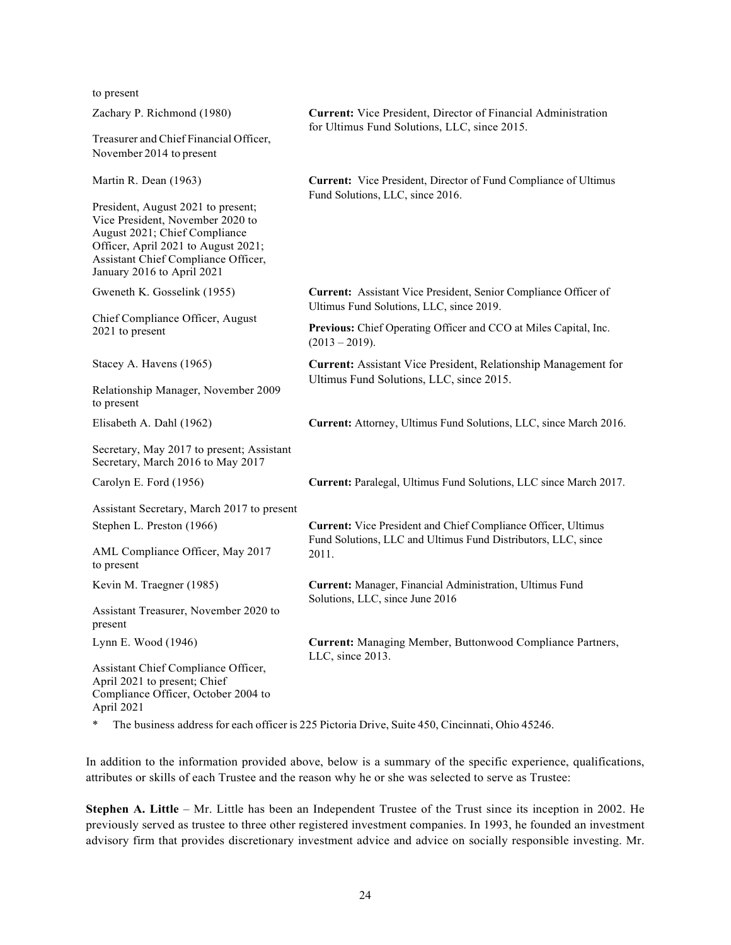| to present                                                                                                                                                                                                          |                                                                                                                                                                                                           |  |  |  |  |
|---------------------------------------------------------------------------------------------------------------------------------------------------------------------------------------------------------------------|-----------------------------------------------------------------------------------------------------------------------------------------------------------------------------------------------------------|--|--|--|--|
| Zachary P. Richmond (1980)                                                                                                                                                                                          | <b>Current:</b> Vice President, Director of Financial Administration<br>for Ultimus Fund Solutions, LLC, since 2015.                                                                                      |  |  |  |  |
| Treasurer and Chief Financial Officer,<br>November 2014 to present                                                                                                                                                  |                                                                                                                                                                                                           |  |  |  |  |
| Martin R. Dean (1963)                                                                                                                                                                                               | Current: Vice President, Director of Fund Compliance of Ultimus<br>Fund Solutions, LLC, since 2016.                                                                                                       |  |  |  |  |
| President, August 2021 to present;<br>Vice President, November 2020 to<br>August 2021; Chief Compliance<br>Officer, April 2021 to August 2021;<br>Assistant Chief Compliance Officer,<br>January 2016 to April 2021 |                                                                                                                                                                                                           |  |  |  |  |
| Gweneth K. Gosselink (1955)                                                                                                                                                                                         | Current: Assistant Vice President, Senior Compliance Officer of<br>Ultimus Fund Solutions, LLC, since 2019.                                                                                               |  |  |  |  |
| Chief Compliance Officer, August<br>2021 to present                                                                                                                                                                 | Previous: Chief Operating Officer and CCO at Miles Capital, Inc.<br>$(2013 - 2019).$<br><b>Current:</b> Assistant Vice President, Relationship Management for<br>Ultimus Fund Solutions, LLC, since 2015. |  |  |  |  |
| Stacey A. Havens (1965)                                                                                                                                                                                             |                                                                                                                                                                                                           |  |  |  |  |
| Relationship Manager, November 2009<br>to present                                                                                                                                                                   |                                                                                                                                                                                                           |  |  |  |  |
| Elisabeth A. Dahl (1962)                                                                                                                                                                                            | Current: Attorney, Ultimus Fund Solutions, LLC, since March 2016.                                                                                                                                         |  |  |  |  |
| Secretary, May 2017 to present; Assistant<br>Secretary, March 2016 to May 2017                                                                                                                                      |                                                                                                                                                                                                           |  |  |  |  |
| Carolyn E. Ford (1956)                                                                                                                                                                                              | Current: Paralegal, Ultimus Fund Solutions, LLC since March 2017.                                                                                                                                         |  |  |  |  |
| Assistant Secretary, March 2017 to present                                                                                                                                                                          |                                                                                                                                                                                                           |  |  |  |  |
| Stephen L. Preston (1966)                                                                                                                                                                                           | Current: Vice President and Chief Compliance Officer, Ultimus<br>Fund Solutions, LLC and Ultimus Fund Distributors, LLC, since                                                                            |  |  |  |  |
| AML Compliance Officer, May 2017<br>to present                                                                                                                                                                      | 2011.                                                                                                                                                                                                     |  |  |  |  |
| Kevin M. Traegner (1985)                                                                                                                                                                                            | Current: Manager, Financial Administration, Ultimus Fund<br>Solutions, LLC, since June 2016                                                                                                               |  |  |  |  |
| Assistant Treasurer, November 2020 to<br>present                                                                                                                                                                    |                                                                                                                                                                                                           |  |  |  |  |
| Lynn E. Wood (1946)                                                                                                                                                                                                 | Current: Managing Member, Buttonwood Compliance Partners,<br>LLC, since 2013.                                                                                                                             |  |  |  |  |
| Assistant Chief Compliance Officer,<br>April 2021 to present; Chief<br>Compliance Officer, October 2004 to<br>April 2021                                                                                            |                                                                                                                                                                                                           |  |  |  |  |
| *                                                                                                                                                                                                                   | The business address for each officer is 225 Pictoria Drive, Suite 450, Cincinnati, Ohio 45246.                                                                                                           |  |  |  |  |

In addition to the information provided above, below is a summary of the specific experience, qualifications, attributes or skills of each Trustee and the reason why he or she was selected to serve as Trustee:

**Stephen A. Little** – Mr. Little has been an Independent Trustee of the Trust since its inception in 2002. He previously served as trustee to three other registered investment companies. In 1993, he founded an investment advisory firm that provides discretionary investment advice and advice on socially responsible investing. Mr.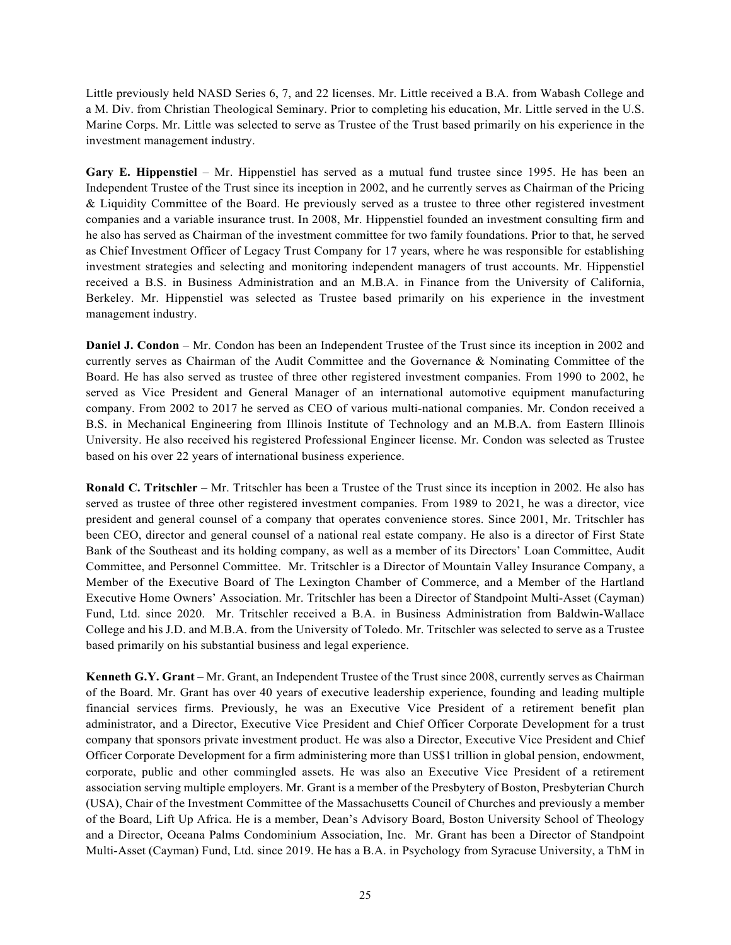Little previously held NASD Series 6, 7, and 22 licenses. Mr. Little received a B.A. from Wabash College and a M. Div. from Christian Theological Seminary. Prior to completing his education, Mr. Little served in the U.S. Marine Corps. Mr. Little was selected to serve as Trustee of the Trust based primarily on his experience in the investment management industry.

**Gary E. Hippenstiel** – Mr. Hippenstiel has served as a mutual fund trustee since 1995. He has been an Independent Trustee of the Trust since its inception in 2002, and he currently serves as Chairman of the Pricing & Liquidity Committee of the Board. He previously served as a trustee to three other registered investment companies and a variable insurance trust. In 2008, Mr. Hippenstiel founded an investment consulting firm and he also has served as Chairman of the investment committee for two family foundations. Prior to that, he served as Chief Investment Officer of Legacy Trust Company for 17 years, where he was responsible for establishing investment strategies and selecting and monitoring independent managers of trust accounts. Mr. Hippenstiel received a B.S. in Business Administration and an M.B.A. in Finance from the University of California, Berkeley. Mr. Hippenstiel was selected as Trustee based primarily on his experience in the investment management industry.

**Daniel J. Condon** – Mr. Condon has been an Independent Trustee of the Trust since its inception in 2002 and currently serves as Chairman of the Audit Committee and the Governance & Nominating Committee of the Board. He has also served as trustee of three other registered investment companies. From 1990 to 2002, he served as Vice President and General Manager of an international automotive equipment manufacturing company. From 2002 to 2017 he served as CEO of various multi-national companies. Mr. Condon received a B.S. in Mechanical Engineering from Illinois Institute of Technology and an M.B.A. from Eastern Illinois University. He also received his registered Professional Engineer license. Mr. Condon was selected as Trustee based on his over 22 years of international business experience.

**Ronald C. Tritschler** – Mr. Tritschler has been a Trustee of the Trust since its inception in 2002. He also has served as trustee of three other registered investment companies. From 1989 to 2021, he was a director, vice president and general counsel of a company that operates convenience stores. Since 2001, Mr. Tritschler has been CEO, director and general counsel of a national real estate company. He also is a director of First State Bank of the Southeast and its holding company, as well as a member of its Directors' Loan Committee, Audit Committee, and Personnel Committee. Mr. Tritschler is a Director of Mountain Valley Insurance Company, a Member of the Executive Board of The Lexington Chamber of Commerce, and a Member of the Hartland Executive Home Owners' Association. Mr. Tritschler has been a Director of Standpoint Multi-Asset (Cayman) Fund, Ltd. since 2020. Mr. Tritschler received a B.A. in Business Administration from Baldwin-Wallace College and his J.D. and M.B.A. from the University of Toledo. Mr. Tritschler was selected to serve as a Trustee based primarily on his substantial business and legal experience.

**Kenneth G.Y. Grant** – Mr. Grant, an Independent Trustee of the Trust since 2008, currently serves as Chairman of the Board. Mr. Grant has over 40 years of executive leadership experience, founding and leading multiple financial services firms. Previously, he was an Executive Vice President of a retirement benefit plan administrator, and a Director, Executive Vice President and Chief Officer Corporate Development for a trust company that sponsors private investment product. He was also a Director, Executive Vice President and Chief Officer Corporate Development for a firm administering more than US\$1 trillion in global pension, endowment, corporate, public and other commingled assets. He was also an Executive Vice President of a retirement association serving multiple employers. Mr. Grant is a member of the Presbytery of Boston, Presbyterian Church (USA), Chair of the Investment Committee of the Massachusetts Council of Churches and previously a member of the Board, Lift Up Africa. He is a member, Dean's Advisory Board, Boston University School of Theology and a Director, Oceana Palms Condominium Association, Inc. Mr. Grant has been a Director of Standpoint Multi-Asset (Cayman) Fund, Ltd. since 2019. He has a B.A. in Psychology from Syracuse University, a ThM in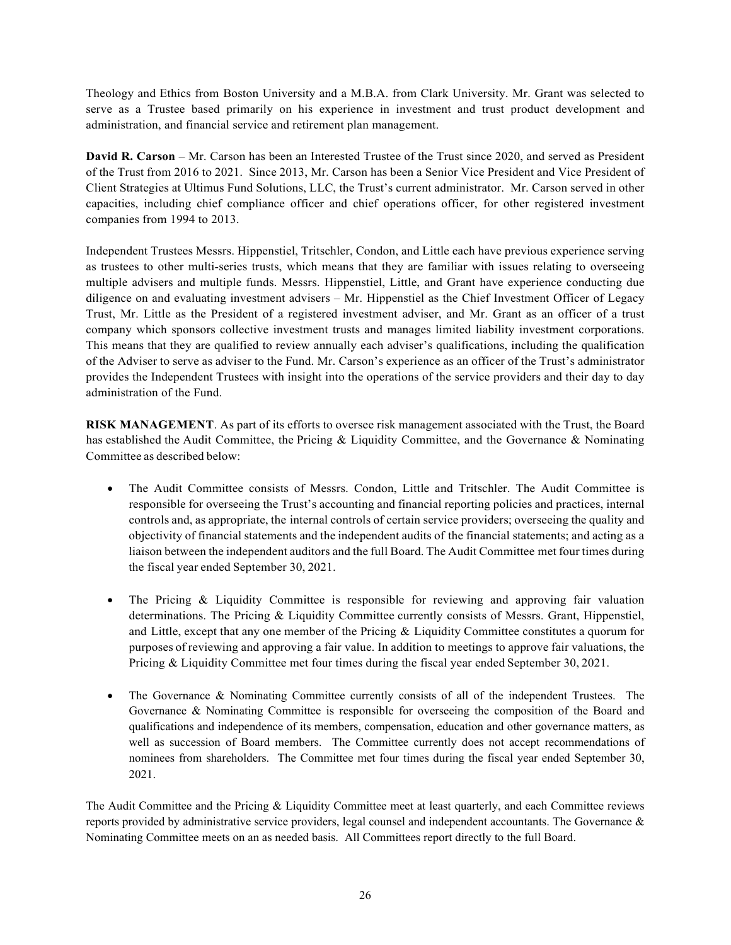Theology and Ethics from Boston University and a M.B.A. from Clark University. Mr. Grant was selected to serve as a Trustee based primarily on his experience in investment and trust product development and administration, and financial service and retirement plan management.

**David R. Carson** – Mr. Carson has been an Interested Trustee of the Trust since 2020, and served as President of the Trust from 2016 to 2021. Since 2013, Mr. Carson has been a Senior Vice President and Vice President of Client Strategies at Ultimus Fund Solutions, LLC, the Trust's current administrator. Mr. Carson served in other capacities, including chief compliance officer and chief operations officer, for other registered investment companies from 1994 to 2013.

Independent Trustees Messrs. Hippenstiel, Tritschler, Condon, and Little each have previous experience serving as trustees to other multi-series trusts, which means that they are familiar with issues relating to overseeing multiple advisers and multiple funds. Messrs. Hippenstiel, Little, and Grant have experience conducting due diligence on and evaluating investment advisers – Mr. Hippenstiel as the Chief Investment Officer of Legacy Trust, Mr. Little as the President of a registered investment adviser, and Mr. Grant as an officer of a trust company which sponsors collective investment trusts and manages limited liability investment corporations. This means that they are qualified to review annually each adviser's qualifications, including the qualification of the Adviser to serve as adviser to the Fund. Mr. Carson's experience as an officer of the Trust's administrator provides the Independent Trustees with insight into the operations of the service providers and their day to day administration of the Fund.

**RISK MANAGEMENT**. As part of its efforts to oversee risk management associated with the Trust, the Board has established the Audit Committee, the Pricing & Liquidity Committee, and the Governance & Nominating Committee as described below:

- The Audit Committee consists of Messrs. Condon, Little and Tritschler. The Audit Committee is responsible for overseeing the Trust's accounting and financial reporting policies and practices, internal controls and, as appropriate, the internal controls of certain service providers; overseeing the quality and objectivity of financial statements and the independent audits of the financial statements; and acting as a liaison between the independent auditors and the full Board. The Audit Committee met four times during the fiscal year ended September 30, 2021.
- The Pricing & Liquidity Committee is responsible for reviewing and approving fair valuation determinations. The Pricing & Liquidity Committee currently consists of Messrs. Grant, Hippenstiel, and Little, except that any one member of the Pricing & Liquidity Committee constitutes a quorum for purposes of reviewing and approving a fair value. In addition to meetings to approve fair valuations, the Pricing & Liquidity Committee met four times during the fiscal year ended September 30, 2021.
- The Governance & Nominating Committee currently consists of all of the independent Trustees. The Governance & Nominating Committee is responsible for overseeing the composition of the Board and qualifications and independence of its members, compensation, education and other governance matters, as well as succession of Board members. The Committee currently does not accept recommendations of nominees from shareholders. The Committee met four times during the fiscal year ended September 30, 2021.

The Audit Committee and the Pricing & Liquidity Committee meet at least quarterly, and each Committee reviews reports provided by administrative service providers, legal counsel and independent accountants. The Governance & Nominating Committee meets on an as needed basis. All Committees report directly to the full Board.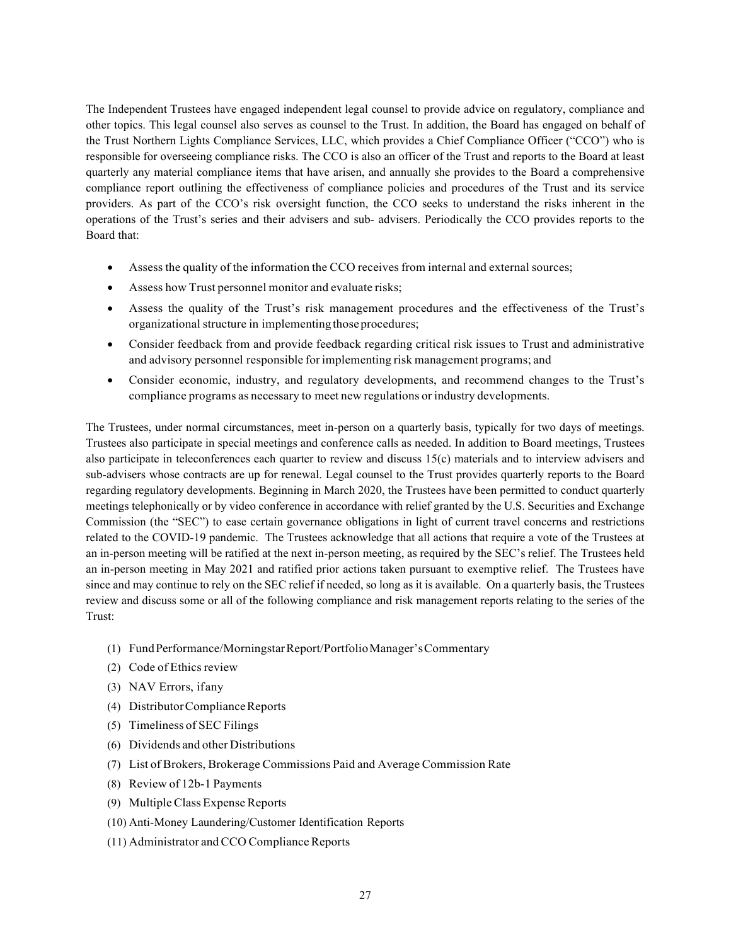The Independent Trustees have engaged independent legal counsel to provide advice on regulatory, compliance and other topics. This legal counsel also serves as counsel to the Trust. In addition, the Board has engaged on behalf of the Trust Northern Lights Compliance Services, LLC, which provides a Chief Compliance Officer ("CCO") who is responsible for overseeing compliance risks. The CCO is also an officer of the Trust and reports to the Board at least quarterly any material compliance items that have arisen, and annually she provides to the Board a comprehensive compliance report outlining the effectiveness of compliance policies and procedures of the Trust and its service providers. As part of the CCO's risk oversight function, the CCO seeks to understand the risks inherent in the operations of the Trust's series and their advisers and sub- advisers. Periodically the CCO provides reports to the Board that:

- Assess the quality of the information the CCO receives from internal and external sources;
- Assess how Trust personnel monitor and evaluate risks;
- Assess the quality of the Trust's risk management procedures and the effectiveness of the Trust's organizational structure in implementingthoseprocedures;
- Consider feedback from and provide feedback regarding critical risk issues to Trust and administrative and advisory personnel responsible for implementing risk management programs; and
- Consider economic, industry, and regulatory developments, and recommend changes to the Trust's compliance programs as necessary to meet new regulations or industry developments.

The Trustees, under normal circumstances, meet in-person on a quarterly basis, typically for two days of meetings. Trustees also participate in special meetings and conference calls as needed. In addition to Board meetings, Trustees also participate in teleconferences each quarter to review and discuss 15(c) materials and to interview advisers and sub-advisers whose contracts are up for renewal. Legal counsel to the Trust provides quarterly reports to the Board regarding regulatory developments. Beginning in March 2020, the Trustees have been permitted to conduct quarterly meetings telephonically or by video conference in accordance with relief granted by the U.S. Securities and Exchange Commission (the "SEC") to ease certain governance obligations in light of current travel concerns and restrictions related to the COVID-19 pandemic. The Trustees acknowledge that all actions that require a vote of the Trustees at an in-person meeting will be ratified at the next in-person meeting, as required by the SEC's relief. The Trustees held an in-person meeting in May 2021 and ratified prior actions taken pursuant to exemptive relief. The Trustees have since and may continue to rely on the SEC relief if needed, so long as it is available. On a quarterly basis, the Trustees review and discuss some or all of the following compliance and risk management reports relating to the series of the Trust:

- (1) FundPerformance/MorningstarReport/PortfolioManager'sCommentary
- (2) Code of Ethics review
- (3) NAV Errors, ifany
- (4) Distributor Compliance Reports
- (5) Timeliness of SEC Filings
- (6) Dividends and other Distributions
- (7) List of Brokers, Brokerage Commissions Paid and Average Commission Rate
- (8) Review of 12b-1 Payments
- (9) Multiple Class Expense Reports
- (10) Anti-Money Laundering/Customer Identification Reports
- (11) Administrator and CCO Compliance Reports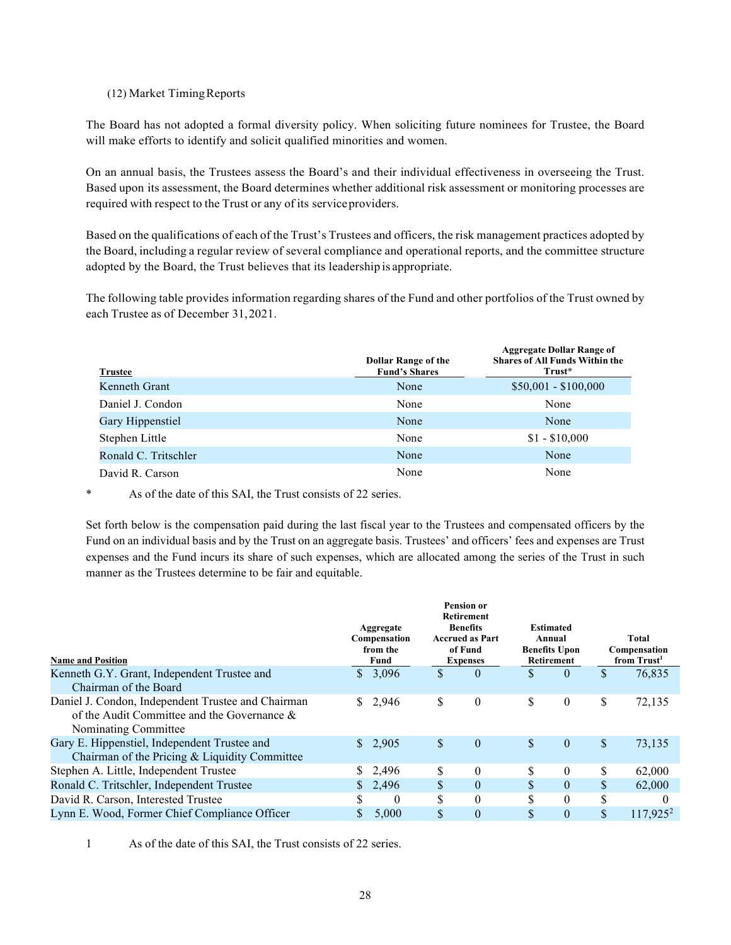### (12) Market TimingReports

The Board has not adopted a formal diversity policy. When soliciting future nominees for Trustee, the Board will make efforts to identify and solicit qualified minorities and women.

On an annual basis, the Trustees assess the Board's and their individual effectiveness in overseeing the Trust. Based upon its assessment, the Board determines whether additional risk assessment or monitoring processes are required with respect to the Trust or any of its serviceproviders.

Based on the qualifications of each of the Trust's Trustees and officers, the risk management practices adopted by the Board, including a regular review of several compliance and operational reports, and the committee structure adopted by the Board, the Trust believes that its leadership is appropriate.

The following table provides information regarding shares of the Fund and other portfolios of the Trust owned by each Trustee as of December 31,2021.

| <b>Trustee</b>       | <b>Dollar Range of the</b><br><b>Fund's Shares</b> | <b>Aggregate Dollar Range of</b><br><b>Shares of All Funds Within the</b><br>Trust* |
|----------------------|----------------------------------------------------|-------------------------------------------------------------------------------------|
| Kenneth Grant        | None                                               | $$50,001 - $100,000$                                                                |
| Daniel J. Condon     | None                                               | None                                                                                |
| Gary Hippenstiel     | None                                               | None                                                                                |
| Stephen Little       | None                                               | $$1 - $10,000$                                                                      |
| Ronald C. Tritschler | None                                               | None                                                                                |
| David R. Carson      | None                                               | None                                                                                |

\* As of the date of this SAI, the Trust consists of 22 series.

Set forth below is the compensation paid during the last fiscal year to the Trustees and compensated officers by the Fund on an individual basis and by the Trust on an aggregate basis. Trustees' and officers' fees and expenses are Trust expenses and the Fund incurs its share of such expenses, which are allocated among the series of the Trust in such manner as the Trustees determine to be fair and equitable.

| <b>Name and Position</b>                                                                                                  | Aggregate<br>Compensation<br>from the<br>Fund |              | <b>Pension or</b><br>Retirement<br><b>Benefits</b><br><b>Accrued as Part</b><br>of Fund<br><b>Expenses</b> |              | <b>Estimated</b><br>Annual<br><b>Benefits Upon</b><br>Retirement |               | Total<br>Compensation<br>from Trust <sup>1</sup> |
|---------------------------------------------------------------------------------------------------------------------------|-----------------------------------------------|--------------|------------------------------------------------------------------------------------------------------------|--------------|------------------------------------------------------------------|---------------|--------------------------------------------------|
| Kenneth G.Y. Grant, Independent Trustee and<br>Chairman of the Board                                                      | 3,096                                         | \$           | $\theta$                                                                                                   | D            | $\theta$                                                         | $\mathbf{\$}$ | 76,835                                           |
| Daniel J. Condon, Independent Trustee and Chairman<br>of the Audit Committee and the Governance &<br>Nominating Committee | \$2,946                                       | \$           | $\theta$                                                                                                   | \$           | $\theta$                                                         | \$            | 72,135                                           |
| Gary E. Hippenstiel, Independent Trustee and<br>Chairman of the Pricing & Liquidity Committee                             | \$2,905                                       | \$           | $\theta$                                                                                                   | \$           | $\theta$                                                         | \$            | 73,135                                           |
| Stephen A. Little, Independent Trustee                                                                                    | \$2,496                                       | \$           | $\theta$                                                                                                   | \$           | $\theta$                                                         | \$            | 62,000                                           |
| Ronald C. Tritschler, Independent Trustee                                                                                 | \$2,496                                       | $\mathbb{S}$ | $\theta$                                                                                                   | $\mathbf{s}$ | $\theta$                                                         | S             | 62,000                                           |
| David R. Carson, Interested Trustee                                                                                       | \$<br>$\theta$                                | \$           | $\theta$                                                                                                   | ъ            | $\theta$                                                         | \$            |                                                  |
| Lynn E. Wood, Former Chief Compliance Officer                                                                             | 5,000                                         | \$           | $\theta$                                                                                                   | \$           | $\theta$                                                         | $\mathbf{\$}$ | 117,925 <sup>2</sup>                             |

1 As of the date of this SAI, the Trust consists of 22 series.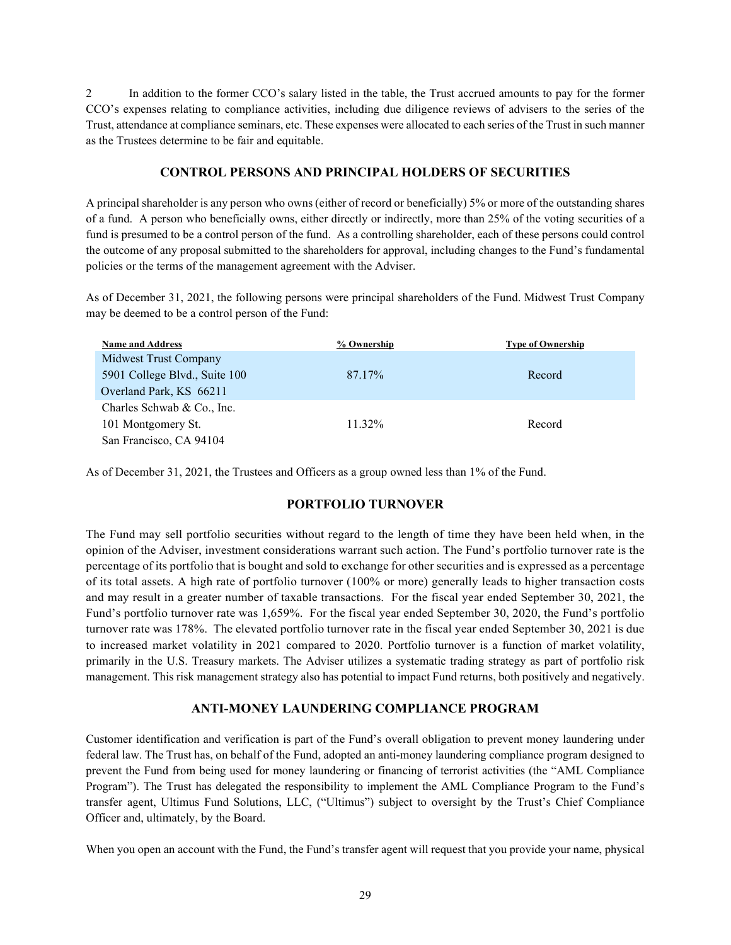2 In addition to the former CCO's salary listed in the table, the Trust accrued amounts to pay for the former CCO's expenses relating to compliance activities, including due diligence reviews of advisers to the series of the Trust, attendance at compliance seminars, etc. These expenses were allocated to each series of the Trust in such manner as the Trustees determine to be fair and equitable.

## **CONTROL PERSONS AND PRINCIPAL HOLDERS OF SECURITIES**

<span id="page-30-0"></span>A principal shareholder is any person who owns (either of record or beneficially) 5% or more of the outstanding shares of a fund. A person who beneficially owns, either directly or indirectly, more than 25% of the voting securities of a fund is presumed to be a control person of the fund. As a controlling shareholder, each of these persons could control the outcome of any proposal submitted to the shareholders for approval, including changes to the Fund's fundamental policies or the terms of the management agreement with the Adviser.

As of December 31, 2021, the following persons were principal shareholders of the Fund. Midwest Trust Company may be deemed to be a control person of the Fund:

| <b>Name and Address</b>       | % Ownership | <b>Type of Ownership</b> |
|-------------------------------|-------------|--------------------------|
| Midwest Trust Company         |             |                          |
| 5901 College Blvd., Suite 100 | 87.17%      | Record                   |
| Overland Park, KS 66211       |             |                          |
| Charles Schwab & Co., Inc.    |             |                          |
| 101 Montgomery St.            | 11.32%      | Record                   |
| San Francisco, CA 94104       |             |                          |

<span id="page-30-1"></span>As of December 31, 2021, the Trustees and Officers as a group owned less than 1% of the Fund.

# **PORTFOLIO TURNOVER**

The Fund may sell portfolio securities without regard to the length of time they have been held when, in the opinion of the Adviser, investment considerations warrant such action. The Fund's portfolio turnover rate is the percentage of its portfolio that is bought and sold to exchange for other securities and is expressed as a percentage of its total assets. A high rate of portfolio turnover (100% or more) generally leads to higher transaction costs and may result in a greater number of taxable transactions. For the fiscal year ended September 30, 2021, the Fund's portfolio turnover rate was 1,659%. For the fiscal year ended September 30, 2020, the Fund's portfolio turnover rate was 178%. The elevated portfolio turnover rate in the fiscal year ended September 30, 2021 is due to increased market volatility in 2021 compared to 2020. Portfolio turnover is a function of market volatility, primarily in the U.S. Treasury markets. The Adviser utilizes a systematic trading strategy as part of portfolio risk management. This risk management strategy also has potential to impact Fund returns, both positively and negatively.

# **ANTI-MONEY LAUNDERING COMPLIANCE PROGRAM**

<span id="page-30-2"></span>Customer identification and verification is part of the Fund's overall obligation to prevent money laundering under federal law. The Trust has, on behalf of the Fund, adopted an anti-money laundering compliance program designed to prevent the Fund from being used for money laundering or financing of terrorist activities (the "AML Compliance Program"). The Trust has delegated the responsibility to implement the AML Compliance Program to the Fund's transfer agent, Ultimus Fund Solutions, LLC, ("Ultimus") subject to oversight by the Trust's Chief Compliance Officer and, ultimately, by the Board.

When you open an account with the Fund, the Fund's transfer agent will request that you provide your name, physical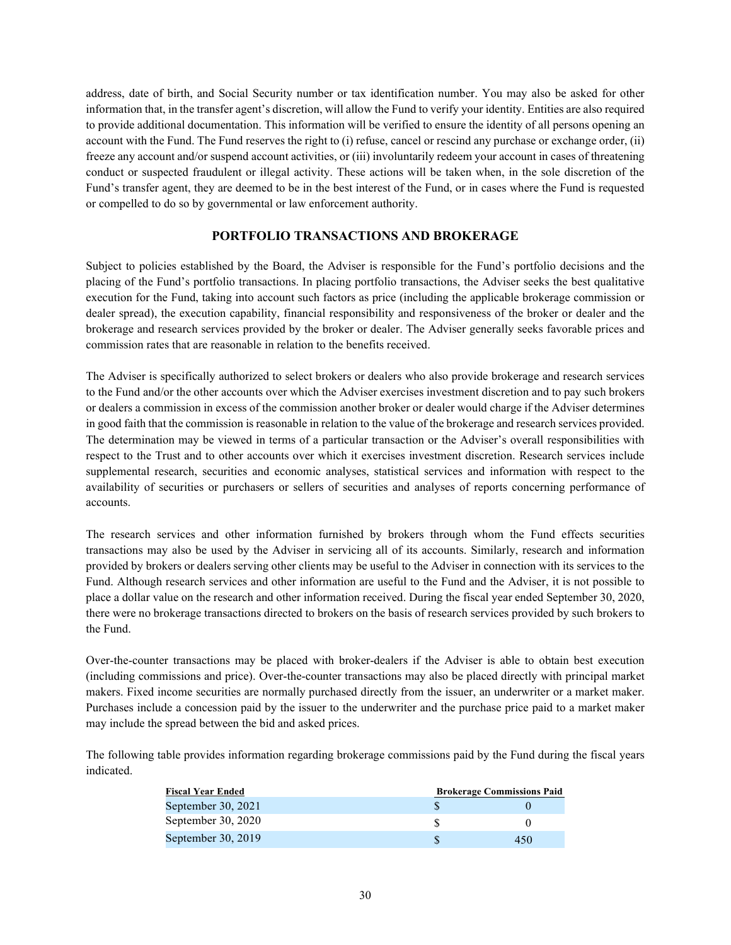address, date of birth, and Social Security number or tax identification number. You may also be asked for other information that, in the transfer agent's discretion, will allow the Fund to verify your identity. Entities are also required to provide additional documentation. This information will be verified to ensure the identity of all persons opening an account with the Fund. The Fund reserves the right to (i) refuse, cancel or rescind any purchase or exchange order, (ii) freeze any account and/or suspend account activities, or (iii) involuntarily redeem your account in cases of threatening conduct or suspected fraudulent or illegal activity. These actions will be taken when, in the sole discretion of the Fund's transfer agent, they are deemed to be in the best interest of the Fund, or in cases where the Fund is requested or compelled to do so by governmental or law enforcement authority.

# **PORTFOLIO TRANSACTIONS AND BROKERAGE**

<span id="page-31-0"></span>Subject to policies established by the Board, the Adviser is responsible for the Fund's portfolio decisions and the placing of the Fund's portfolio transactions. In placing portfolio transactions, the Adviser seeks the best qualitative execution for the Fund, taking into account such factors as price (including the applicable brokerage commission or dealer spread), the execution capability, financial responsibility and responsiveness of the broker or dealer and the brokerage and research services provided by the broker or dealer. The Adviser generally seeks favorable prices and commission rates that are reasonable in relation to the benefits received.

The Adviser is specifically authorized to select brokers or dealers who also provide brokerage and research services to the Fund and/or the other accounts over which the Adviser exercises investment discretion and to pay such brokers or dealers a commission in excess of the commission another broker or dealer would charge if the Adviser determines in good faith that the commission is reasonable in relation to the value of the brokerage and research services provided. The determination may be viewed in terms of a particular transaction or the Adviser's overall responsibilities with respect to the Trust and to other accounts over which it exercises investment discretion. Research services include supplemental research, securities and economic analyses, statistical services and information with respect to the availability of securities or purchasers or sellers of securities and analyses of reports concerning performance of accounts.

The research services and other information furnished by brokers through whom the Fund effects securities transactions may also be used by the Adviser in servicing all of its accounts. Similarly, research and information provided by brokers or dealers serving other clients may be useful to the Adviser in connection with its services to the Fund. Although research services and other information are useful to the Fund and the Adviser, it is not possible to place a dollar value on the research and other information received. During the fiscal year ended September 30, 2020, there were no brokerage transactions directed to brokers on the basis of research services provided by such brokers to the Fund.

Over-the-counter transactions may be placed with broker-dealers if the Adviser is able to obtain best execution (including commissions and price). Over-the-counter transactions may also be placed directly with principal market makers. Fixed income securities are normally purchased directly from the issuer, an underwriter or a market maker. Purchases include a concession paid by the issuer to the underwriter and the purchase price paid to a market maker may include the spread between the bid and asked prices.

The following table provides information regarding brokerage commissions paid by the Fund during the fiscal years indicated.

| <b>Fiscal Year Ended</b> | <b>Brokerage Commissions Paid</b> |
|--------------------------|-----------------------------------|
| September 30, 2021       |                                   |
| September 30, 2020       |                                   |
| September 30, 2019       | 450                               |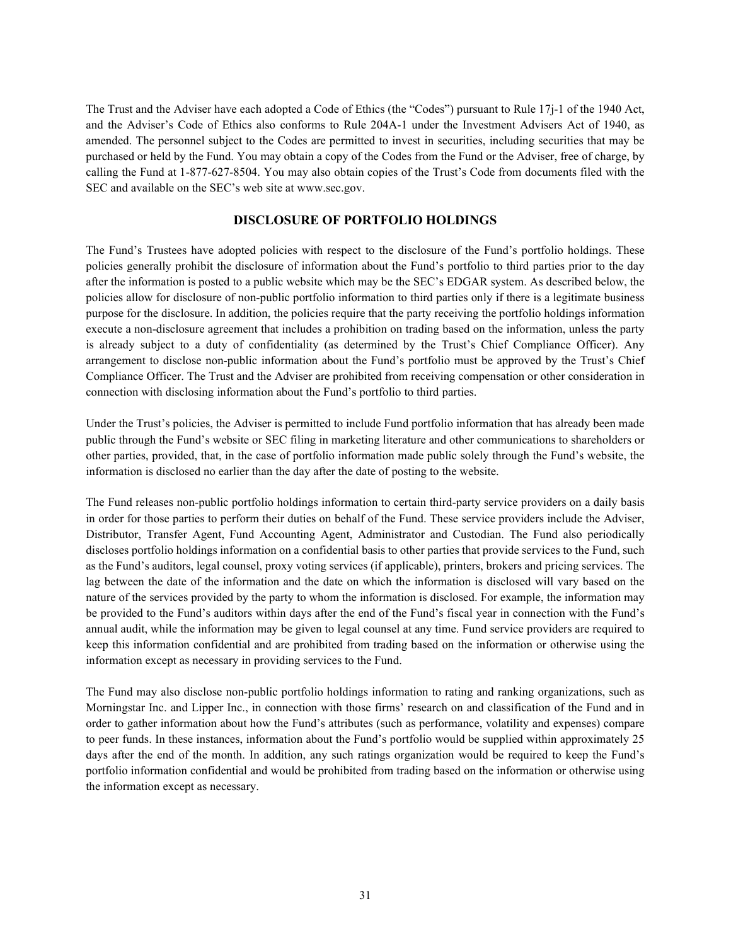The Trust and the Adviser have each adopted a Code of Ethics (the "Codes") pursuant to Rule 17j-1 of the 1940 Act, and the Adviser's Code of Ethics also conforms to Rule 204A-1 under the Investment Advisers Act of 1940, as amended. The personnel subject to the Codes are permitted to invest in securities, including securities that may be purchased or held by the Fund. You may obtain a copy of the Codes from the Fund or the Adviser, free of charge, by calling the Fund at 1-877-627-8504. You may also obtain copies of the Trust's Code from documents filed with the SEC and available on the SEC's web site at [www.sec.gov.](http://www.sec.gov/)

## **DISCLOSURE OF PORTFOLIO HOLDINGS**

<span id="page-32-0"></span>The Fund's Trustees have adopted policies with respect to the disclosure of the Fund's portfolio holdings. These policies generally prohibit the disclosure of information about the Fund's portfolio to third parties prior to the day after the information is posted to a public website which may be the SEC's EDGAR system. As described below, the policies allow for disclosure of non-public portfolio information to third parties only if there is a legitimate business purpose for the disclosure. In addition, the policies require that the party receiving the portfolio holdings information execute a non-disclosure agreement that includes a prohibition on trading based on the information, unless the party is already subject to a duty of confidentiality (as determined by the Trust's Chief Compliance Officer). Any arrangement to disclose non-public information about the Fund's portfolio must be approved by the Trust's Chief Compliance Officer. The Trust and the Adviser are prohibited from receiving compensation or other consideration in connection with disclosing information about the Fund's portfolio to third parties.

Under the Trust's policies, the Adviser is permitted to include Fund portfolio information that has already been made public through the Fund's website or SEC filing in marketing literature and other communications to shareholders or other parties, provided, that, in the case of portfolio information made public solely through the Fund's website, the information is disclosed no earlier than the day after the date of posting to the website.

The Fund releases non-public portfolio holdings information to certain third-party service providers on a daily basis in order for those parties to perform their duties on behalf of the Fund. These service providers include the Adviser, Distributor, Transfer Agent, Fund Accounting Agent, Administrator and Custodian. The Fund also periodically discloses portfolio holdings information on a confidential basis to other parties that provide services to the Fund, such as the Fund's auditors, legal counsel, proxy voting services (if applicable), printers, brokers and pricing services. The lag between the date of the information and the date on which the information is disclosed will vary based on the nature of the services provided by the party to whom the information is disclosed. For example, the information may be provided to the Fund's auditors within days after the end of the Fund's fiscal year in connection with the Fund's annual audit, while the information may be given to legal counsel at any time. Fund service providers are required to keep this information confidential and are prohibited from trading based on the information or otherwise using the information except as necessary in providing services to the Fund.

<span id="page-32-1"></span>The Fund may also disclose non-public portfolio holdings information to rating and ranking organizations, such as Morningstar Inc. and Lipper Inc., in connection with those firms' research on and classification of the Fund and in order to gather information about how the Fund's attributes (such as performance, volatility and expenses) compare to peer funds. In these instances, information about the Fund's portfolio would be supplied within approximately 25 days after the end of the month. In addition, any such ratings organization would be required to keep the Fund's portfolio information confidential and would be prohibited from trading based on the information or otherwise using the information except as necessary.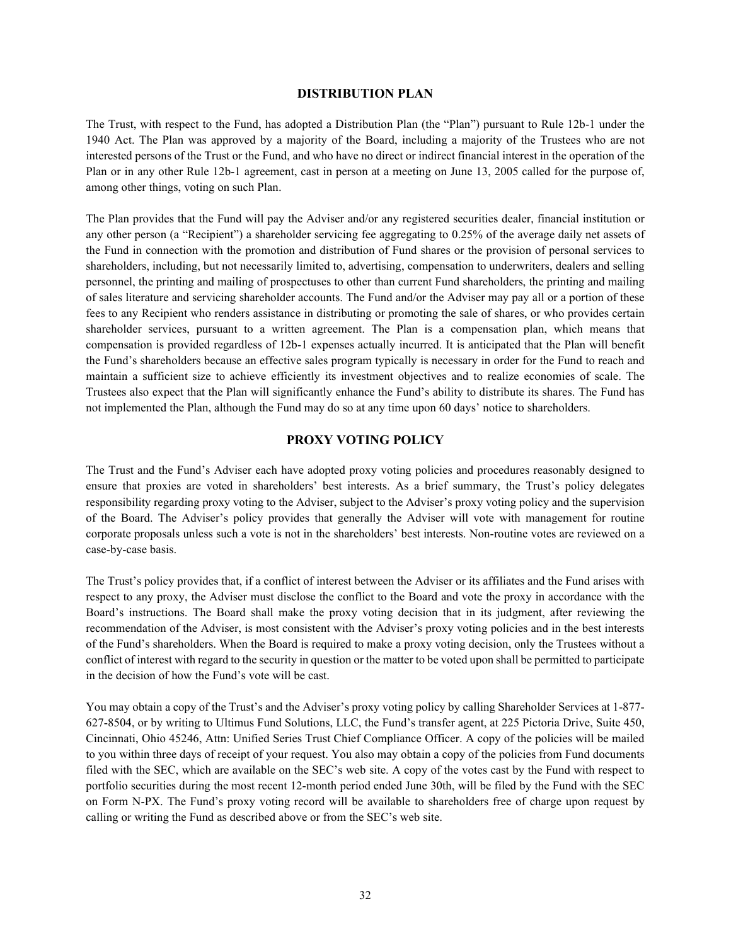#### **DISTRIBUTION PLAN**

The Trust, with respect to the Fund, has adopted a Distribution Plan (the "Plan") pursuant to Rule 12b-1 under the 1940 Act. The Plan was approved by a majority of the Board, including a majority of the Trustees who are not interested persons of the Trust or the Fund, and who have no direct or indirect financial interest in the operation of the Plan or in any other Rule 12b-1 agreement, cast in person at a meeting on June 13, 2005 called for the purpose of, among other things, voting on such Plan.

The Plan provides that the Fund will pay the Adviser and/or any registered securities dealer, financial institution or any other person (a "Recipient") a shareholder servicing fee aggregating to 0.25% of the average daily net assets of the Fund in connection with the promotion and distribution of Fund shares or the provision of personal services to shareholders, including, but not necessarily limited to, advertising, compensation to underwriters, dealers and selling personnel, the printing and mailing of prospectuses to other than current Fund shareholders, the printing and mailing of sales literature and servicing shareholder accounts. The Fund and/or the Adviser may pay all or a portion of these fees to any Recipient who renders assistance in distributing or promoting the sale of shares, or who provides certain shareholder services, pursuant to a written agreement. The Plan is a compensation plan, which means that compensation is provided regardless of 12b-1 expenses actually incurred. It is anticipated that the Plan will benefit the Fund's shareholders because an effective sales program typically is necessary in order for the Fund to reach and maintain a sufficient size to achieve efficiently its investment objectives and to realize economies of scale. The Trustees also expect that the Plan will significantly enhance the Fund's ability to distribute its shares. The Fund has not implemented the Plan, although the Fund may do so at any time upon 60 days' notice to shareholders.

## **PROXY VOTING POLICY**

<span id="page-33-0"></span>The Trust and the Fund's Adviser each have adopted proxy voting policies and procedures reasonably designed to ensure that proxies are voted in shareholders' best interests. As a brief summary, the Trust's policy delegates responsibility regarding proxy voting to the Adviser, subject to the Adviser's proxy voting policy and the supervision of the Board. The Adviser's policy provides that generally the Adviser will vote with management for routine corporate proposals unless such a vote is not in the shareholders' best interests. Non-routine votes are reviewed on a case-by-case basis.

The Trust's policy provides that, if a conflict of interest between the Adviser or its affiliates and the Fund arises with respect to any proxy, the Adviser must disclose the conflict to the Board and vote the proxy in accordance with the Board's instructions. The Board shall make the proxy voting decision that in its judgment, after reviewing the recommendation of the Adviser, is most consistent with the Adviser's proxy voting policies and in the best interests of the Fund's shareholders. When the Board is required to make a proxy voting decision, only the Trustees without a conflict of interest with regard to the security in question or the matter to be voted upon shall be permitted to participate in the decision of how the Fund's vote will be cast.

<span id="page-33-1"></span>You may obtain a copy of the Trust's and the Adviser's proxy voting policy by calling Shareholder Services at 1-877- 627-8504, or by writing to Ultimus Fund Solutions, LLC, the Fund's transfer agent, at 225 Pictoria Drive, Suite 450, Cincinnati, Ohio 45246, Attn: Unified Series Trust Chief Compliance Officer. A copy of the policies will be mailed to you within three days of receipt of your request. You also may obtain a copy of the policies from Fund documents filed with the SEC, which are available on the SEC's web site. A copy of the votes cast by the Fund with respect to portfolio securities during the most recent 12-month period ended June 30th, will be filed by the Fund with the SEC on Form N-PX. The Fund's proxy voting record will be available to shareholders free of charge upon request by calling or writing the Fund as described above or from the SEC's web site.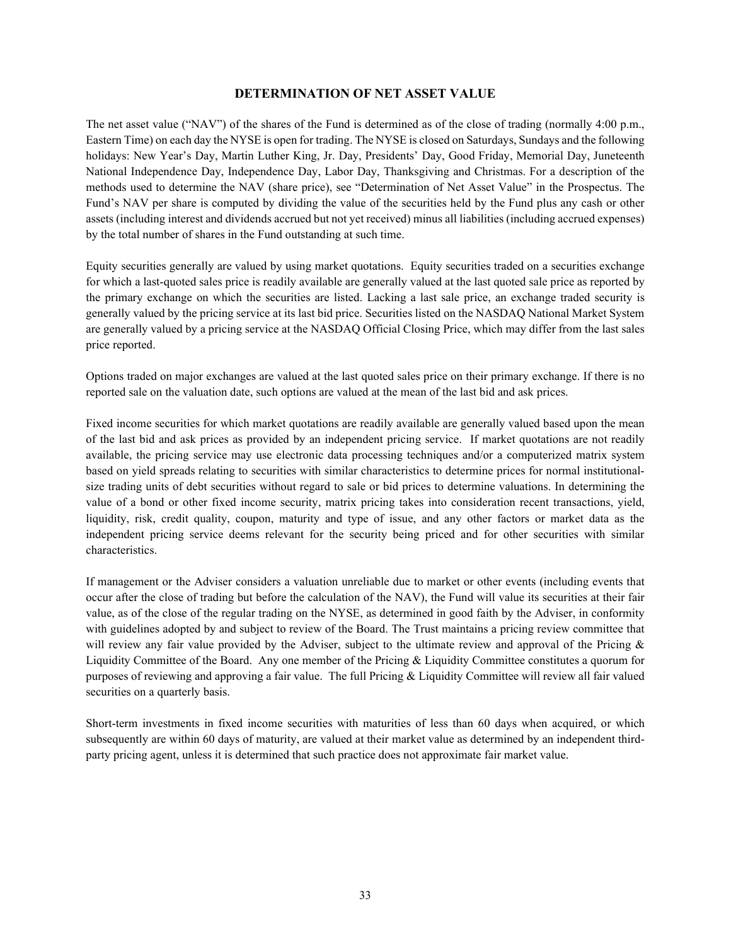### **DETERMINATION OF NET ASSET VALUE**

The net asset value ("NAV") of the shares of the Fund is determined as of the close of trading (normally 4:00 p.m., Eastern Time) on each day the NYSE is open for trading. The NYSE is closed on Saturdays, Sundays and the following holidays: New Year's Day, Martin Luther King, Jr. Day, Presidents' Day, Good Friday, Memorial Day, Juneteenth National Independence Day, Independence Day, Labor Day, Thanksgiving and Christmas. For a description of the methods used to determine the NAV (share price), see "Determination of Net Asset Value" in the Prospectus. The Fund's NAV per share is computed by dividing the value of the securities held by the Fund plus any cash or other assets (including interest and dividends accrued but not yet received) minus all liabilities (including accrued expenses) by the total number of shares in the Fund outstanding at such time.

Equity securities generally are valued by using market quotations. Equity securities traded on a securities exchange for which a last-quoted sales price is readily available are generally valued at the last quoted sale price as reported by the primary exchange on which the securities are listed. Lacking a last sale price, an exchange traded security is generally valued by the pricing service at its last bid price. Securities listed on the NASDAQ National Market System are generally valued by a pricing service at the NASDAQ Official Closing Price, which may differ from the last sales price reported.

Options traded on major exchanges are valued at the last quoted sales price on their primary exchange. If there is no reported sale on the valuation date, such options are valued at the mean of the last bid and ask prices.

Fixed income securities for which market quotations are readily available are generally valued based upon the mean of the last bid and ask prices as provided by an independent pricing service. If market quotations are not readily available, the pricing service may use electronic data processing techniques and/or a computerized matrix system based on yield spreads relating to securities with similar characteristics to determine prices for normal institutionalsize trading units of debt securities without regard to sale or bid prices to determine valuations. In determining the value of a bond or other fixed income security, matrix pricing takes into consideration recent transactions, yield, liquidity, risk, credit quality, coupon, maturity and type of issue, and any other factors or market data as the independent pricing service deems relevant for the security being priced and for other securities with similar characteristics.

If management or the Adviser considers a valuation unreliable due to market or other events (including events that occur after the close of trading but before the calculation of the NAV), the Fund will value its securities at their fair value, as of the close of the regular trading on the NYSE, as determined in good faith by the Adviser, in conformity with guidelines adopted by and subject to review of the Board. The Trust maintains a pricing review committee that will review any fair value provided by the Adviser, subject to the ultimate review and approval of the Pricing & Liquidity Committee of the Board. Any one member of the Pricing & Liquidity Committee constitutes a quorum for purposes of reviewing and approving a fair value. The full Pricing & Liquidity Committee will review all fair valued securities on a quarterly basis.

<span id="page-34-0"></span>Short-term investments in fixed income securities with maturities of less than 60 days when acquired, or which subsequently are within 60 days of maturity, are valued at their market value as determined by an independent thirdparty pricing agent, unless it is determined that such practice does not approximate fair market value.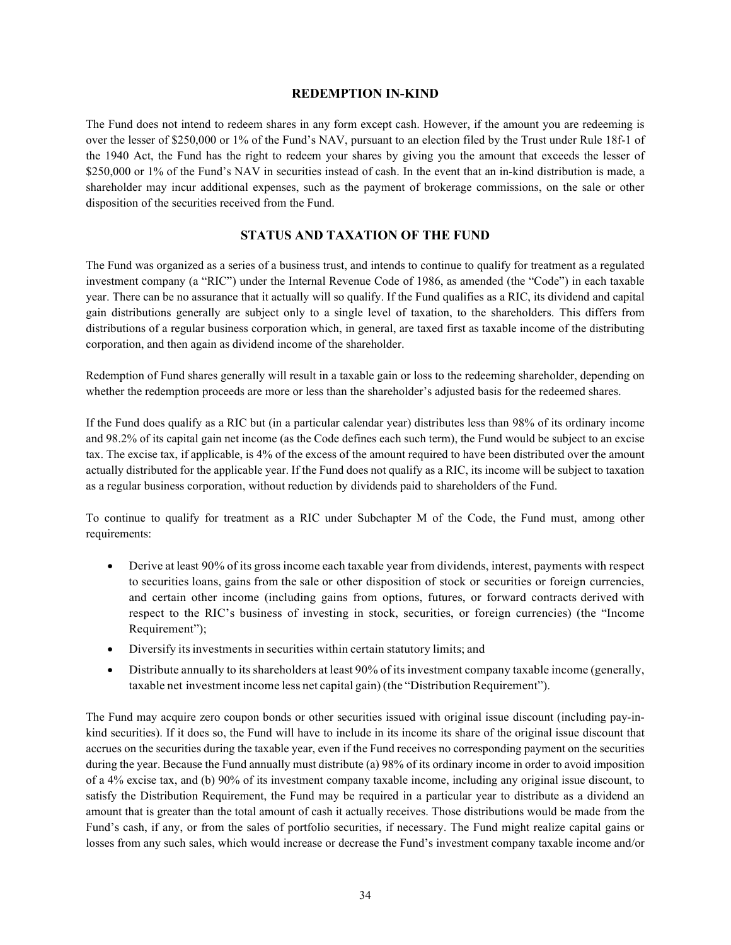### **REDEMPTION IN-KIND**

The Fund does not intend to redeem shares in any form except cash. However, if the amount you are redeeming is over the lesser of \$250,000 or 1% of the Fund's NAV, pursuant to an election filed by the Trust under Rule 18f-1 of the 1940 Act, the Fund has the right to redeem your shares by giving you the amount that exceeds the lesser of \$250,000 or 1% of the Fund's NAV in securities instead of cash. In the event that an in-kind distribution is made, a shareholder may incur additional expenses, such as the payment of brokerage commissions, on the sale or other disposition of the securities received from the Fund.

## **STATUS AND TAXATION OF THE FUND**

<span id="page-35-0"></span>The Fund was organized as a series of a business trust, and intends to continue to qualify for treatment as a regulated investment company (a "RIC") under the Internal Revenue Code of 1986, as amended (the "Code") in each taxable year. There can be no assurance that it actually will so qualify. If the Fund qualifies as a RIC, its dividend and capital gain distributions generally are subject only to a single level of taxation, to the shareholders. This differs from distributions of a regular business corporation which, in general, are taxed first as taxable income of the distributing corporation, and then again as dividend income of the shareholder.

Redemption of Fund shares generally will result in a taxable gain or loss to the redeeming shareholder, depending on whether the redemption proceeds are more or less than the shareholder's adjusted basis for the redeemed shares.

If the Fund does qualify as a RIC but (in a particular calendar year) distributes less than 98% of its ordinary income and 98.2% of its capital gain net income (as the Code defines each such term), the Fund would be subject to an excise tax. The excise tax, if applicable, is 4% of the excess of the amount required to have been distributed over the amount actually distributed for the applicable year. If the Fund does not qualify as a RIC, its income will be subject to taxation as a regular business corporation, without reduction by dividends paid to shareholders of the Fund.

To continue to qualify for treatment as a RIC under Subchapter M of the Code, the Fund must, among other requirements:

- Derive at least 90% of its gross income each taxable year from dividends, interest, payments with respect to securities loans, gains from the sale or other disposition of stock or securities or foreign currencies, and certain other income (including gains from options, futures, or forward contracts derived with respect to the RIC's business of investing in stock, securities, or foreign currencies) (the "Income Requirement");
- Diversify its investments in securities within certain statutory limits; and
- Distribute annually to its shareholders at least 90% of its investment company taxable income (generally, taxable net investment income less net capital gain) (the "Distribution Requirement").

The Fund may acquire zero coupon bonds or other securities issued with original issue discount (including pay-inkind securities). If it does so, the Fund will have to include in its income its share of the original issue discount that accrues on the securities during the taxable year, even if the Fund receives no corresponding payment on the securities during the year. Because the Fund annually must distribute (a) 98% of its ordinary income in order to avoid imposition of a 4% excise tax, and (b) 90% of its investment company taxable income, including any original issue discount, to satisfy the Distribution Requirement, the Fund may be required in a particular year to distribute as a dividend an amount that is greater than the total amount of cash it actually receives. Those distributions would be made from the Fund's cash, if any, or from the sales of portfolio securities, if necessary. The Fund might realize capital gains or losses from any such sales, which would increase or decrease the Fund's investment company taxable income and/or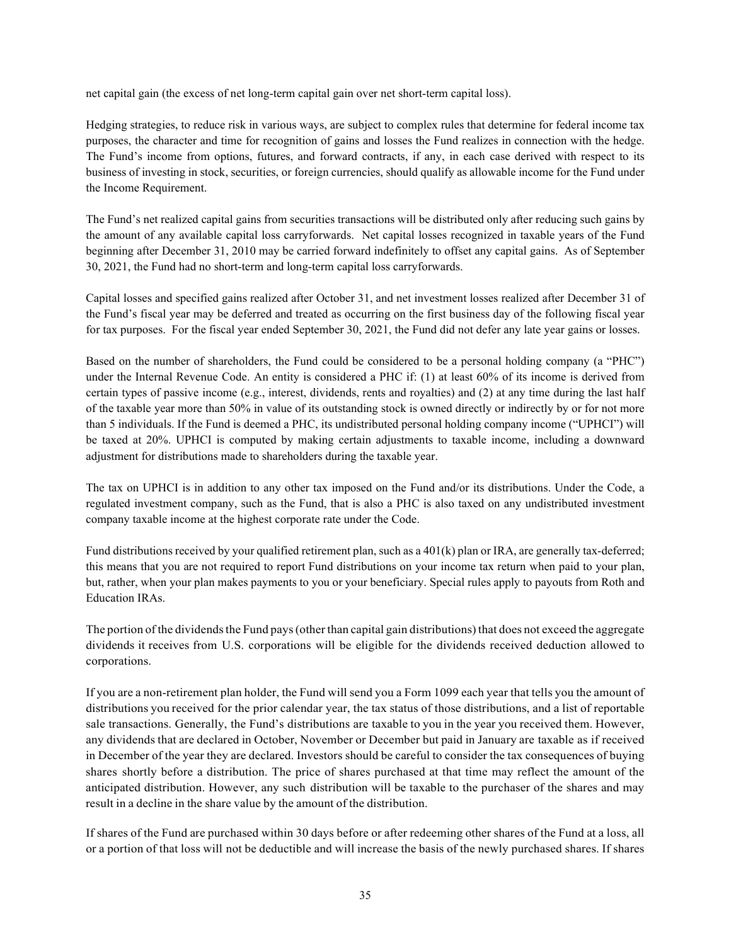net capital gain (the excess of net long-term capital gain over net short-term capital loss).

Hedging strategies, to reduce risk in various ways, are subject to complex rules that determine for federal income tax purposes, the character and time for recognition of gains and losses the Fund realizes in connection with the hedge. The Fund's income from options, futures, and forward contracts, if any, in each case derived with respect to its business of investing in stock, securities, or foreign currencies, should qualify as allowable income for the Fund under the Income Requirement.

The Fund's net realized capital gains from securities transactions will be distributed only after reducing such gains by the amount of any available capital loss carryforwards. Net capital losses recognized in taxable years of the Fund beginning after December 31, 2010 may be carried forward indefinitely to offset any capital gains. As of September 30, 2021, the Fund had no short-term and long-term capital loss carryforwards.

Capital losses and specified gains realized after October 31, and net investment losses realized after December 31 of the Fund's fiscal year may be deferred and treated as occurring on the first business day of the following fiscal year for tax purposes. For the fiscal year ended September 30, 2021, the Fund did not defer any late year gains or losses.

Based on the number of shareholders, the Fund could be considered to be a personal holding company (a "PHC") under the Internal Revenue Code. An entity is considered a PHC if: (1) at least 60% of its income is derived from certain types of passive income (e.g., interest, dividends, rents and royalties) and (2) at any time during the last half of the taxable year more than 50% in value of its outstanding stock is owned directly or indirectly by or for not more than 5 individuals. If the Fund is deemed a PHC, its undistributed personal holding company income ("UPHCI") will be taxed at 20%. UPHCI is computed by making certain adjustments to taxable income, including a downward adjustment for distributions made to shareholders during the taxable year.

The tax on UPHCI is in addition to any other tax imposed on the Fund and/or its distributions. Under the Code, a regulated investment company, such as the Fund, that is also a PHC is also taxed on any undistributed investment company taxable income at the highest corporate rate under the Code.

Fund distributions received by your qualified retirement plan, such as a 401(k) plan or IRA, are generally tax-deferred; this means that you are not required to report Fund distributions on your income tax return when paid to your plan, but, rather, when your plan makes payments to you or your beneficiary. Special rules apply to payouts from Roth and Education IRAs.

The portion of the dividends the Fund pays (other than capital gain distributions) that does not exceed the aggregate dividends it receives from U.S. corporations will be eligible for the dividends received deduction allowed to corporations.

If you are a non-retirement plan holder, the Fund will send you a Form 1099 each year that tells you the amount of distributions you received for the prior calendar year, the tax status of those distributions, and a list of reportable sale transactions. Generally, the Fund's distributions are taxable to you in the year you received them. However, any dividends that are declared in October, November or December but paid in January are taxable as if received in December of the year they are declared. Investors should be careful to consider the tax consequences of buying shares shortly before a distribution. The price of shares purchased at that time may reflect the amount of the anticipated distribution. However, any such distribution will be taxable to the purchaser of the shares and may result in a decline in the share value by the amount of the distribution.

If shares of the Fund are purchased within 30 days before or after redeeming other shares of the Fund at a loss, all or a portion of that loss will not be deductible and will increase the basis of the newly purchased shares. If shares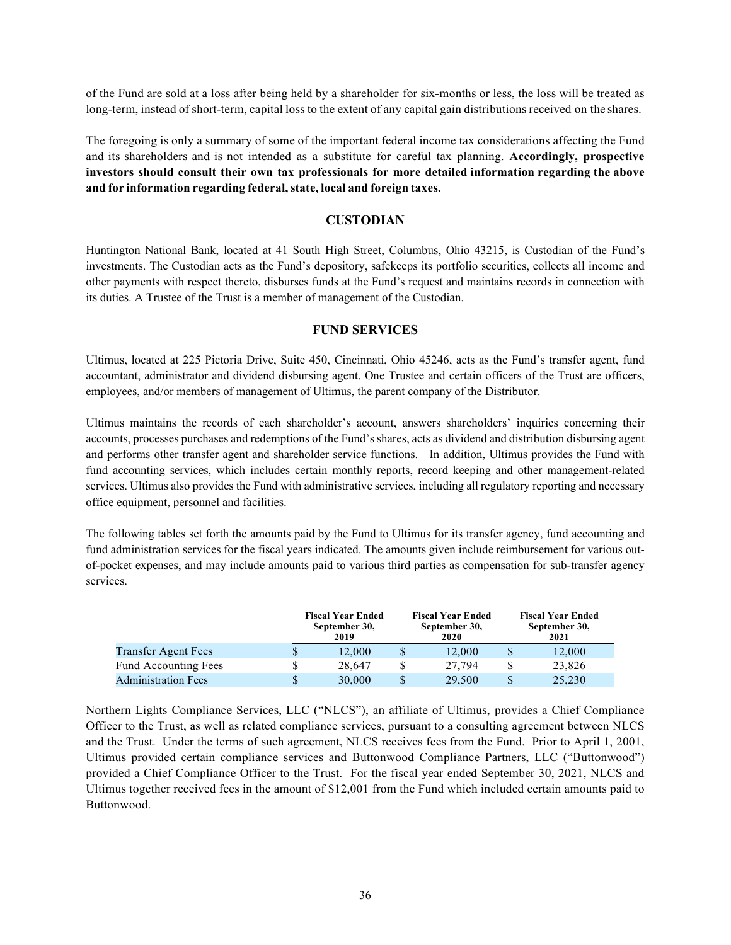of the Fund are sold at a loss after being held by a shareholder for six-months or less, the loss will be treated as long-term, instead of short-term, capital loss to the extent of any capital gain distributions received on the shares.

The foregoing is only a summary of some of the important federal income tax considerations affecting the Fund and its shareholders and is not intended as a substitute for careful tax planning. **Accordingly, prospective investors should consult their own tax professionals for more detailed information regarding the above and for information regarding federal,state, local and foreign taxes.**

## **CUSTODIAN**

<span id="page-37-0"></span>Huntington National Bank, located at 41 South High Street, Columbus, Ohio 43215, is Custodian of the Fund's investments. The Custodian acts as the Fund's depository, safekeeps its portfolio securities, collects all income and other payments with respect thereto, disburses funds at the Fund's request and maintains records in connection with its duties. A Trustee of the Trust is a member of management of the Custodian.

## **FUND SERVICES**

<span id="page-37-1"></span>Ultimus, located at 225 Pictoria Drive, Suite 450, Cincinnati, Ohio 45246, acts as the Fund's transfer agent, fund accountant, administrator and dividend disbursing agent. One Trustee and certain officers of the Trust are officers, employees, and/or members of management of Ultimus, the parent company of the Distributor.

Ultimus maintains the records of each shareholder's account, answers shareholders' inquiries concerning their accounts, processes purchases and redemptions of the Fund's shares, acts as dividend and distribution disbursing agent and performs other transfer agent and shareholder service functions. In addition, Ultimus provides the Fund with fund accounting services, which includes certain monthly reports, record keeping and other management-related services. Ultimus also provides the Fund with administrative services, including all regulatory reporting and necessary office equipment, personnel and facilities.

The following tables set forth the amounts paid by the Fund to Ultimus for its transfer agency, fund accounting and fund administration services for the fiscal years indicated. The amounts given include reimbursement for various outof-pocket expenses, and may include amounts paid to various third parties as compensation for sub-transfer agency services.

|                            |  | <b>Fiscal Year Ended</b><br>September 30,<br>2019 |  |        |  | <b>Fiscal Year Ended</b><br>September 30,<br>2020 |  | <b>Fiscal Year Ended</b><br>September 30,<br>2021 |  |
|----------------------------|--|---------------------------------------------------|--|--------|--|---------------------------------------------------|--|---------------------------------------------------|--|
| <b>Transfer Agent Fees</b> |  | 12,000                                            |  | 12,000 |  | 12,000                                            |  |                                                   |  |
| Fund Accounting Fees       |  | 28,647                                            |  | 27,794 |  | 23,826                                            |  |                                                   |  |
| <b>Administration Fees</b> |  | 30,000                                            |  | 29,500 |  | 25,230                                            |  |                                                   |  |

<span id="page-37-2"></span>Northern Lights Compliance Services, LLC ("NLCS"), an affiliate of Ultimus, provides a Chief Compliance Officer to the Trust, as well as related compliance services, pursuant to a consulting agreement between NLCS and the Trust. Under the terms of such agreement, NLCS receives fees from the Fund. Prior to April 1, 2001, Ultimus provided certain compliance services and Buttonwood Compliance Partners, LLC ("Buttonwood") provided a Chief Compliance Officer to the Trust. For the fiscal year ended September 30, 2021, NLCS and Ultimus together received fees in the amount of \$12,001 from the Fund which included certain amounts paid to Buttonwood.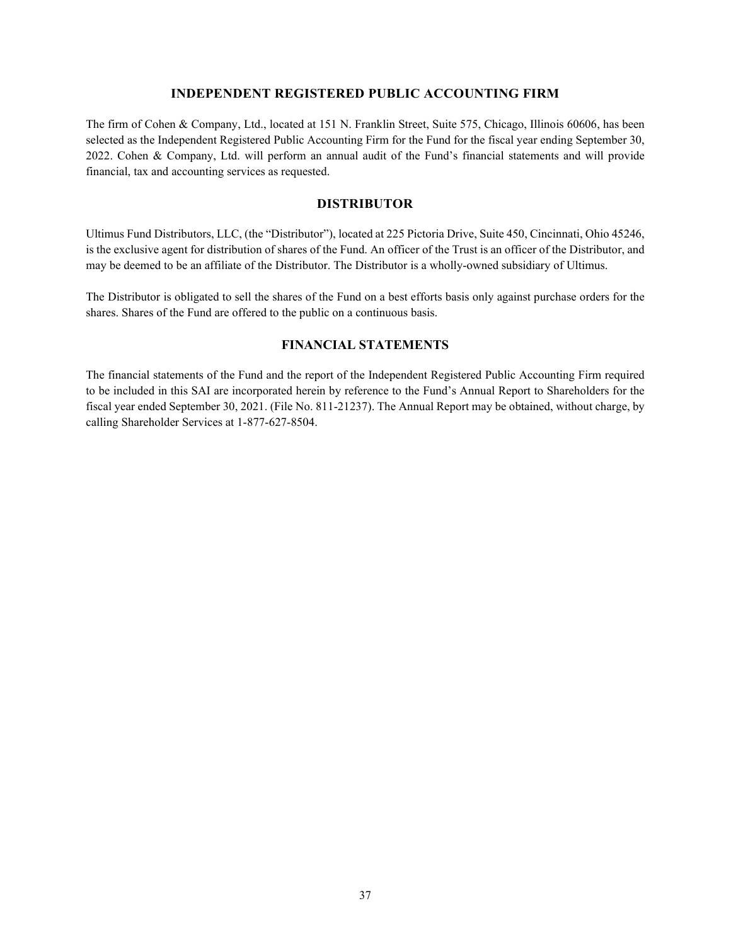### **INDEPENDENT REGISTERED PUBLIC ACCOUNTING FIRM**

The firm of Cohen & Company, Ltd., located at 151 N. Franklin Street, Suite 575, Chicago, Illinois 60606, has been selected as the Independent Registered Public Accounting Firm for the Fund for the fiscal year ending September 30, 2022. Cohen & Company, Ltd. will perform an annual audit of the Fund's financial statements and will provide financial, tax and accounting services as requested.

## **DISTRIBUTOR**

<span id="page-38-0"></span>Ultimus Fund Distributors, LLC, (the "Distributor"), located at 225 Pictoria Drive, Suite 450, Cincinnati, Ohio 45246, is the exclusive agent for distribution of shares of the Fund. An officer of the Trust is an officer of the Distributor, and may be deemed to be an affiliate of the Distributor. The Distributor is a wholly-owned subsidiary of Ultimus.

The Distributor is obligated to sell the shares of the Fund on a best efforts basis only against purchase orders for the shares. Shares of the Fund are offered to the public on a continuous basis.

# **FINANCIAL STATEMENTS**

<span id="page-38-1"></span>The financial statements of the Fund and the report of the Independent Registered Public Accounting Firm required to be included in this SAI are incorporated herein by reference to the Fund's Annual Report to Shareholders for the fiscal year ended September 30, 2021. (File No. 811-21237). The Annual Report may be obtained, without charge, by calling Shareholder Services at 1-877-627-8504.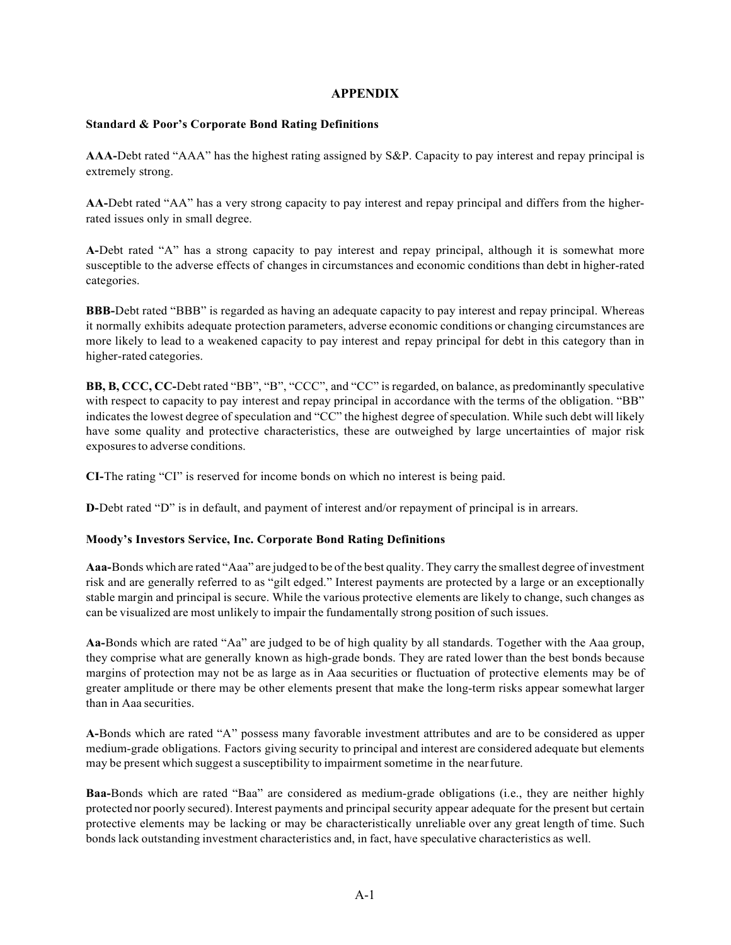## **APPENDIX**

### <span id="page-39-0"></span>**Standard & Poor's Corporate Bond Rating Definitions**

**AAA-**Debt rated "AAA" has the highest rating assigned by S&P. Capacity to pay interest and repay principal is extremely strong.

**AA-**Debt rated "AA" has a very strong capacity to pay interest and repay principal and differs from the higherrated issues only in small degree.

**A-**Debt rated "A" has a strong capacity to pay interest and repay principal, although it is somewhat more susceptible to the adverse effects of changes in circumstances and economic conditions than debt in higher-rated categories.

**BBB-**Debt rated "BBB" is regarded as having an adequate capacity to pay interest and repay principal. Whereas it normally exhibits adequate protection parameters, adverse economic conditions or changing circumstances are more likely to lead to a weakened capacity to pay interest and repay principal for debt in this category than in higher-rated categories.

**BB, B, CCC, CC-**Debt rated "BB", "B", "CCC", and "CC" is regarded, on balance, as predominantly speculative with respect to capacity to pay interest and repay principal in accordance with the terms of the obligation. "BB" indicates the lowest degree of speculation and "CC" the highest degree of speculation. While such debt will likely have some quality and protective characteristics, these are outweighed by large uncertainties of major risk exposures to adverse conditions.

**CI-**The rating "CI" is reserved for income bonds on which no interest is being paid.

**D-**Debt rated "D" is in default, and payment of interest and/or repayment of principal is in arrears.

### **Moody's Investors Service, Inc. Corporate Bond Rating Definitions**

**Aaa-**Bonds which are rated "Aaa" are judged to be of the best quality. They carry the smallest degree of investment risk and are generally referred to as "gilt edged." Interest payments are protected by a large or an exceptionally stable margin and principal is secure. While the various protective elements are likely to change, such changes as can be visualized are most unlikely to impair the fundamentally strong position of such issues.

**Aa-**Bonds which are rated "Aa" are judged to be of high quality by all standards. Together with the Aaa group, they comprise what are generally known as high-grade bonds. They are rated lower than the best bonds because margins of protection may not be as large as in Aaa securities or fluctuation of protective elements may be of greater amplitude or there may be other elements present that make the long-term risks appear somewhat larger than in Aaa securities.

**A-**Bonds which are rated "A" possess many favorable investment attributes and are to be considered as upper medium-grade obligations. Factors giving security to principal and interest are considered adequate but elements may be present which suggest a susceptibility to impairment sometime in the nearfuture.

**Baa-**Bonds which are rated "Baa" are considered as medium-grade obligations (i.e., they are neither highly protected nor poorly secured).Interest payments and principal security appear adequate for the present but certain protective elements may be lacking or may be characteristically unreliable over any great length of time. Such bonds lack outstanding investment characteristics and, in fact, have speculative characteristics as well.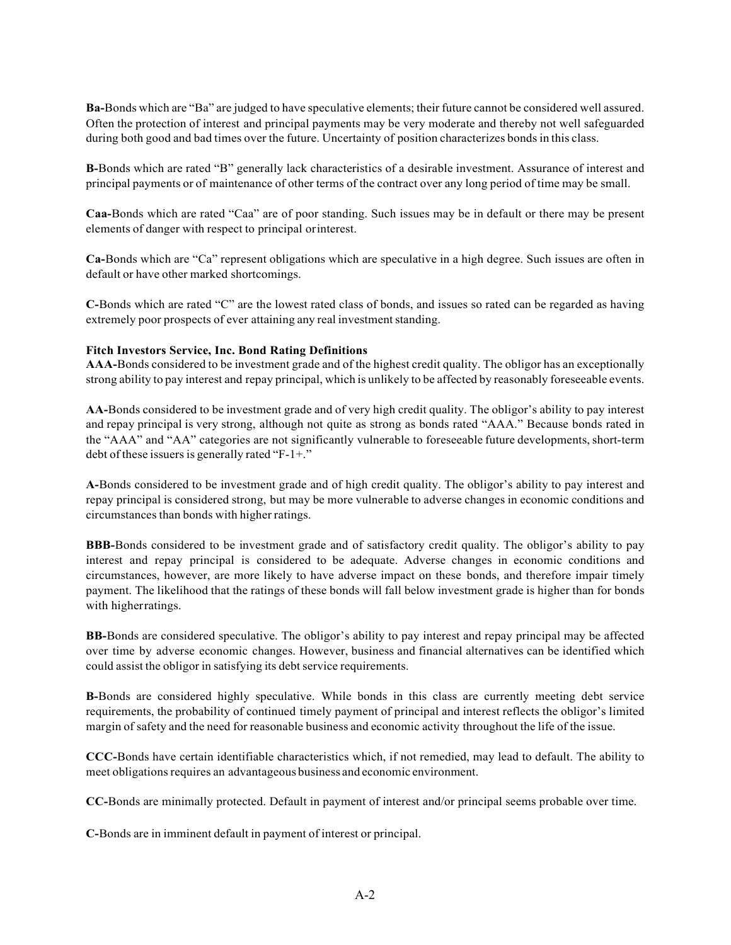**Ba-**Bonds which are "Ba" are judged to have speculative elements; their future cannot be considered well assured. Often the protection of interest and principal payments may be very moderate and thereby not well safeguarded during both good and bad times over the future. Uncertainty of position characterizes bonds in this class.

**B-**Bonds which are rated "B" generally lack characteristics of a desirable investment. Assurance of interest and principal payments or of maintenance of other terms of the contract over any long period of time may be small.

**Caa-**Bonds which are rated "Caa" are of poor standing. Such issues may be in default or there may be present elements of danger with respect to principal orinterest.

**Ca-**Bonds which are "Ca" represent obligations which are speculative in a high degree. Such issues are often in default or have other marked shortcomings.

**C-**Bonds which are rated "C" are the lowest rated class of bonds, and issues so rated can be regarded as having extremely poor prospects of ever attaining any real investment standing.

## **Fitch Investors Service, Inc. Bond Rating Definitions**

**AAA-**Bonds considered to be investment grade and of the highest credit quality. The obligor has an exceptionally strong ability to pay interest and repay principal, which is unlikely to be affected by reasonably foreseeable events.

**AA-**Bonds considered to be investment grade and of very high credit quality. The obligor's ability to pay interest and repay principal is very strong, although not quite as strong as bonds rated "AAA." Because bonds rated in the "AAA" and "AA" categories are not significantly vulnerable to foreseeable future developments, short-term debt of these issuers is generally rated " $F-1+$ ."

**A-**Bonds considered to be investment grade and of high credit quality. The obligor's ability to pay interest and repay principal is considered strong, but may be more vulnerable to adverse changes in economic conditions and circumstances than bonds with higher ratings.

**BBB-**Bonds considered to be investment grade and of satisfactory credit quality. The obligor's ability to pay interest and repay principal is considered to be adequate. Adverse changes in economic conditions and circumstances, however, are more likely to have adverse impact on these bonds, and therefore impair timely payment. The likelihood that the ratings of these bonds will fall below investment grade is higher than for bonds with higherratings.

**BB-**Bonds are considered speculative. The obligor's ability to pay interest and repay principal may be affected over time by adverse economic changes. However, business and financial alternatives can be identified which could assist the obligor in satisfying its debt service requirements.

**B-**Bonds are considered highly speculative. While bonds in this class are currently meeting debt service requirements, the probability of continued timely payment of principal and interest reflects the obligor's limited margin of safety and the need for reasonable business and economic activity throughout the life of the issue.

**CCC-**Bonds have certain identifiable characteristics which, if not remedied, may lead to default. The ability to meet obligations requires an advantageous business and economic environment.

**CC-**Bonds are minimally protected. Default in payment of interest and/or principal seems probable over time.

**C-**Bonds are in imminent default in payment of interest or principal.